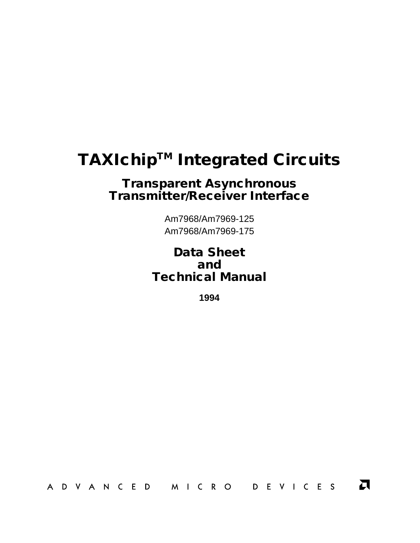# **TAXIchipTM Integrated Circuits**

# **Transparent Asynchronous Transmitter/Receiver Interface**

Am7968/Am7969-125 Am7968/Am7969-175

**Data Sheet and Technical Manual**

**1994**

A D V A N C E D M I C R O D E V I C E S

 $\Box$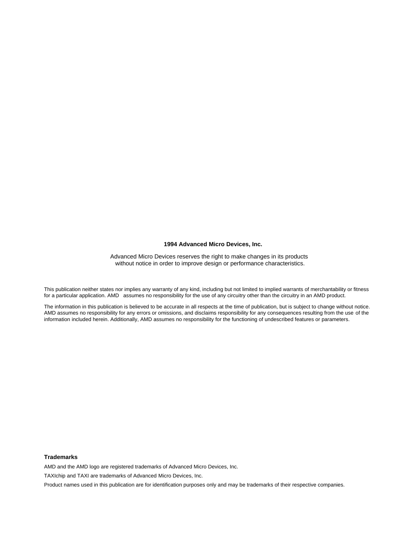#### **1994 Advanced Micro Devices, Inc.**

Advanced Micro Devices reserves the right to make changes in its products without notice in order to improve design or performance characteristics.

This publication neither states nor implies any warranty of any kind, including but not limited to implied warrants of merchantability or fitness for a particular application. AMD<sup>®</sup> assumes no responsibility for the use of any circuitry other than the circuitry in an AMD product.

The information in this publication is believed to be accurate in all respects at the time of publication, but is subject to change without notice. AMD assumes no responsibility for any errors or omissions, and disclaims responsibility for any consequences resulting from the use of the information included herein. Additionally, AMD assumes no responsibility for the functioning of undescribed features or parameters.

#### **Trademarks**

AMD and the AMD logo are registered trademarks of Advanced Micro Devices, Inc.

TAXIchip and TAXI are trademarks of Advanced Micro Devices, Inc.

Product names used in this publication are for identification purposes only and may be trademarks of their respective companies.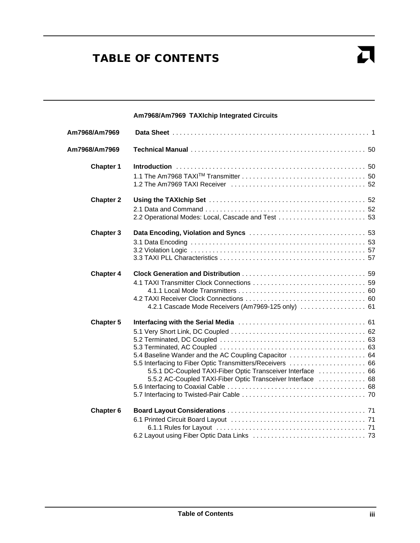# **TABLE OF CONTENTS**

|                  | Am7968/Am7969 TAXIchip Integrated Circuits                                                                                                                                          |  |
|------------------|-------------------------------------------------------------------------------------------------------------------------------------------------------------------------------------|--|
| Am7968/Am7969    |                                                                                                                                                                                     |  |
| Am7968/Am7969    |                                                                                                                                                                                     |  |
| <b>Chapter 1</b> |                                                                                                                                                                                     |  |
| <b>Chapter 2</b> | 2.2 Operational Modes: Local, Cascade and Test  53                                                                                                                                  |  |
| <b>Chapter 3</b> |                                                                                                                                                                                     |  |
| <b>Chapter 4</b> | 4.2.1 Cascade Mode Receivers (Am7969-125 only)  61                                                                                                                                  |  |
| <b>Chapter 5</b> | 5.4 Baseline Wander and the AC Coupling Capacitor  64<br>5.5.1 DC-Coupled TAXI-Fiber Optic Transceiver Interface  66<br>5.5.2 AC-Coupled TAXI-Fiber Optic Transceiver Interface  68 |  |
| Chapter 6        |                                                                                                                                                                                     |  |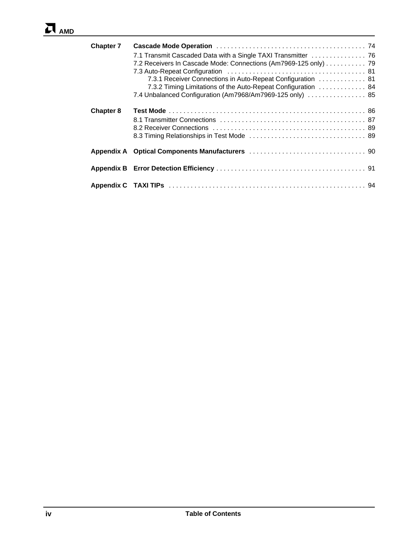| <b>Chapter 7</b> |                                                                 |  |
|------------------|-----------------------------------------------------------------|--|
|                  | 7.1 Transmit Cascaded Data with a Single TAXI Transmitter  76   |  |
|                  | 7.2 Receivers In Cascade Mode: Connections (Am7969-125 only) 79 |  |
|                  |                                                                 |  |
|                  | 7.3.1 Receiver Connections in Auto-Repeat Configuration  81     |  |
|                  | 7.3.2 Timing Limitations of the Auto-Repeat Configuration  84   |  |
|                  | 7.4 Unbalanced Configuration (Am7968/Am7969-125 only)  85       |  |
|                  |                                                                 |  |
| <b>Chapter 8</b> |                                                                 |  |
|                  |                                                                 |  |
|                  |                                                                 |  |
|                  |                                                                 |  |
|                  |                                                                 |  |
|                  |                                                                 |  |
|                  |                                                                 |  |
|                  |                                                                 |  |
|                  |                                                                 |  |
|                  |                                                                 |  |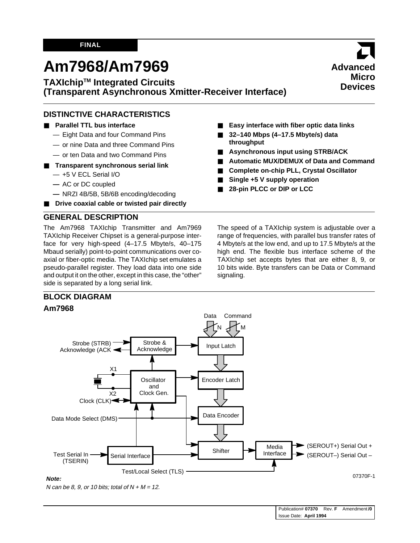# **Am7968/Am7969**

**TAXIchipTM Integrated Circuits (Transparent Asynchronous Xmitter-Receiver Interface)**

# **DISTINCTIVE CHARACTERISTICS**

#### ■ **Parallel TTL bus interface**

- Eight Data and four Command Pins
- or nine Data and three Command Pins
- or ten Data and two Command Pins
- **Transparent synchronous serial link** 
	- +5 V ECL Serial I/O
	- **—** AC or DC coupled

**BLOCK DIAGRAM**

- **—** NRZI 4B/5B, 5B/6B encoding/decoding
- **Drive coaxial cable or twisted pair directly**

#### **GENERAL DESCRIPTION**

The Am7968 TAXIchip Transmitter and Am7969 TAXIchip Receiver Chipset is a general-purpose interface for very high-speed (4–17.5 Mbyte/s, 40–175 Mbaud serially) point-to-point communications over coaxial or fiber-optic media. The TAXIchip set emulates a pseudo-parallel register. They load data into one side and output it on the other, except in this case, the "other" side is separated by a long serial link.

- **Easy interface with fiber optic data links**
- **32–140 Mbps (4–17.5 Mbyte/s) data throughput**
- **Asynchronous input using STRB/ACK**
- **Automatic MUX/DEMUX of Data and Command**
- **Complete on-chip PLL, Crystal Oscillator**
- Single +5 V supply operation
- 28-pin PLCC or DIP or LCC

The speed of a TAXIchip system is adjustable over a range of frequencies, with parallel bus transfer rates of 4 Mbyte/s at the low end, and up to 17.5 Mbyte/s at the high end. The flexible bus interface scheme of the TAXIchip set accepts bytes that are either 8, 9, or 10 bits wide. Byte transfers can be Data or Command signaling.



#### **Note:**

N can be 8, 9, or 10 bits; total of  $N + M = 12$ .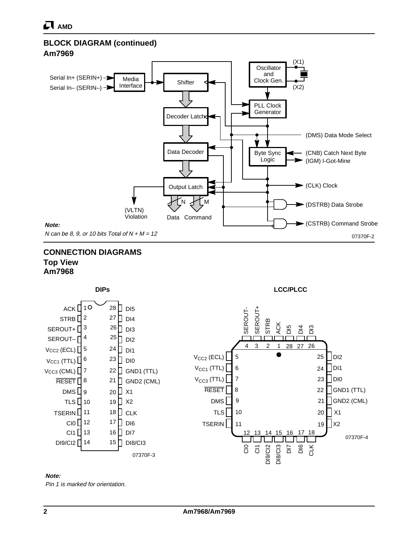# **BLOCK DIAGRAM (continued)**

# **Am7969**



#### **CONNECTION DIAGRAMS Top View Am7968**



# **Note:**

Pin 1 is marked for orientation.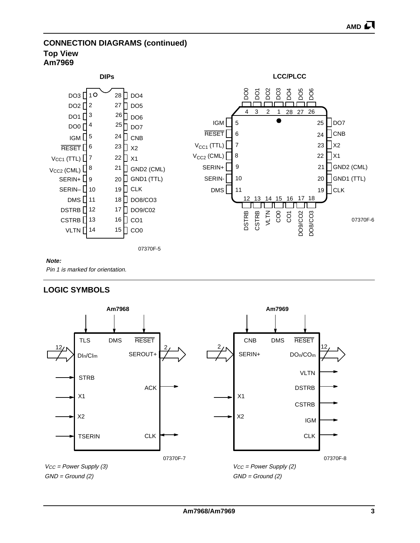# **CONNECTION DIAGRAMS (continued) Top View Am7969**



**Note:** Pin 1 is marked for orientation.

# **LOGIC SYMBOLS**

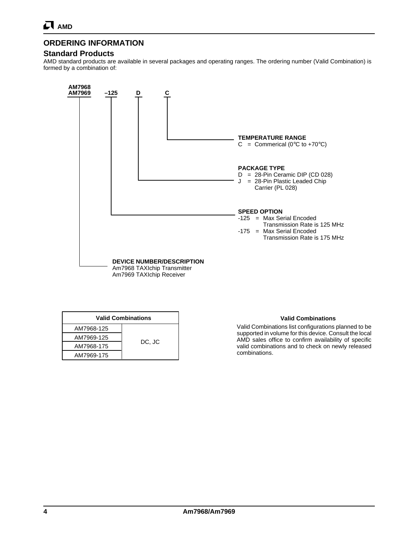# **ORDERING INFORMATION**

### **Standard Products**

AMD standard products are available in several packages and operating ranges. The ordering number (Valid Combination) is formed by a combination of:



| <b>Valid Combinations</b> |        |  |  |  |  |  |
|---------------------------|--------|--|--|--|--|--|
| AM7968-125                |        |  |  |  |  |  |
| AM7969-125                |        |  |  |  |  |  |
| AM7968-175                | DC, JC |  |  |  |  |  |
| AM7969-175                |        |  |  |  |  |  |

#### **Valid Combinations**

Valid Combinations list configurations planned to be supported in volume for this device. Consult the local AMD sales office to confirm availability of specific valid combinations and to check on newly released combinations.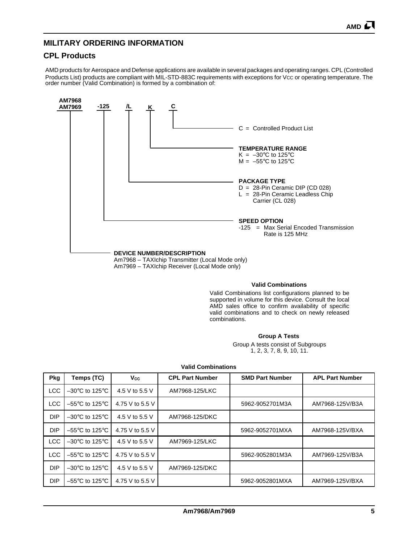### **MILITARY ORDERING INFORMATION**

### **CPL Products**

AMD products for Aerospace and Defense applications are available in several packages and operating ranges. CPL (Controlled Products List) products are compliant with MIL-STD-883C requirements with exceptions for Vcc or operating temperature. The order number (Valid Combination) is formed by a combination of:



Am7969 – TAXIchip Receiver (Local Mode only)

#### **Valid Combinations**

Valid Combinations list configurations planned to be supported in volume for this device. Consult the local AMD sales office to confirm availability of specific valid combinations and to check on newly released combinations.

**Group A Tests**

Group A tests consist of Subgroups 1, 2, 3, 7, 8, 9, 10, 11.

| <b>Pkg</b> | Temps (TC)                          | Vcc             | <b>CPL Part Number</b> | <b>SMD Part Number</b> | <b>APL Part Number</b> |
|------------|-------------------------------------|-----------------|------------------------|------------------------|------------------------|
| <b>LCC</b> | $-30^{\circ}$ C to 125 $^{\circ}$ C | 4.5 V to 5.5 V  | AM7968-125/LKC         |                        |                        |
| <b>LCC</b> | $-55^{\circ}$ C to 125 $^{\circ}$ C | 4.75 V to 5.5 V |                        | 5962-9052701M3A        | AM7968-125V/B3A        |
| <b>DIP</b> | $-30^{\circ}$ C to 125 $^{\circ}$ C | 4.5 V to 5.5 V  | AM7968-125/DKC         |                        |                        |
| <b>DIP</b> | $-55^{\circ}$ C to 125 $^{\circ}$ C | 4.75 V to 5.5 V |                        | 5962-9052701MXA        | AM7968-125V/BXA        |
| <b>LCC</b> | $-30^{\circ}$ C to 125 $^{\circ}$ C | 4.5 V to 5.5 V  | AM7969-125/LKC         |                        |                        |
| LCC        | $-55^{\circ}$ C to 125 $^{\circ}$ C | 4.75 V to 5.5 V |                        | 5962-9052801M3A        | AM7969-125V/B3A        |
| <b>DIP</b> | $-30^{\circ}$ C to 125 $^{\circ}$ C | 4.5 V to 5.5 V  | AM7969-125/DKC         |                        |                        |
| <b>DIP</b> | $-55^{\circ}$ C to 125 $^{\circ}$ C | 4.75 V to 5.5 V |                        | 5962-9052801MXA        | AM7969-125V/BXA        |

**Valid Combinations**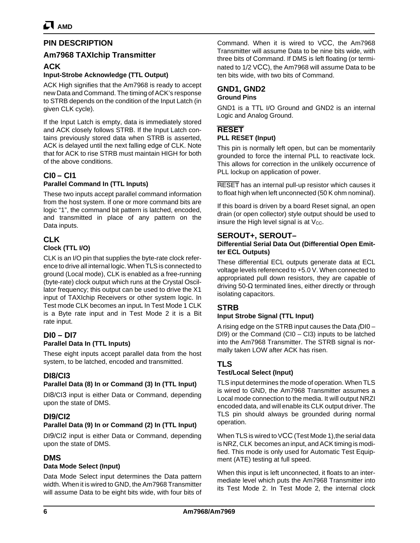# **PIN DESCRIPTION**

# **Am7968 TAXIchip Transmitter**

### **ACK**

#### **Input-Strobe Acknowledge (TTL Output)**

ACK High signifies that the Am7968 is ready to accept new Data and Command. The timing of ACK's response to STRB depends on the condition of the Input Latch (in given CLK cycle).

If the Input Latch is empty, data is immediately stored and ACK closely follows STRB. If the Input Latch contains previously stored data when STRB is asserted, ACK is delayed until the next falling edge of CLK. Note that for ACK to rise STRB must maintain HIGH for both of the above conditions.

# **CI0 – CI1**

#### **Parallel Command In (TTL Inputs)**

These two inputs accept parallel command information from the host system. If one or more command bits are logic "1", the command bit pattern is latched, encoded, and transmitted in place of any pattern on the Data inputs.

# **CLK**

#### **Clock (TTL I/O)**

CLK is an I/O pin that supplies the byte-rate clock reference to drive all internal logic. When TLS is connected to ground (Local mode), CLK is enabled as a free-running (byte-rate) clock output which runs at the Crystal Oscillator frequency; this output can be used to drive the X1 input of TAXIchip Receivers or other system logic. In Test mode CLK becomes an input**.** In Test Mode 1 CLK is a Byte rate input and in Test Mode 2 it is a Bit rate input.

# **DI0 – DI7**

#### **Parallel Data In (TTL Inputs)**

These eight inputs accept parallel data from the host system, to be latched, encoded and transmitted.

# **DI8/CI3**

#### **Parallel Data (8) In or Command (3) In (TTL Input)**

DI8/CI3 input is either Data or Command, depending upon the state of DMS.

#### **DI9/CI2**

#### **Parallel Data (9) In or Command (2) In (TTL Input)**

DI9/CI2 input is either Data or Command, depending upon the state of DMS.

#### **DMS**

#### **Data Mode Select (Input)**

Data Mode Select input determines the Data pattern width. When it is wired to GND, the Am7968 Transmitter will assume Data to be eight bits wide, with four bits of Command. When it is wired to VCC, the Am7968 Transmitter will assume Data to be nine bits wide, with three bits of Command. If DMS is left floating (or terminated to 1/2 VCC), the Am7968 will assume Data to be ten bits wide, with two bits of Command.

#### **GND1, GND2 Ground Pins**

GND1 is a TTL I/O Ground and GND2 is an internal Logic and Analog Ground.

### **RESET**

#### **PLL RESET (Input)**

This pin is normally left open, but can be momentarily grounded to force the internal PLL to reactivate lock. This allows for correction in the unlikely occurrence of PLL lockup on application of power.

RESET has an internal pull-up resistor which causes it to float high when left unconnected (50 K ohm nominal).

If this board is driven by a board Reset signal, an open drain (or open collector) style output should be used to insure the High level signal is at  $V_{\text{CC}}$ .

# **SEROUT+, SEROUT–**

#### **Differential Serial Data Out (Differential Open Emitter ECL Outputs)**

These differential ECL outputs generate data at ECL voltage levels referenced to +5.0 V. When connected to appropriated pull down resistors, they are capable of driving 50- $Ω$  terminated lines, either directly or through isolating capacitors.

# **STRB**

#### **Input Strobe Signal (TTL Input)**

A rising edge on the STRB input causes the Data (DI0 – DI9) or the Command (CI0 – CI3) inputs to be latched into the Am7968 Transmitter. The STRB signal is normally taken LOW after ACK has risen.

# **TLS**

#### **Test/Local Select (Input)**

TLS input determines the mode of operation. When TLS is wired to GND, the Am7968 Transmitter assumes a Local mode connection to the media. It will output NRZI encoded data, and will enable its CLK output driver. The TLS pin should always be grounded during normal operation.

When TLS is wired to VCC (Test Mode 1),the serial data is NRZ, CLK becomes an input, and ACK timing is modified. This mode is only used for Automatic Test Equipment (ATE) testing at full speed.

When this input is left unconnected, it floats to an intermediate level which puts the Am7968 Transmitter into its Test Mode 2. In Test Mode 2, the internal clock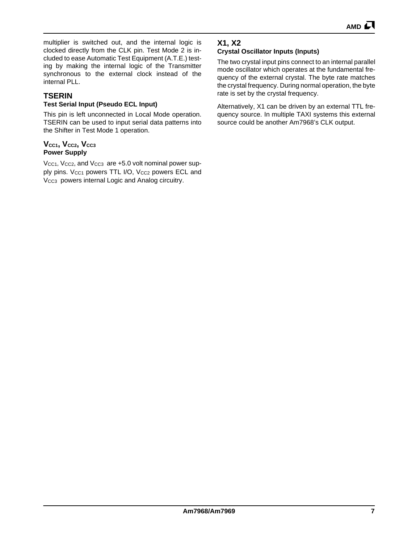multiplier is switched out, and the internal logic is clocked directly from the CLK pin. Test Mode 2 is included to ease Automatic Test Equipment (A.T.E.) testing by making the internal logic of the Transmitter synchronous to the external clock instead of the internal PLL.

# **TSERIN**

#### **Test Serial Input (Pseudo ECL Input)**

This pin is left unconnected in Local Mode operation. TSERIN can be used to input serial data patterns into the Shifter in Test Mode 1 operation.

#### **V<sub>CC1</sub>**, **V<sub>CC2</sub>**, **V**<sub>CC3</sub> **Power Supply**

V<sub>CC1</sub>, V<sub>CC2</sub>, and V<sub>CC3</sub> are +5.0 volt nominal power supply pins. V<sub>CC1</sub> powers TTL I/O, V<sub>CC2</sub> powers ECL and Vcc<sub>3</sub> powers internal Logic and Analog circuitry.

# **X1, X2**

# **Crystal Oscillator Inputs (Inputs)**

The two crystal input pins connect to an internal parallel mode oscillator which operates at the fundamental frequency of the external crystal. The byte rate matches the crystal frequency. During normal operation, the byte rate is set by the crystal frequency.

Alternatively, X1 can be driven by an external TTL frequency source. In multiple TAXI systems this external source could be another Am7968's CLK output.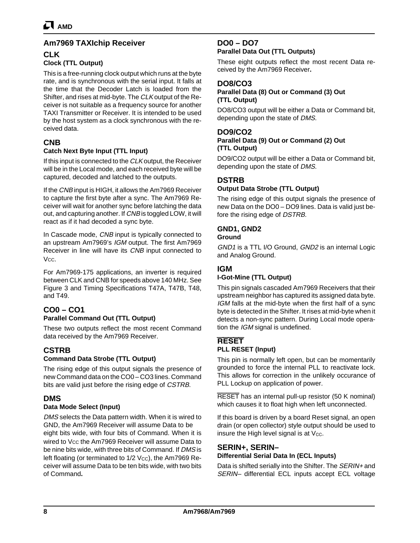# **Am7969 TAXIchip Receiver**

#### **CLK Clock (TTL Output)**

This is a free-running clock output which runs at the byte rate, and is synchronous with the serial input. It falls at the time that the Decoder Latch is loaded from the Shifter, and rises at mid-byte. The CLK output of the Receiver is not suitable as a frequency source for another TAXI Transmitter or Receiver. It is intended to be used by the host system as a clock synchronous with the received data.

# **CNB**

#### **Catch Next Byte Input (TTL Input)**

If this input is connected to the CLK output, the Receiver will be in the Local mode, and each received byte will be captured, decoded and latched to the outputs.

If the CNB input is HIGH, it allows the Am7969 Receiver to capture the first byte after a sync. The Am7969 Receiver will wait for another sync before latching the data out, and capturing another. If CNB is toggled LOW, it will react as if it had decoded a sync byte.

In Cascade mode, CNB input is typically connected to an upstream Am7969's IGM output. The first Am7969 Receiver in line will have its CNB input connected to V<sub>CC</sub>.

For Am7969-175 applications, an inverter is required between CLK and CNB for speeds above 140 MHz. See Figure 3 and Timing Specifications T47A, T47B, T48, and T49.

#### **CO0 – CO1 Parallel Command Out (TTL Output)**

These two outputs reflect the most recent Command data received by the Am7969 Receiver.

# **CSTRB**

#### **Command Data Strobe (TTL Output)**

The rising edge of this output signals the presence of new Command data on the CO0 – CO3 lines. Command bits are valid just before the rising edge of CSTRB.

#### **DMS**

#### **Data Mode Select (Input)**

DMS selects the Data pattern width. When it is wired to GND, the Am7969 Receiver will assume Data to be eight bits wide, with four bits of Command. When it is wired to  $V_{CC}$  the Am7969 Receiver will assume Data to be nine bits wide, with three bits of Command. If DMS is left floating (or terminated to  $1/2$  Vcc), the Am7969 Receiver will assume Data to be ten bits wide, with two bits of Command**.**

#### **DO0 – DO7 Parallel Data Out (TTL Outputs)**

These eight outputs reflect the most recent Data received by the Am7969 Receiver**.**

### **DO8/CO3**

#### **Parallel Data (8) Out or Command (3) Out (TTL Output)**

DO8/CO3 output will be either a Data or Command bit, depending upon the state of DMS.

#### **DO9/CO2**

#### **Parallel Data (9) Out or Command (2) Out (TTL Output)**

DO9/CO2 output will be either a Data or Command bit, depending upon the state of DMS.

#### **DSTRB Output Data Strobe (TTL Output)**

The rising edge of this output signals the presence of new Data on the DO0 – DO9 lines. Data is valid just before the rising edge of DSTRB.

## **GND1, GND2**

#### **Ground**

GND1 is a TTL I/O Ground, GND2 is an internal Logic and Analog Ground.

### **IGM**

#### **I-Got-Mine (TTL Output)**

This pin signals cascaded Am7969 Receivers that their upstream neighbor has captured its assigned data byte. IGM falls at the mid-byte when the first half of a sync byte is detected in the Shifter. It rises at mid-byte when it detects a non-sync pattern. During Local mode operation the *IGM* signal is undefined.

#### **RESET PLL RESET (Input)**

This pin is normally left open, but can be momentarily grounded to force the internal PLL to reactivate lock. This allows for correction in the unlikely occurance of PLL Lockup on application of power.

RESET has an internal pull-up resistor (50 K nominal) which causes it to float high when left unconnected.

If this board is driven by a board Reset signal, an open drain (or open collector) style output should be used to insure the High level signal is at  $V_{\text{CC}}$ .

## **SERIN+, SERIN– Differential Serial Data In (ECL Inputs)**

Data is shifted serially into the Shifter. The SERIN+ and SERIN– differential ECL inputs accept ECL voltage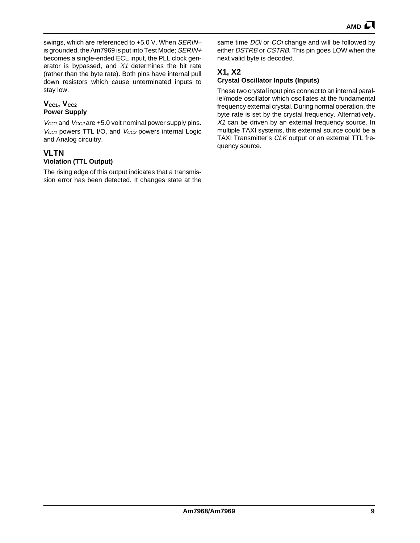swings, which are referenced to +5.0 V. When SERINis grounded, the Am7969 is put into Test Mode;  $SERNH+$ becomes a single-ended ECL input, the PLL clock generator is bypassed, and  $X1$  determines the bit rate (rather than the byte rate). Both pins have internal pull down resistors which cause unterminated inputs to stay low.

#### V<sub>CC1</sub>, V<sub>CC2</sub> **Power Supply**

 $V_{CC1}$  and  $V_{CC2}$  are +5.0 volt nominal power supply pins.  $V_{CC1}$  powers TTL I/O, and  $V_{CC2}$  powers internal Logic and Analog circuitry.

#### **VLTN Violation (TTL Output)**

The rising edge of this output indicates that a transmission error has been detected. It changes state at the same time DOi or COi change and will be followed by either DSTRB or CSTRB. This pin goes LOW when the next valid byte is decoded.

# **X1, X2**

#### **Crystal Oscillator Inputs (Inputs)**

These two crystal input pins connect to an internal parallel/mode oscillator which oscillates at the fundamental frequency external crystal. During normal operation, the byte rate is set by the crystal frequency. Alternatively, X1 can be driven by an external frequency source. In multiple TAXI systems, this external source could be a TAXI Transmitter's CLK output or an external TTL frequency source.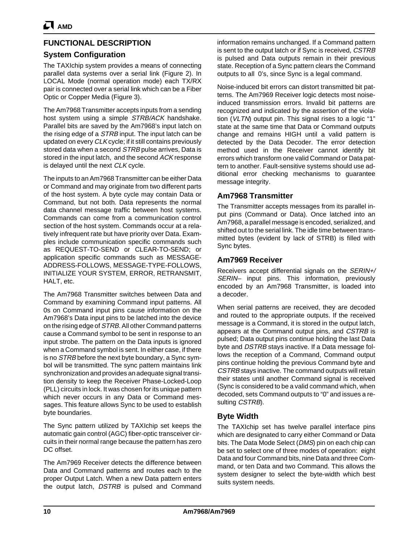# **FUNCTIONAL DESCRIPTION**

# **System Configuration**

The TAXIchip system provides a means of connecting parallel data systems over a serial link (Figure 2). In LOCAL Mode (normal operation mode) each TX/RX pair is connected over a serial link which can be a Fiber Optic or Copper Media (Figure 3).

The Am7968 Transmitter accepts inputs from a sending host system using a simple STRB/ACK handshake. Parallel bits are saved by the Am7968's input latch on the rising edge of a *STRB* input. The input latch can be updated on every CLK cycle; if it still contains previously stored data when a second STRB pulse arrives, Data is stored in the input latch, and the second ACK response is delayed until the next CLK cycle.

The inputs to an Am7968 Transmitter can be either Data or Command and may originate from two different parts of the host system. A byte cycle may contain Data or Command, but not both. Data represents the normal data channel message traffic between host systems. Commands can come from a communication control section of the host system. Commands occur at a relatively infrequent rate but have priority over Data. Examples include communication specific commands such as REQUEST-TO-SEND or CLEAR-TO-SEND; or application specific commands such as MESSAGE-ADDRESS-FOLLOWS, MESSAGE-TYPE-FOLLOWS, INITIALIZE YOUR SYSTEM, ERROR, RETRANSMIT, HALT, etc.

The Am7968 Transmitter switches between Data and Command by examining Command input patterns. All 0s on Command input pins cause information on the Am7968's Data input pins to be latched into the device on the rising edge of STRB. All other Command patterns cause a Command symbol to be sent in response to an input strobe. The pattern on the Data inputs is ignored when a Command symbol is sent. In either case, if there is no STRB before the next byte boundary, a Sync symbol will be transmitted. The sync pattern maintains link synchronization and provides an adequate signal transition density to keep the Receiver Phase-Locked-Loop (PLL) circuits in lock. It was chosen for its unique pattern which never occurs in any Data or Command messages. This feature allows Sync to be used to establish byte boundaries.

The Sync pattern utilized by TAXIchip set keeps the automatic gain control (AGC) fiber-optic transceiver circuits in their normal range because the pattern has zero DC offset.

The Am7969 Receiver detects the difference between Data and Command patterns and routes each to the proper Output Latch. When a new Data pattern enters the output latch, DSTRB is pulsed and Command

information remains unchanged. If a Command pattern is sent to the output latch or if Sync is received, CSTRB is pulsed and Data outputs remain in their previous state. Reception of a Sync pattern clears the Command outputs to all 0's, since Sync is a legal command.

Noise-induced bit errors can distort transmitted bit patterns. The Am7969 Receiver logic detects most noiseinduced transmission errors. Invalid bit patterns are recognized and indicated by the assertion of the violation (VLTN) output pin. This signal rises to a logic "1" state at the same time that Data or Command outputs change and remains HIGH until a valid pattern is detected by the Data Decoder. The error detection method used in the Receiver cannot identify bit errors which transform one valid Command or Data pattern to another. Fault-sensitive systems should use additional error checking mechanisms to guarantee message integrity.

#### **Am7968 Transmitter**

The Transmitter accepts messages from its parallel input pins (Command or Data). Once latched into an Am7968, a parallel message is encoded, serialized, and shifted out to the serial link. The idle time between transmitted bytes (evident by lack of STRB) is filled with Sync bytes.

#### **Am7969 Receiver**

Receivers accept differential signals on the SERIN+/ SERIN- input pins. This information, previously encoded by an Am7968 Transmitter, is loaded into a decoder.

When serial patterns are received, they are decoded and routed to the appropriate outputs. If the received message is a Command, it is stored in the output latch, appears at the Command output pins, and CSTRB is pulsed; Data output pins continue holding the last Data byte and DSTRB stays inactive. If a Data message follows the reception of a Command, Command output pins continue holding the previous Command byte and CSTRB stays inactive. The command outputs will retain their states until another Command signal is received (Sync is considered to be a valid command which, when decoded, sets Command outputs to "0" and issues a resulting CSTRB).

# **Byte Width**

The TAXIchip set has twelve parallel interface pins which are designated to carry either Command or Data bits. The Data Mode Select (DMS) pin on each chip can be set to select one of three modes of operation: eight Data and four Command bits, nine Data and three Command, or ten Data and two Command. This allows the system designer to select the byte-width which best suits system needs.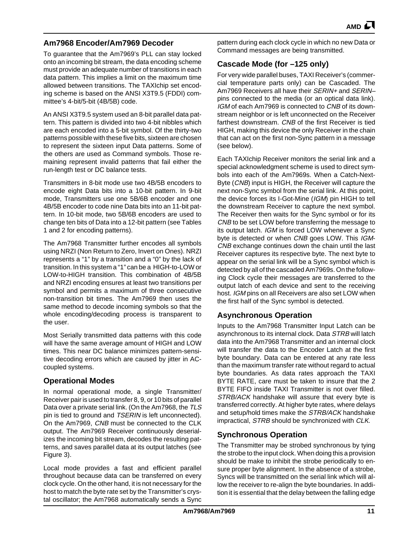# **Am7968 Encoder/Am7969 Decoder**

To guarantee that the Am7969's PLL can stay locked onto an incoming bit stream, the data encoding scheme must provide an adequate number of transitions in each data pattern. This implies a limit on the maximum time allowed between transitions. The TAXIchip set encoding scheme is based on the ANSI X3T9.5 (FDDI) committee's 4-bit/5-bit (4B/5B) code.

An ANSI X3T9.5 system used an 8-bit parallel data pattern. This pattern is divided into two 4-bit nibbles which are each encoded into a 5-bit symbol. Of the thirty-two patterns possible with these five bits, sixteen are chosen to represent the sixteen input Data patterns. Some of the others are used as Command symbols. Those remaining represent invalid patterns that fail either the run-length test or DC balance tests.

Transmitters in 8-bit mode use two 4B/5B encoders to encode eight Data bits into a 10-bit pattern. In 9-bit mode, Transmitters use one 5B/6B encoder and one 4B/5B encoder to code nine Data bits into an 11-bit pattern. In 10-bit mode, two 5B/6B encoders are used to change ten bits of Data into a 12-bit pattern (see Tables 1 and 2 for encoding patterns).

The Am7968 Transmitter further encodes all symbols using NRZI (Non Return to Zero, Invert on Ones). NRZI represents a "1" by a transition and a "0" by the lack of transition. In this system a "1" can be a HIGH-to-LOW or LOW-to-HIGH transition. This combination of 4B/5B and NRZI encoding ensures at least two transitions per symbol and permits a maximum of three consecutive non-transition bit times. The Am7969 then uses the same method to decode incoming symbols so that the whole encoding/decoding process is transparent to the user.

Most Serially transmitted data patterns with this code will have the same average amount of HIGH and LOW times. This near DC balance minimizes pattern-sensitive decoding errors which are caused by jitter in ACcoupled systems.

# **Operational Modes**

In normal operational mode, a single Transmitter/ Receiver pair is used to transfer 8, 9, or 10 bits of parallel Data over a private serial link. (On the Am7968, the TLS pin is tied to ground and TSERIN is left unconnected). On the Am7969, CNB must be connected to the CLK output. The Am7969 Receiver continuously deserializes the incoming bit stream, decodes the resulting patterns, and saves parallel data at its output latches (see Figure 3).

Local mode provides a fast and efficient parallel throughout because data can be transferred on every clock cycle. On the other hand, it is not necessary for the host to match the byte rate set by the Transmitter's crystal oscillator; the Am7968 automatically sends a Sync pattern during each clock cycle in which no new Data or Command messages are being transmitted.

# **Cascade Mode (for –125 only)**

For very wide parallel buses, TAXI Receiver's (commercial temperature parts only) can be Cascaded. The Am7969 Receivers all have their SERIN+ and SERIN– pins connected to the media (or an optical data link). IGM of each Am7969 is connected to CNB of its downstream neighbor or is left unconnected on the Receiver farthest downstream. CNB of the first Receiver is tied HIGH, making this device the only Receiver in the chain that can act on the first non-Sync pattern in a message (see below).

Each TAXIchip Receiver monitors the serial link and a special acknowledgment scheme is used to direct symbols into each of the Am7969s. When a Catch-Next-Byte (CNB) input is HIGH, the Receiver will capture the next non-Sync symbol from the serial link. At this point, the device forces its I-Got-Mine (IGM) pin HIGH to tell the downstream Receiver to capture the next symbol. The Receiver then waits for the Sync symbol or for its CNB to be set LOW before transferring the message to its output latch. IGM is forced LOW whenever a Sync byte is detected or when CNB goes LOW. This IGM-CNB exchange continues down the chain until the last Receiver captures its respective byte. The next byte to appear on the serial link will be a Sync symbol which is detected by all of the cascaded Am7969s. On the following Clock cycle their messages are transferred to the output latch of each device and sent to the receiving host. IGM pins on all Receivers are also set LOW when the first half of the Sync symbol is detected.

# **Asynchronous Operation**

Inputs to the Am7968 Transmitter Input Latch can be asynchronous to its internal clock. Data STRB will latch data into the Am7968 Transmitter and an internal clock will transfer the data to the Encoder Latch at the first byte boundary. Data can be entered at any rate less than the maximum transfer rate without regard to actual byte boundaries. As data rates approach the TAXI BYTE RATE, care must be taken to insure that the 2 BYTE FIFO inside TAXI Transmitter is not over filled. STRB/ACK handshake will assure that every byte is transferred correctly. At higher byte rates, where delays and setup/hold times make the STRB/ACK handshake impractical, STRB should be synchronized with CLK.

# **Synchronous Operation**

The Transmitter may be strobed synchronous by tying the strobe to the input clock. When doing this a provision should be make to inhibit the strobe periodically to ensure proper byte alignment. In the absence of a strobe, Syncs will be transmitted on the serial link which will allow the receiver to re-align the byte boundaries. In addition it is essential that the delay between the falling edge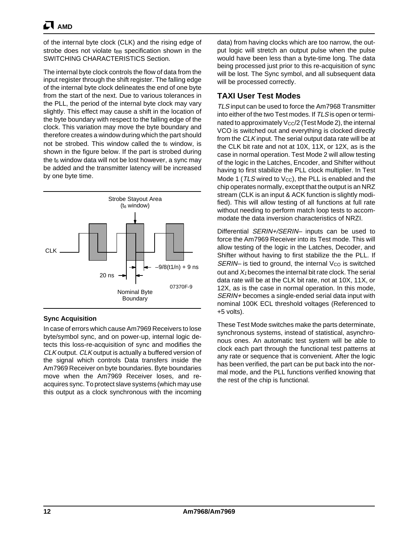of the internal byte clock (CLK) and the rising edge of strobe does not violate t<sub>BB</sub> specification shown in the SWITCHING CHARACTERISTICS Section.

The internal byte clock controls the flow of data from the input register through the shift register. The falling edge of the internal byte clock delineates the end of one byte from the start of the next. Due to various tolerances in the PLL, the period of the internal byte clock may vary slightly. This effect may cause a shift in the location of the byte boundary with respect to the falling edge of the clock. This variation may move the byte boundary and therefore creates a window during which the part should not be strobed. This window called the  $t_6$  window, is shown in the figure below. If the part is strobed during the  $t_6$  window data will not be lost however, a sync may be added and the transmitter latency will be increased by one byte time.



#### **Sync Acquisition**

In case of errors which cause Am7969 Receivers to lose byte/symbol sync, and on power-up, internal logic detects this loss-re-acquisition of sync and modifies the CLK output. CLK output is actually a buffered version of the signal which controls Data transfers inside the Am7969 Receiver on byte boundaries. Byte boundaries move when the Am7969 Receiver loses, and reacquires sync. To protect slave systems (which may use this output as a clock synchronous with the incoming

data) from having clocks which are too narrow, the output logic will stretch an output pulse when the pulse would have been less than a byte-time long. The data being processed just prior to this re-acquisition of sync will be lost. The Sync symbol, and all subsequent data will be processed correctly.

# **TAXI User Test Modes**

TLS input can be used to force the Am7968 Transmitter into either of the two Test modes. If TLS is open or terminated to approximately Vcc/2 (Test Mode 2), the internal VCO is switched out and everything is clocked directly from the CLK input. The serial output data rate will be at the CLK bit rate and not at 10X, 11X, or 12X, as is the case in normal operation. Test Mode 2 will allow testing of the logic in the Latches, Encoder, and Shifter without having to first stabilize the PLL clock multiplier. In Test Mode 1 (TLS wired to V<sub>CC</sub>), the PLL is enabled and the chip operates normally, except that the output is an NRZ stream (CLK is an input & ACK function is slightly modified). This will allow testing of all functions at full rate without needing to perform match loop tests to accommodate the data inversion characteristics of NRZI.

Differential *SERIN+/SERIN*– inputs can be used to force the Am7969 Receiver into its Test mode. This will allow testing of the logic in the Latches, Decoder, and Shifter without having to first stabilize the the PLL. If  $SERN$ – is tied to ground, the internal  $V_{CO}$  is switched out and  $X_1$  becomes the internal bit rate clock. The serial data rate will be at the CLK bit rate, not at 10X, 11X, or 12X, as is the case in normal operation. In this mode, SERIN+ becomes a single-ended serial data input with nominal 100K ECL threshold voltages (Referenced to +5 volts).

These Test Mode switches make the parts determinate, synchronous systems, instead of statistical, asynchronous ones. An automatic test system will be able to clock each part through the functional test patterns at any rate or sequence that is convenient. After the logic has been verified, the part can be put back into the normal mode, and the PLL functions verified knowing that the rest of the chip is functional.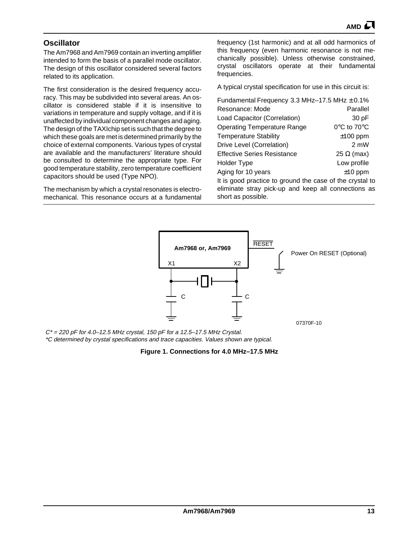# **Oscillator**

The Am7968 and Am7969 contain an inverting amplifier intended to form the basis of a parallel mode oscillator. The design of this oscillator considered several factors related to its application.

The first consideration is the desired frequency accuracy. This may be subdivided into several areas. An oscillator is considered stable if it is insensitive to variations in temperature and supply voltage, and if it is unaffected by individual component changes and aging. The design of the TAXIchip set is such that the degree to which these goals are met is determined primarily by the choice of external components. Various types of crystal are available and the manufacturers' literature should be consulted to determine the appropriate type. For good temperature stability, zero temperature coefficient capacitors should be used (Type NPO).

The mechanism by which a crystal resonates is electromechanical. This resonance occurs at a fundamental frequency (1st harmonic) and at all odd harmonics of this frequency (even harmonic resonance is not mechanically possible). Unless otherwise constrained, crystal oscillators operate at their fundamental frequencies.

A typical crystal specification for use in this circuit is:

| Fundamental Frequency 3.3 MHz-17.5 MHz $\pm$ 0.1%        |                                  |
|----------------------------------------------------------|----------------------------------|
| Resonance: Mode                                          | Parallel                         |
| Load Capacitor (Correlation)                             | 30 pF                            |
| <b>Operating Temperature Range</b>                       | $0^{\circ}$ C to 70 $^{\circ}$ C |
| Temperature Stability                                    | $±100$ ppm                       |
| Drive Level (Correlation)                                | $2 \text{ mW}$                   |
| Effective Series Resistance                              | 25 $\Omega$ (max)                |
| Holder Type                                              | Low profile                      |
| Aging for 10 years                                       | $±10$ ppm                        |
| It is good practice to ground the case of the crystal to |                                  |
| eliminate stray pick-up and keep all connections as      |                                  |



short as possible.

 $C^*$  = 220 pF for 4.0-12.5 MHz crystal, 150 pF for a 12.5-17.5 MHz Crystal. \*C determined by crystal specifications and trace capacities. Values shown are typical.

**Figure 1. Connections for 4.0 MHz–17.5 MHz**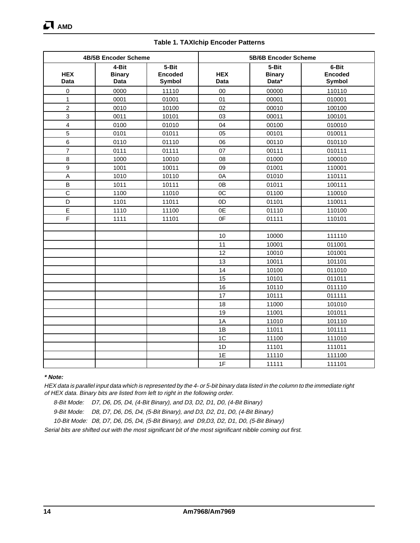|                    | <b>4B/5B Encoder Scheme</b>           |                                   | <b>5B/6B Encoder Scheme</b> |                                 |                                          |  |  |  |  |
|--------------------|---------------------------------------|-----------------------------------|-----------------------------|---------------------------------|------------------------------------------|--|--|--|--|
| <b>HEX</b><br>Data | 4-Bit<br><b>Binary</b><br><b>Data</b> | 5-Bit<br><b>Encoded</b><br>Symbol | <b>HEX</b><br>Data          | 5-Bit<br><b>Binary</b><br>Data* | 6-Bit<br><b>Encoded</b><br><b>Symbol</b> |  |  |  |  |
| 0                  | 0000                                  | 11110                             | $00\,$                      | 00000                           | 110110                                   |  |  |  |  |
| 1                  | 0001                                  | 01001                             | 01                          | 00001                           | 010001                                   |  |  |  |  |
| $\overline{c}$     | 0010                                  | 10100                             | 02                          | 00010                           | 100100                                   |  |  |  |  |
| 3                  | 0011                                  | 10101                             | 03                          | 00011                           | 100101                                   |  |  |  |  |
| 4                  | 0100                                  | 01010                             | 04                          | 00100                           | 010010                                   |  |  |  |  |
| 5                  | 0101                                  | 01011                             | 05                          | 00101                           | 010011                                   |  |  |  |  |
| 6                  | 0110                                  | 01110                             | 06                          | 00110                           | 010110                                   |  |  |  |  |
| $\overline{7}$     | 0111                                  | 01111                             | 07                          | 00111                           | 010111                                   |  |  |  |  |
| 8                  | 1000                                  | 10010                             | 08                          | 01000                           | 100010                                   |  |  |  |  |
| 9                  | 1001                                  | 10011                             | 09                          | 01001                           | 110001                                   |  |  |  |  |
| $\overline{A}$     | 1010                                  | 10110                             | 0A                          | 01010                           | 110111                                   |  |  |  |  |
| B                  | 1011                                  | 10111                             | 0B                          | 01011                           | 100111                                   |  |  |  |  |
| $\mathsf{C}$       | 1100                                  | 11010                             | 0C                          | 01100                           | 110010                                   |  |  |  |  |
| D                  | 1101                                  | 11011                             | 0D                          | 01101                           | 110011                                   |  |  |  |  |
| E                  | 1110                                  | 11100                             | 0E                          | 01110                           | 110100                                   |  |  |  |  |
| F                  | 1111                                  | 11101                             | 0F                          | 01111                           | 110101                                   |  |  |  |  |
|                    |                                       |                                   |                             |                                 |                                          |  |  |  |  |
|                    |                                       |                                   | 10                          | 10000                           | 111110                                   |  |  |  |  |
|                    |                                       |                                   | 11                          | 10001                           | 011001                                   |  |  |  |  |
|                    |                                       |                                   | 12                          | 10010                           | 101001                                   |  |  |  |  |
|                    |                                       |                                   | 13                          | 10011                           | 101101                                   |  |  |  |  |
|                    |                                       |                                   | 14                          | 10100                           | 011010                                   |  |  |  |  |
|                    |                                       |                                   | $\overline{15}$             | 10101                           | 011011                                   |  |  |  |  |
|                    |                                       |                                   | 16                          | 10110                           | 011110                                   |  |  |  |  |
|                    |                                       |                                   | 17                          | 10111                           | 011111                                   |  |  |  |  |
|                    |                                       |                                   | 18                          | 11000                           | 101010                                   |  |  |  |  |
|                    |                                       |                                   | 19                          | 11001                           | 101011                                   |  |  |  |  |
|                    |                                       |                                   | 1A                          | 11010                           | 101110                                   |  |  |  |  |
|                    |                                       |                                   | 1B                          | 11011                           | 101111                                   |  |  |  |  |
|                    |                                       |                                   | 1C                          | 11100                           | 111010                                   |  |  |  |  |
|                    |                                       |                                   | 1D                          | 11101                           | 111011                                   |  |  |  |  |
|                    |                                       |                                   | 1E                          | 11110                           | 111100                                   |  |  |  |  |
|                    |                                       |                                   | 1F                          | 11111                           | 111101                                   |  |  |  |  |

#### **Table 1. TAXIchip Encoder Patterns**

**\* Note:**

HEX data is parallel input data which is represented by the 4- or 5-bit binary data listed in the column to the immediate right of HEX data. Binary bits are listed from left to right in the following order.

8-Bit Mode: D7, D6, D5, D4, (4-Bit Binary), and D3, D2, D1, D0, (4-Bit Binary)

9-Bit Mode: D8, D7, D6, D5, D4, (5-Bit Binary), and D3, D2, D1, D0, (4-Bit Binary)

10-Bit Mode: D8, D7, D6, D5, D4, (5-Bit Binary), and D9,D3, D2, D1, D0, (5-Bit Binary)

Serial bits are shifted out with the most significant bit of the most significant nibble coming out first.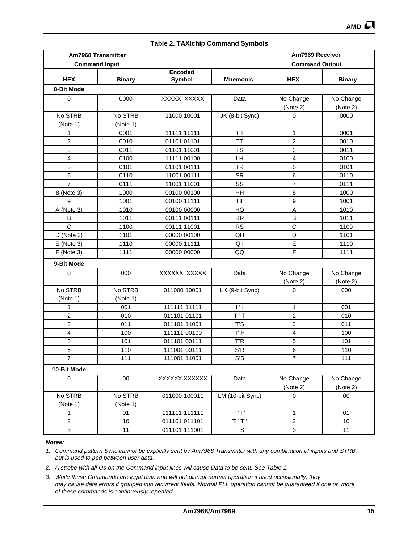| <b>Command Input</b><br><b>Command Output</b><br><b>Encoded</b><br><b>HEX</b><br>Symbol<br><b>HEX</b><br><b>Binary</b><br><b>Mnemonic</b><br><b>Binary</b><br>8-Bit Mode<br>0<br>0000<br>XXXXX XXXXX<br>No Change<br>No Change<br>Data<br>(Note 2)<br>(Note 2)<br>No STRB<br>No STRB<br>11000 10001<br>JK (8-bit Sync)<br>0<br>0000<br>(Note 1)<br>(Note 1)<br>11111 11111<br>0001<br>$\mathbf{L}$<br>0001<br>1<br>1<br>$\overline{c}$<br>$\overline{c}$<br>0010<br>01101 01101<br><b>TT</b><br>0010<br>3<br>3<br>0011<br><b>TS</b><br>01101 11001<br>0011<br>$\overline{\mathbf{4}}$<br>4<br>0100<br>11111 00100<br>IН<br>0100<br>5<br><b>TR</b><br>5<br>0101<br>0101<br>01101 00111<br>6<br><b>SR</b><br>6<br>0110<br>11001 00111<br>0110<br>$\overline{7}$<br>$\overline{7}$<br>SS<br>0111<br>11001 11001<br>0111<br>8<br>8 (Note 3)<br>1000<br>00100 00100<br>HH<br>1000<br>HI<br>9<br>9<br>1001<br>00100 11111<br>1001<br>A<br>A (Note 3)<br>1010<br>00100 00000<br>HQ<br>1010<br><b>RR</b><br>B<br>B<br>1011<br>00111 00111<br>1011<br>$\overline{C}$<br>$\mathsf C$<br>1100<br>00111 11001<br><b>RS</b><br>1100<br>D (Note 3)<br>D<br>1101<br>00000 00100<br>QH<br>1101<br>E<br>$E$ (Note 3)<br>1110<br>Q I<br>1110<br>00000 11111<br>F<br>F (Note 3)<br>1111<br>00000 00000<br>QQ<br>1111<br>9-Bit Mode<br>$\Omega$<br>000<br>XXXXXX XXXXX<br>Data<br>No Change<br>No Change<br>(Note 2)<br>(Note 2)<br>No STRB<br>No STRB<br>011000 10001<br>LK (9-bit Sync)<br>$\Omega$<br>000<br>(Note 1)<br>(Note 1)<br>111111 11111<br>$\vert$ ' l<br>001<br>$\mathbf 1$<br>001<br>1<br>$\overline{T}$ $\overline{T}$<br>$\overline{2}$<br>$\overline{c}$<br>010<br>011101 01101<br>010<br>3<br>T'S<br>3<br>011<br>011101 11001<br>011<br>$\overline{\mathbf{4}}$<br>l'H<br>$\overline{4}$<br>100<br>111111 00100<br>100<br>5<br>T'R<br>5<br>101<br>011101 00111<br>101<br>6<br>6<br>110<br>111001 00111<br>S'R<br>110<br>$\overline{S'S}$<br>111001 11001<br>111<br>$\sqrt{2}$<br>111<br>$\prime$<br>10-Bit Mode<br>$\overline{0}$<br>No Change<br>$00\,$<br><b>XXXXXX XXXXXX</b><br>Data<br>No Change<br>(Note 2)<br>(Note 2)<br>No STRB<br>No STRB<br>011000 100011<br>LM (10-bit Sync)<br>$\mathbf 0$<br>$00\,$<br>(Note 1)<br>(Note 1)<br>$\vert \cdot \vert$ '<br>111111 111111<br>$\mathbf{1}$<br>01<br>$\mathbf{1}$<br>01<br>$T$ 'T'<br>$\overline{a}$<br>$10$<br>011101 011101<br>$\overline{c}$<br>10<br>T'S'<br>3<br>011101 111001<br>$\sqrt{3}$<br>11<br>11 | Am7969 Receiver<br>Am7968 Transmitter |  |  |  |  |  |  |  |  |
|----------------------------------------------------------------------------------------------------------------------------------------------------------------------------------------------------------------------------------------------------------------------------------------------------------------------------------------------------------------------------------------------------------------------------------------------------------------------------------------------------------------------------------------------------------------------------------------------------------------------------------------------------------------------------------------------------------------------------------------------------------------------------------------------------------------------------------------------------------------------------------------------------------------------------------------------------------------------------------------------------------------------------------------------------------------------------------------------------------------------------------------------------------------------------------------------------------------------------------------------------------------------------------------------------------------------------------------------------------------------------------------------------------------------------------------------------------------------------------------------------------------------------------------------------------------------------------------------------------------------------------------------------------------------------------------------------------------------------------------------------------------------------------------------------------------------------------------------------------------------------------------------------------------------------------------------------------------------------------------------------------------------------------------------------------------------------------------------------------------------------------------------------------------------------------------------------------------------------------------------------------------------------------------------------------------------------------------------------------------------------------------------------------------------------------------------------------------------|---------------------------------------|--|--|--|--|--|--|--|--|
|                                                                                                                                                                                                                                                                                                                                                                                                                                                                                                                                                                                                                                                                                                                                                                                                                                                                                                                                                                                                                                                                                                                                                                                                                                                                                                                                                                                                                                                                                                                                                                                                                                                                                                                                                                                                                                                                                                                                                                                                                                                                                                                                                                                                                                                                                                                                                                                                                                                                      |                                       |  |  |  |  |  |  |  |  |
|                                                                                                                                                                                                                                                                                                                                                                                                                                                                                                                                                                                                                                                                                                                                                                                                                                                                                                                                                                                                                                                                                                                                                                                                                                                                                                                                                                                                                                                                                                                                                                                                                                                                                                                                                                                                                                                                                                                                                                                                                                                                                                                                                                                                                                                                                                                                                                                                                                                                      |                                       |  |  |  |  |  |  |  |  |
|                                                                                                                                                                                                                                                                                                                                                                                                                                                                                                                                                                                                                                                                                                                                                                                                                                                                                                                                                                                                                                                                                                                                                                                                                                                                                                                                                                                                                                                                                                                                                                                                                                                                                                                                                                                                                                                                                                                                                                                                                                                                                                                                                                                                                                                                                                                                                                                                                                                                      |                                       |  |  |  |  |  |  |  |  |
|                                                                                                                                                                                                                                                                                                                                                                                                                                                                                                                                                                                                                                                                                                                                                                                                                                                                                                                                                                                                                                                                                                                                                                                                                                                                                                                                                                                                                                                                                                                                                                                                                                                                                                                                                                                                                                                                                                                                                                                                                                                                                                                                                                                                                                                                                                                                                                                                                                                                      |                                       |  |  |  |  |  |  |  |  |
|                                                                                                                                                                                                                                                                                                                                                                                                                                                                                                                                                                                                                                                                                                                                                                                                                                                                                                                                                                                                                                                                                                                                                                                                                                                                                                                                                                                                                                                                                                                                                                                                                                                                                                                                                                                                                                                                                                                                                                                                                                                                                                                                                                                                                                                                                                                                                                                                                                                                      |                                       |  |  |  |  |  |  |  |  |
|                                                                                                                                                                                                                                                                                                                                                                                                                                                                                                                                                                                                                                                                                                                                                                                                                                                                                                                                                                                                                                                                                                                                                                                                                                                                                                                                                                                                                                                                                                                                                                                                                                                                                                                                                                                                                                                                                                                                                                                                                                                                                                                                                                                                                                                                                                                                                                                                                                                                      |                                       |  |  |  |  |  |  |  |  |
|                                                                                                                                                                                                                                                                                                                                                                                                                                                                                                                                                                                                                                                                                                                                                                                                                                                                                                                                                                                                                                                                                                                                                                                                                                                                                                                                                                                                                                                                                                                                                                                                                                                                                                                                                                                                                                                                                                                                                                                                                                                                                                                                                                                                                                                                                                                                                                                                                                                                      |                                       |  |  |  |  |  |  |  |  |
|                                                                                                                                                                                                                                                                                                                                                                                                                                                                                                                                                                                                                                                                                                                                                                                                                                                                                                                                                                                                                                                                                                                                                                                                                                                                                                                                                                                                                                                                                                                                                                                                                                                                                                                                                                                                                                                                                                                                                                                                                                                                                                                                                                                                                                                                                                                                                                                                                                                                      |                                       |  |  |  |  |  |  |  |  |
|                                                                                                                                                                                                                                                                                                                                                                                                                                                                                                                                                                                                                                                                                                                                                                                                                                                                                                                                                                                                                                                                                                                                                                                                                                                                                                                                                                                                                                                                                                                                                                                                                                                                                                                                                                                                                                                                                                                                                                                                                                                                                                                                                                                                                                                                                                                                                                                                                                                                      |                                       |  |  |  |  |  |  |  |  |
|                                                                                                                                                                                                                                                                                                                                                                                                                                                                                                                                                                                                                                                                                                                                                                                                                                                                                                                                                                                                                                                                                                                                                                                                                                                                                                                                                                                                                                                                                                                                                                                                                                                                                                                                                                                                                                                                                                                                                                                                                                                                                                                                                                                                                                                                                                                                                                                                                                                                      |                                       |  |  |  |  |  |  |  |  |
|                                                                                                                                                                                                                                                                                                                                                                                                                                                                                                                                                                                                                                                                                                                                                                                                                                                                                                                                                                                                                                                                                                                                                                                                                                                                                                                                                                                                                                                                                                                                                                                                                                                                                                                                                                                                                                                                                                                                                                                                                                                                                                                                                                                                                                                                                                                                                                                                                                                                      |                                       |  |  |  |  |  |  |  |  |
|                                                                                                                                                                                                                                                                                                                                                                                                                                                                                                                                                                                                                                                                                                                                                                                                                                                                                                                                                                                                                                                                                                                                                                                                                                                                                                                                                                                                                                                                                                                                                                                                                                                                                                                                                                                                                                                                                                                                                                                                                                                                                                                                                                                                                                                                                                                                                                                                                                                                      |                                       |  |  |  |  |  |  |  |  |
|                                                                                                                                                                                                                                                                                                                                                                                                                                                                                                                                                                                                                                                                                                                                                                                                                                                                                                                                                                                                                                                                                                                                                                                                                                                                                                                                                                                                                                                                                                                                                                                                                                                                                                                                                                                                                                                                                                                                                                                                                                                                                                                                                                                                                                                                                                                                                                                                                                                                      |                                       |  |  |  |  |  |  |  |  |
|                                                                                                                                                                                                                                                                                                                                                                                                                                                                                                                                                                                                                                                                                                                                                                                                                                                                                                                                                                                                                                                                                                                                                                                                                                                                                                                                                                                                                                                                                                                                                                                                                                                                                                                                                                                                                                                                                                                                                                                                                                                                                                                                                                                                                                                                                                                                                                                                                                                                      |                                       |  |  |  |  |  |  |  |  |
|                                                                                                                                                                                                                                                                                                                                                                                                                                                                                                                                                                                                                                                                                                                                                                                                                                                                                                                                                                                                                                                                                                                                                                                                                                                                                                                                                                                                                                                                                                                                                                                                                                                                                                                                                                                                                                                                                                                                                                                                                                                                                                                                                                                                                                                                                                                                                                                                                                                                      |                                       |  |  |  |  |  |  |  |  |
|                                                                                                                                                                                                                                                                                                                                                                                                                                                                                                                                                                                                                                                                                                                                                                                                                                                                                                                                                                                                                                                                                                                                                                                                                                                                                                                                                                                                                                                                                                                                                                                                                                                                                                                                                                                                                                                                                                                                                                                                                                                                                                                                                                                                                                                                                                                                                                                                                                                                      |                                       |  |  |  |  |  |  |  |  |
|                                                                                                                                                                                                                                                                                                                                                                                                                                                                                                                                                                                                                                                                                                                                                                                                                                                                                                                                                                                                                                                                                                                                                                                                                                                                                                                                                                                                                                                                                                                                                                                                                                                                                                                                                                                                                                                                                                                                                                                                                                                                                                                                                                                                                                                                                                                                                                                                                                                                      |                                       |  |  |  |  |  |  |  |  |
|                                                                                                                                                                                                                                                                                                                                                                                                                                                                                                                                                                                                                                                                                                                                                                                                                                                                                                                                                                                                                                                                                                                                                                                                                                                                                                                                                                                                                                                                                                                                                                                                                                                                                                                                                                                                                                                                                                                                                                                                                                                                                                                                                                                                                                                                                                                                                                                                                                                                      |                                       |  |  |  |  |  |  |  |  |
|                                                                                                                                                                                                                                                                                                                                                                                                                                                                                                                                                                                                                                                                                                                                                                                                                                                                                                                                                                                                                                                                                                                                                                                                                                                                                                                                                                                                                                                                                                                                                                                                                                                                                                                                                                                                                                                                                                                                                                                                                                                                                                                                                                                                                                                                                                                                                                                                                                                                      |                                       |  |  |  |  |  |  |  |  |
|                                                                                                                                                                                                                                                                                                                                                                                                                                                                                                                                                                                                                                                                                                                                                                                                                                                                                                                                                                                                                                                                                                                                                                                                                                                                                                                                                                                                                                                                                                                                                                                                                                                                                                                                                                                                                                                                                                                                                                                                                                                                                                                                                                                                                                                                                                                                                                                                                                                                      |                                       |  |  |  |  |  |  |  |  |
|                                                                                                                                                                                                                                                                                                                                                                                                                                                                                                                                                                                                                                                                                                                                                                                                                                                                                                                                                                                                                                                                                                                                                                                                                                                                                                                                                                                                                                                                                                                                                                                                                                                                                                                                                                                                                                                                                                                                                                                                                                                                                                                                                                                                                                                                                                                                                                                                                                                                      |                                       |  |  |  |  |  |  |  |  |
|                                                                                                                                                                                                                                                                                                                                                                                                                                                                                                                                                                                                                                                                                                                                                                                                                                                                                                                                                                                                                                                                                                                                                                                                                                                                                                                                                                                                                                                                                                                                                                                                                                                                                                                                                                                                                                                                                                                                                                                                                                                                                                                                                                                                                                                                                                                                                                                                                                                                      |                                       |  |  |  |  |  |  |  |  |
|                                                                                                                                                                                                                                                                                                                                                                                                                                                                                                                                                                                                                                                                                                                                                                                                                                                                                                                                                                                                                                                                                                                                                                                                                                                                                                                                                                                                                                                                                                                                                                                                                                                                                                                                                                                                                                                                                                                                                                                                                                                                                                                                                                                                                                                                                                                                                                                                                                                                      |                                       |  |  |  |  |  |  |  |  |
|                                                                                                                                                                                                                                                                                                                                                                                                                                                                                                                                                                                                                                                                                                                                                                                                                                                                                                                                                                                                                                                                                                                                                                                                                                                                                                                                                                                                                                                                                                                                                                                                                                                                                                                                                                                                                                                                                                                                                                                                                                                                                                                                                                                                                                                                                                                                                                                                                                                                      |                                       |  |  |  |  |  |  |  |  |
|                                                                                                                                                                                                                                                                                                                                                                                                                                                                                                                                                                                                                                                                                                                                                                                                                                                                                                                                                                                                                                                                                                                                                                                                                                                                                                                                                                                                                                                                                                                                                                                                                                                                                                                                                                                                                                                                                                                                                                                                                                                                                                                                                                                                                                                                                                                                                                                                                                                                      |                                       |  |  |  |  |  |  |  |  |
|                                                                                                                                                                                                                                                                                                                                                                                                                                                                                                                                                                                                                                                                                                                                                                                                                                                                                                                                                                                                                                                                                                                                                                                                                                                                                                                                                                                                                                                                                                                                                                                                                                                                                                                                                                                                                                                                                                                                                                                                                                                                                                                                                                                                                                                                                                                                                                                                                                                                      |                                       |  |  |  |  |  |  |  |  |
|                                                                                                                                                                                                                                                                                                                                                                                                                                                                                                                                                                                                                                                                                                                                                                                                                                                                                                                                                                                                                                                                                                                                                                                                                                                                                                                                                                                                                                                                                                                                                                                                                                                                                                                                                                                                                                                                                                                                                                                                                                                                                                                                                                                                                                                                                                                                                                                                                                                                      |                                       |  |  |  |  |  |  |  |  |
|                                                                                                                                                                                                                                                                                                                                                                                                                                                                                                                                                                                                                                                                                                                                                                                                                                                                                                                                                                                                                                                                                                                                                                                                                                                                                                                                                                                                                                                                                                                                                                                                                                                                                                                                                                                                                                                                                                                                                                                                                                                                                                                                                                                                                                                                                                                                                                                                                                                                      |                                       |  |  |  |  |  |  |  |  |
|                                                                                                                                                                                                                                                                                                                                                                                                                                                                                                                                                                                                                                                                                                                                                                                                                                                                                                                                                                                                                                                                                                                                                                                                                                                                                                                                                                                                                                                                                                                                                                                                                                                                                                                                                                                                                                                                                                                                                                                                                                                                                                                                                                                                                                                                                                                                                                                                                                                                      |                                       |  |  |  |  |  |  |  |  |
|                                                                                                                                                                                                                                                                                                                                                                                                                                                                                                                                                                                                                                                                                                                                                                                                                                                                                                                                                                                                                                                                                                                                                                                                                                                                                                                                                                                                                                                                                                                                                                                                                                                                                                                                                                                                                                                                                                                                                                                                                                                                                                                                                                                                                                                                                                                                                                                                                                                                      |                                       |  |  |  |  |  |  |  |  |
|                                                                                                                                                                                                                                                                                                                                                                                                                                                                                                                                                                                                                                                                                                                                                                                                                                                                                                                                                                                                                                                                                                                                                                                                                                                                                                                                                                                                                                                                                                                                                                                                                                                                                                                                                                                                                                                                                                                                                                                                                                                                                                                                                                                                                                                                                                                                                                                                                                                                      |                                       |  |  |  |  |  |  |  |  |
|                                                                                                                                                                                                                                                                                                                                                                                                                                                                                                                                                                                                                                                                                                                                                                                                                                                                                                                                                                                                                                                                                                                                                                                                                                                                                                                                                                                                                                                                                                                                                                                                                                                                                                                                                                                                                                                                                                                                                                                                                                                                                                                                                                                                                                                                                                                                                                                                                                                                      |                                       |  |  |  |  |  |  |  |  |
|                                                                                                                                                                                                                                                                                                                                                                                                                                                                                                                                                                                                                                                                                                                                                                                                                                                                                                                                                                                                                                                                                                                                                                                                                                                                                                                                                                                                                                                                                                                                                                                                                                                                                                                                                                                                                                                                                                                                                                                                                                                                                                                                                                                                                                                                                                                                                                                                                                                                      |                                       |  |  |  |  |  |  |  |  |
|                                                                                                                                                                                                                                                                                                                                                                                                                                                                                                                                                                                                                                                                                                                                                                                                                                                                                                                                                                                                                                                                                                                                                                                                                                                                                                                                                                                                                                                                                                                                                                                                                                                                                                                                                                                                                                                                                                                                                                                                                                                                                                                                                                                                                                                                                                                                                                                                                                                                      |                                       |  |  |  |  |  |  |  |  |
|                                                                                                                                                                                                                                                                                                                                                                                                                                                                                                                                                                                                                                                                                                                                                                                                                                                                                                                                                                                                                                                                                                                                                                                                                                                                                                                                                                                                                                                                                                                                                                                                                                                                                                                                                                                                                                                                                                                                                                                                                                                                                                                                                                                                                                                                                                                                                                                                                                                                      |                                       |  |  |  |  |  |  |  |  |
|                                                                                                                                                                                                                                                                                                                                                                                                                                                                                                                                                                                                                                                                                                                                                                                                                                                                                                                                                                                                                                                                                                                                                                                                                                                                                                                                                                                                                                                                                                                                                                                                                                                                                                                                                                                                                                                                                                                                                                                                                                                                                                                                                                                                                                                                                                                                                                                                                                                                      |                                       |  |  |  |  |  |  |  |  |
|                                                                                                                                                                                                                                                                                                                                                                                                                                                                                                                                                                                                                                                                                                                                                                                                                                                                                                                                                                                                                                                                                                                                                                                                                                                                                                                                                                                                                                                                                                                                                                                                                                                                                                                                                                                                                                                                                                                                                                                                                                                                                                                                                                                                                                                                                                                                                                                                                                                                      |                                       |  |  |  |  |  |  |  |  |
|                                                                                                                                                                                                                                                                                                                                                                                                                                                                                                                                                                                                                                                                                                                                                                                                                                                                                                                                                                                                                                                                                                                                                                                                                                                                                                                                                                                                                                                                                                                                                                                                                                                                                                                                                                                                                                                                                                                                                                                                                                                                                                                                                                                                                                                                                                                                                                                                                                                                      |                                       |  |  |  |  |  |  |  |  |
|                                                                                                                                                                                                                                                                                                                                                                                                                                                                                                                                                                                                                                                                                                                                                                                                                                                                                                                                                                                                                                                                                                                                                                                                                                                                                                                                                                                                                                                                                                                                                                                                                                                                                                                                                                                                                                                                                                                                                                                                                                                                                                                                                                                                                                                                                                                                                                                                                                                                      |                                       |  |  |  |  |  |  |  |  |
|                                                                                                                                                                                                                                                                                                                                                                                                                                                                                                                                                                                                                                                                                                                                                                                                                                                                                                                                                                                                                                                                                                                                                                                                                                                                                                                                                                                                                                                                                                                                                                                                                                                                                                                                                                                                                                                                                                                                                                                                                                                                                                                                                                                                                                                                                                                                                                                                                                                                      |                                       |  |  |  |  |  |  |  |  |
|                                                                                                                                                                                                                                                                                                                                                                                                                                                                                                                                                                                                                                                                                                                                                                                                                                                                                                                                                                                                                                                                                                                                                                                                                                                                                                                                                                                                                                                                                                                                                                                                                                                                                                                                                                                                                                                                                                                                                                                                                                                                                                                                                                                                                                                                                                                                                                                                                                                                      |                                       |  |  |  |  |  |  |  |  |
|                                                                                                                                                                                                                                                                                                                                                                                                                                                                                                                                                                                                                                                                                                                                                                                                                                                                                                                                                                                                                                                                                                                                                                                                                                                                                                                                                                                                                                                                                                                                                                                                                                                                                                                                                                                                                                                                                                                                                                                                                                                                                                                                                                                                                                                                                                                                                                                                                                                                      |                                       |  |  |  |  |  |  |  |  |
|                                                                                                                                                                                                                                                                                                                                                                                                                                                                                                                                                                                                                                                                                                                                                                                                                                                                                                                                                                                                                                                                                                                                                                                                                                                                                                                                                                                                                                                                                                                                                                                                                                                                                                                                                                                                                                                                                                                                                                                                                                                                                                                                                                                                                                                                                                                                                                                                                                                                      |                                       |  |  |  |  |  |  |  |  |

#### **Notes:**

1. Command pattern Sync cannot be explicitly sent by Am7968 Transmitter with any combination of inputs and STRB, but is used to pad between user data.

2. A strobe with all Os on the Command input lines will cause Data to be sent. See Table 1.

3. While these Commands are legal data and will not disrupt normal operation if used occasionally, they may cause data errors if grouped into recurrent fields. Normal PLL operation cannot be guaranteed if one or more of these commands is continuously repeated.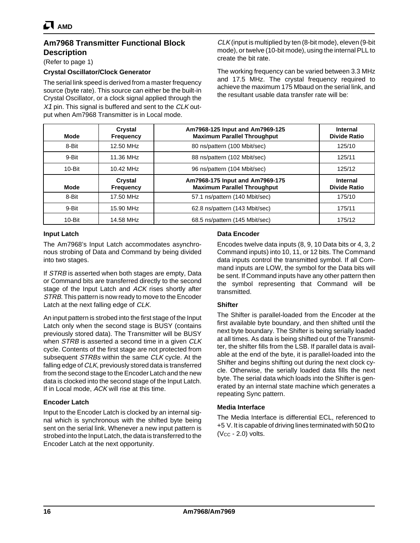# **Am7968 Transmitter Functional Block Description**

(Refer to page 1)

#### **Crystal Oscillator/Clock Generator**

The serial link speed is derived from a master frequency source (byte rate). This source can either be the built-in Crystal Oscillator, or a clock signal applied through the  $X1$  pin. This signal is buffered and sent to the CLK output when Am7968 Transmitter is in Local mode.

CLK (input is multiplied by ten (8-bit mode), eleven (9-bit mode), or twelve (10-bit mode), using the internal PLL to create the bit rate.

The working frequency can be varied between 3.3 MHz and 17.5 MHz. The crystal frequency required to achieve the maximum 175 Mbaud on the serial link, and the resultant usable data transfer rate will be:

| Mode       | Crystal<br><b>Frequency</b> | Am7968-125 Input and Am7969-125<br><b>Maximum Parallel Throughput</b> | Internal<br><b>Divide Ratio</b> |
|------------|-----------------------------|-----------------------------------------------------------------------|---------------------------------|
| 8-Bit      | 12.50 MHz                   | 80 ns/pattern (100 Mbit/sec)                                          | 125/10                          |
| 9-Bit      | 11.36 MHz                   | 88 ns/pattern (102 Mbit/sec)                                          | 125/11                          |
| $10 - Bit$ | 10.42 MHz                   | 96 ns/pattern (104 Mbit/sec)                                          | 125/12                          |
| Mode       | Crystal<br><b>Frequency</b> | Am7968-175 Input and Am7969-175<br><b>Maximum Parallel Throughput</b> | Internal<br><b>Divide Ratio</b> |
| 8-Bit      | 17.50 MHz                   | 57.1 ns/pattern (140 Mbit/sec)                                        | 175/10                          |
| 9-Bit      | 15.90 MHz                   | 62.8 ns/pattern (143 Mbit/sec)                                        | 175/11                          |
| $10 - Bit$ | 14.58 MHz                   | 68.5 ns/pattern (145 Mbit/sec)                                        | 175/12                          |

#### **Input Latch**

The Am7968's Input Latch accommodates asynchronous strobing of Data and Command by being divided into two stages.

If STRB is asserted when both stages are empty, Data or Command bits are transferred directly to the second stage of the Input Latch and ACK rises shortly after STRB. This pattern is now ready to move to the Encoder Latch at the next falling edge of CLK.

An input pattern is strobed into the first stage of the Input Latch only when the second stage is BUSY (contains previously stored data). The Transmitter will be BUSY when *STRB* is asserted a second time in a given *CLK* cycle. Contents of the first stage are not protected from subsequent STRBs within the same CLK cycle. At the falling edge of CLK, previously stored data is transferred from the second stage to the Encoder Latch and the new data is clocked into the second stage of the Input Latch. If in Local mode, ACK will rise at this time.

#### **Encoder Latch**

Input to the Encoder Latch is clocked by an internal signal which is synchronous with the shifted byte being sent on the serial link. Whenever a new input pattern is strobed into the Input Latch, the data is transferred to the Encoder Latch at the next opportunity.

#### **Data Encoder**

Encodes twelve data inputs (8, 9, 10 Data bits or 4, 3, 2 Command inputs) into 10, 11, or 12 bits. The Command data inputs control the transmitted symbol. If all Command inputs are LOW, the symbol for the Data bits will be sent. If Command inputs have any other pattern then the symbol representing that Command will be transmitted.

#### **Shifter**

The Shifter is parallel-loaded from the Encoder at the first available byte boundary, and then shifted until the next byte boundary. The Shifter is being serially loaded at all times. As data is being shifted out of the Transmitter, the shifter fills from the LSB. If parallel data is available at the end of the byte, it is parallel-loaded into the Shifter and begins shifting out during the next clock cycle. Otherwise, the serially loaded data fills the next byte. The serial data which loads into the Shifter is generated by an internal state machine which generates a repeating Sync pattern.

#### **Media Interface**

The Media Interface is differential ECL, referenced to +5 V. It is capable of driving lines terminated with 50  $\Omega$  to  $(Vcc - 2.0)$  volts.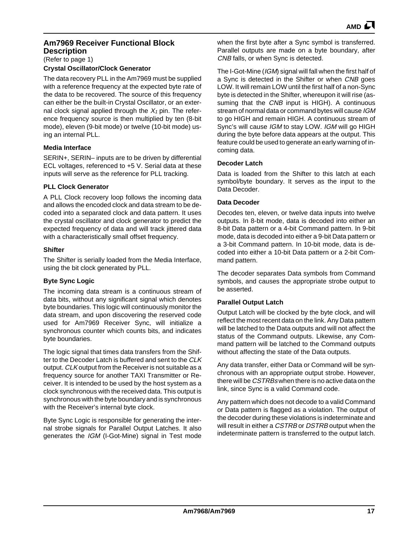# **Am7969 Receiver Functional Block Description**

(Refer to page 1)

#### **Crystal Oscillator/Clock Generator**

The data recovery PLL in the Am7969 must be supplied with a reference frequency at the expected byte rate of the data to be recovered. The source of this frequency can either be the built-in Crystal Oscillator, or an external clock signal applied through the  $X_1$  pin. The reference frequency source is then multiplied by ten (8-bit mode), eleven (9-bit mode) or twelve (10-bit mode) using an internal PLL.

#### **Media Interface**

SERIN+, SERIN– inputs are to be driven by differential ECL voltages, referenced to +5 V. Serial data at these inputs will serve as the reference for PLL tracking.

#### **PLL Clock Generator**

A PLL Clock recovery loop follows the incoming data and allows the encoded clock and data stream to be decoded into a separated clock and data pattern. It uses the crystal oscillator and clock generator to predict the expected frequency of data and will track jittered data with a characteristically small offset frequency.

#### **Shifter**

The Shifter is serially loaded from the Media Interface, using the bit clock generated by PLL.

#### **Byte Sync Logic**

The incoming data stream is a continuous stream of data bits, without any significant signal which denotes byte boundaries. This logic will continuously monitor the data stream, and upon discovering the reserved code used for Am7969 Receiver Sync, will initialize a synchronous counter which counts bits, and indicates byte boundaries.

The logic signal that times data transfers from the Shifter to the Decoder Latch is buffered and sent to the CLK output. CLK output from the Receiver is not suitable as a frequency source for another TAXI Transmitter or Receiver. It is intended to be used by the host system as a clock synchronous with the received data. This output is synchronous with the byte boundary and is synchronous with the Receiver's internal byte clock.

Byte Sync Logic is responsible for generating the internal strobe signals for Parallel Output Latches. It also generates the IGM (I-Got-Mine) signal in Test mode

when the first byte after a Sync symbol is transferred. Parallel outputs are made on a byte boundary, after CNB falls, or when Sync is detected.

The I-Got-Mine (IGM) signal will fall when the first half of a Sync is detected in the Shifter or when CNB goes LOW. It will remain LOW until the first half of a non-Sync byte is detected in the Shifter, whereupon it will rise (assuming that the *CNB* input is HIGH). A continuous stream of normal data or command bytes will cause IGM to go HIGH and remain HIGH. A continuous stream of Sync's will cause IGM to stay LOW. IGM will go HIGH during the byte before data appears at the output. This feature could be used to generate an early warning of incoming data.

## **Decoder Latch**

Data is loaded from the Shifter to this latch at each symbol/byte boundary. It serves as the input to the Data Decoder.

#### **Data Decoder**

Decodes ten, eleven, or twelve data inputs into twelve outputs. In 8-bit mode, data is decoded into either an 8-bit Data pattern or a 4-bit Command pattern. In 9-bit mode, data is decoded into either a 9-bit Data pattern or a 3-bit Command pattern. In 10-bit mode, data is decoded into either a 10-bit Data pattern or a 2-bit Command pattern.

The decoder separates Data symbols from Command symbols, and causes the appropriate strobe output to be asserted.

#### **Parallel Output Latch**

Output Latch will be clocked by the byte clock, and will reflect the most recent data on the link. Any Data pattern will be latched to the Data outputs and will not affect the status of the Command outputs. Likewise, any Command pattern will be latched to the Command outputs without affecting the state of the Data outputs.

Any data transfer, either Data or Command will be synchronous with an appropriate output strobe. However, there will be CSTRBs when there is no active data on the link, since Sync is a valid Command code.

Any pattern which does not decode to a valid Command or Data pattern is flagged as a violation. The output of the decoder during these violations is indeterminate and will result in either a CSTRB or DSTRB output when the indeterminate pattern is transferred to the output latch.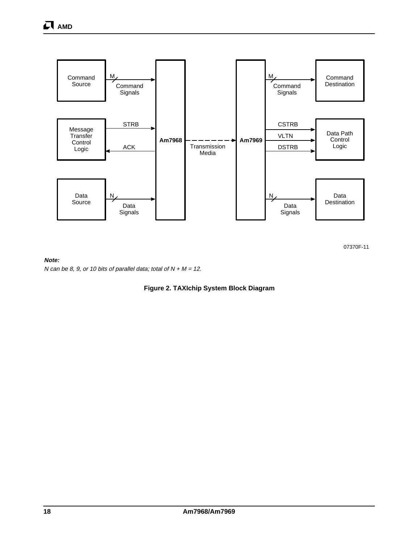

07370F-11

**Note:** N can be 8, 9, or 10 bits of parallel data; total of  $N + M = 12$ .

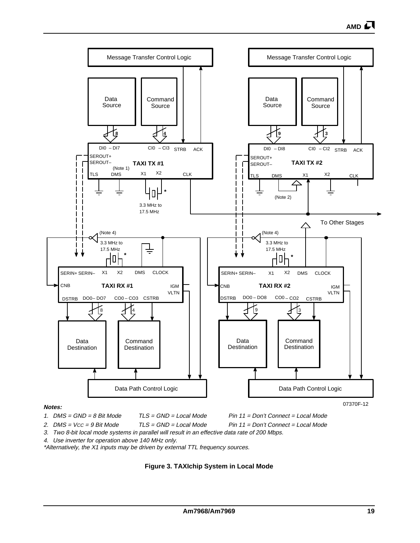

#### **Notes:**

1. DMS = GND = 8 Bit Mode TLS = GND = Local Mode Pin 11 = Don't Connect = Local Mode 2.  $DMS = Vcc = 9$  Bit Mode  $TLS = GND = Local$  Mode Pin 11 = Don't Connect = Local Mode

3. Two 8-bit local mode systems in parallel will result in an effective data rate of 200 Mbps.

4. Use inverter for operation above 140 MHz only.

\*Alternatively, the X1 inputs may be driven by external TTL frequency sources.

**Figure 3. TAXIchip System in Local Mode**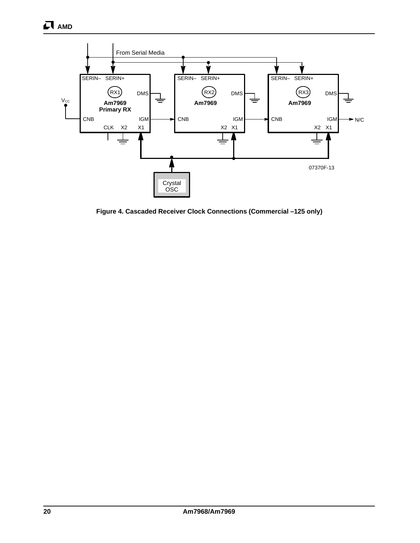

**Figure 4. Cascaded Receiver Clock Connections (Commercial –125 only)**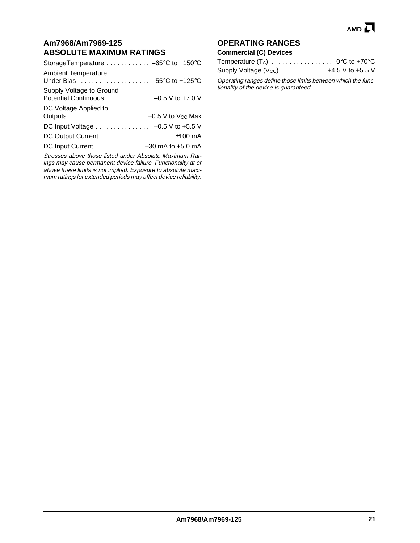# **Am7968/Am7969-125 ABSOLUTE MAXIMUM RATINGS**

| StorageTemperature -65°C to +150°C                                                                          |
|-------------------------------------------------------------------------------------------------------------|
| <b>Ambient Temperature</b><br>Under Bias $\ldots \ldots \ldots \ldots \ldots \ldots -55^{\circ}C$ to +125°C |
| Supply Voltage to Ground<br>Potential Continuous -0.5 V to +7.0 V                                           |
| DC Voltage Applied to                                                                                       |
|                                                                                                             |
| DC Input Voltage -0.5 V to +5.5 V                                                                           |
|                                                                                                             |
| DC Input Current -30 mA to +5.0 mA                                                                          |
| Stresses above those listed under Absolute Maximum Rat-                                                     |
|                                                                                                             |

ings may cause permanent device failure. Functionality at or above these limits is not implied. Exposure to absolute maximum ratings for extended periods may affect device reliability.

# **OPERATING RANGES**

#### **Commercial (C) Devices**

| Temperature $(T_A)$ 0°C to +70°C                                                 |  |  |  |  |  |  |  |  |
|----------------------------------------------------------------------------------|--|--|--|--|--|--|--|--|
| Supply Voltage (V <sub>CC</sub> ) $\ldots \ldots \ldots \ldots +4.5$ V to +5.5 V |  |  |  |  |  |  |  |  |

Operating ranges define those limits between which the functionality of the device is guaranteed.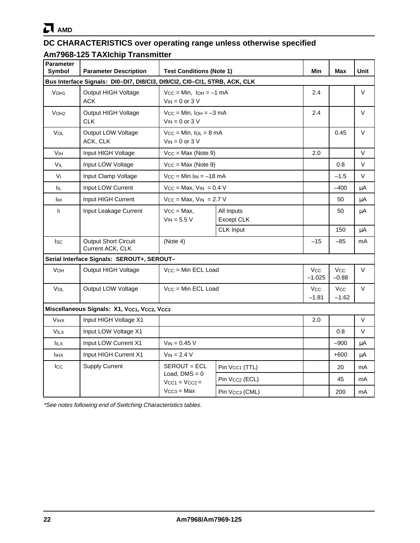# **DC CHARACTERISTICS over operating range unless otherwise specified**

| <b>Parameter</b><br>Symbol | <b>Parameter Description</b>                                              | <b>Test Conditions (Note 1)</b>                           | Min                         | Max                    | Unit                  |    |
|----------------------------|---------------------------------------------------------------------------|-----------------------------------------------------------|-----------------------------|------------------------|-----------------------|----|
|                            | Bus Interface Signals: DI0-DI7, DI8/CI3, DI9/CI2, CI0-CI1, STRB, ACK, CLK |                                                           |                             |                        |                       |    |
| VOH <sub>1</sub>           | Output HIGH Voltage<br><b>ACK</b>                                         | $V_{IN} = 0$ or $3 V$                                     | $Vcc = Min$ , $IOH = -1$ mA |                        |                       |    |
| V <sub>OH2</sub>           | Output HIGH Voltage<br><b>CLK</b>                                         | $V_{CC}$ = Min, $I_{OH}$ = -3 mA<br>$V_{IN} = 0$ or $3 V$ |                             | 2.4                    |                       | V  |
| <b>VOL</b>                 | Output LOW Voltage<br>ACK, CLK                                            | $Vcc = Min$ , $IoL = 8$ mA<br>$V_{IN} = 0$ or $3 V$       |                             |                        | 0.45                  | V  |
| <b>V<sub>IH</sub></b>      | Input HIGH Voltage                                                        | $Vcc = Max (Note 9)$                                      |                             | 2.0                    |                       | V  |
| VIL                        | Input LOW Voltage                                                         | $Vcc = Max (Note 9)$                                      |                             |                        | 0.8                   | V  |
| V <sub>1</sub>             | Input Clamp Voltage                                                       | $V_{CC}$ = Min $I_{IN}$ = -18 mA                          |                             |                        | $-1.5$                | V  |
| IIL.                       | Input LOW Current                                                         | $V_{CC}$ = Max, $V_{IN}$ = 0.4 V                          |                             |                        | $-400$                | μA |
| Iін                        | Input HIGH Current                                                        | $Vcc = Max$ , $V_{IN} = 2.7 V$                            |                             | 50                     | μA                    |    |
| h.                         | Input Leakage Current                                                     | $Vcc = Max$ ,<br>$V_{IN} = 5.5 V$                         | All Inputs<br>Except CLK    |                        | 50                    | μA |
|                            |                                                                           |                                                           | CLK Input                   |                        | 150                   | μA |
| <b>I</b> sc                | <b>Output Short Circuit</b><br>Current ACK, CLK                           | (Note 4)                                                  |                             | $-15$                  | $-85$                 | mA |
|                            | Serial Interface Signals: SEROUT+, SEROUT-                                |                                                           |                             |                        |                       |    |
| <b>VOH</b>                 | Output HIGH Voltage<br>Vcc = Min ECL Load                                 |                                                           |                             | <b>Vcc</b><br>$-1.025$ | <b>Vcc</b><br>$-0.88$ | V  |
| VOL                        | Output LOW Voltage                                                        | V <sub>CC</sub> = Min ECL Load                            |                             | Vcc<br>$-1.81$         | Vcc<br>$-1.62$        | V  |
|                            | Miscellaneous Signals: X1, Vcc1, Vcc2, Vcc3                               |                                                           |                             |                        |                       |    |
| <b>VIHX</b>                | Input HIGH Voltage X1                                                     |                                                           |                             | 2.0                    |                       | V  |
| <b>VILX</b>                | Input LOW Voltage X1                                                      |                                                           |                             |                        | 0.8                   | V  |
| <b>IILX</b>                | Input LOW Current X1                                                      | $V_{IN} = 0.45 V$                                         |                             |                        | $-900$                | μA |
| <b>IIHX</b>                | Input HIGH Current X1                                                     | $V_{IN}$ = 2.4 V                                          |                             |                        | $+600$                | μA |
| $_{\rm lcc}$               | <b>Supply Current</b>                                                     | SEROUT = ECL                                              | Pin V <sub>CC1</sub> (TTL)  |                        | 20                    | mA |
|                            |                                                                           | Load, $DMS = 0$<br>$Vcc1 = Vcc2 =$                        | Pin Vcc <sub>2</sub> (ECL)  |                        | 45                    | mA |
|                            |                                                                           | $Vcc3 = Max$                                              | Pin Vcc <sub>3</sub> (CML)  |                        | 200                   | mA |

# **Am7968-125 TAXIchip Transmitter**

\*See notes following end of Switching Characteristics tables.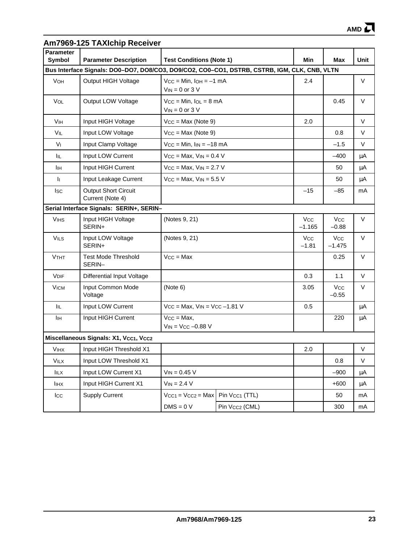|                            | Am7969-125 TAXIchip Receiver                                                                 |                                                      |                            |                        |                                   |             |
|----------------------------|----------------------------------------------------------------------------------------------|------------------------------------------------------|----------------------------|------------------------|-----------------------------------|-------------|
| <b>Parameter</b><br>Symbol | <b>Parameter Description</b>                                                                 | <b>Test Conditions (Note 1)</b>                      |                            | Min                    | Max                               | <b>Unit</b> |
|                            | Bus Interface Signals: DO0-DO7, DO8/CO3, DO9/CO2, CO0-CO1, DSTRB, CSTRB, IGM, CLK, CNB, VLTN |                                                      |                            |                        |                                   |             |
| <b>VOH</b>                 | Output HIGH Voltage                                                                          | $Vcc = Min$ , $lon = -1$ mA<br>$V_{IN} = 0$ or $3 V$ |                            | 2.4                    |                                   | V           |
| VOL                        | Output LOW Voltage                                                                           | $V_{IN} = 0$ or 3 V                                  | $Vcc = Min$ , $IoL = 8$ mA |                        | 0.45                              | $\vee$      |
| VIH                        | Input HIGH Voltage                                                                           |                                                      | $V_{CC}$ = Max (Note 9)    |                        |                                   | V           |
| VIL                        | Input LOW Voltage                                                                            | $Vcc = Max (Note 9)$                                 |                            |                        | 0.8                               | V           |
| V <sub>1</sub>             | Input Clamp Voltage                                                                          | $Vcc = Min$ , $lin = -18$ mA                         |                            |                        | $-1.5$                            | $\vee$      |
| IIL.                       | Input LOW Current                                                                            | $Vcc = Max$ , $V_{IN} = 0.4 V$                       |                            |                        | -400                              | μA          |
| Iін                        | Input HIGH Current                                                                           | $Vcc = Max$ , $V_{IN} = 2.7 V$                       |                            |                        | 50                                | μA          |
| h.                         | Input Leakage Current                                                                        | $Vcc = Max.$ $V_{IN} = 5.5$ V                        |                            |                        | 50                                | μA          |
| <b>Isc</b>                 | <b>Output Short Circuit</b><br>Current (Note 4)                                              |                                                      |                            |                        | $-85$                             | mA          |
|                            | Serial Interface Signals: SERIN+, SERIN-                                                     |                                                      |                            |                        |                                   |             |
| <b>VIHS</b>                | Input HIGH Voltage<br>SERIN+                                                                 | (Notes 9, 21)                                        |                            | <b>Vcc</b><br>$-1.165$ | <b>Vcc</b><br>$-0.88$             | V           |
| VILS                       | Input LOW Voltage<br>SERIN+                                                                  | (Notes 9, 21)                                        |                            |                        | <b>V<sub>cc</sub></b><br>$-1.475$ | V           |
| <b>VTHT</b>                | <b>Test Mode Threshold</b><br>SERIN-                                                         | $Vcc = Max$                                          |                            |                        | 0.25                              | V           |
| <b>VDIF</b>                | Differential Input Voltage                                                                   |                                                      |                            | 0.3                    | 1.1                               | $\vee$      |
| <b>VICM</b>                | Input Common Mode<br>Voltage                                                                 | (Note 6)                                             |                            | 3.05                   | <b>Vcc</b><br>$-0.55$             | V           |
| IIL.                       | Input LOW Current                                                                            | $Vcc = Max$ , $V_{IN} = Vcc - 1.81$ V                |                            | 0.5                    |                                   | μA          |
| IІн                        | Input HIGH Current                                                                           | $Vcc = Max$ ,<br>$V_{IN} = V_{CC} -0.88 V$           |                            |                        | 220                               | μA          |
|                            | Miscellaneous Signals: X1, Vcc1, Vcc2                                                        |                                                      |                            |                        |                                   |             |
| <b>VIHX</b>                | Input HIGH Threshold X1                                                                      |                                                      |                            | 2.0                    |                                   | V           |
| VILX                       | Input LOW Threshold X1                                                                       |                                                      |                            |                        | 0.8                               | V           |
| <b>IILX</b>                | Input LOW Current X1                                                                         | $V_{IN} = 0.45 V$                                    |                            |                        | $-900$                            | μA          |
| <b>I</b> IHX               | Input HIGH Current X1                                                                        | $V_{IN}$ = 2.4 V                                     |                            |                        | $+600$                            | μA          |
| Icc                        | <b>Supply Current</b>                                                                        | $Vcc_1 = Vcc_2 = Max$                                | Pin Vcc <sub>1</sub> (TTL) |                        | 50                                | mA          |
|                            |                                                                                              | $DMS = 0 V$                                          | Pin Vcc <sub>2</sub> (CML) |                        | 300                               | mA          |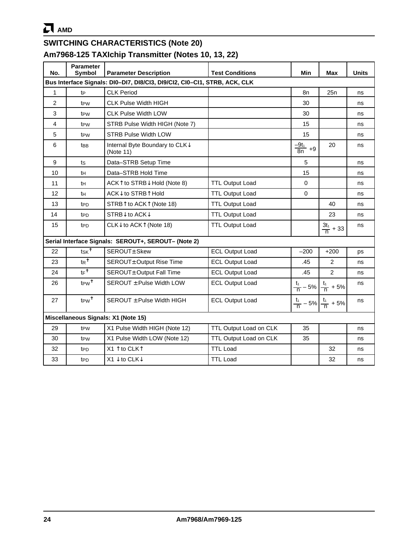# **SWITCHING CHARACTERISTICS (Note 20)**

# **Am7968-125 TAXIchip Transmitter (Notes 10, 13, 22)**

| No.            | <b>Parameter</b><br>Symbol | <b>Parameter Description</b>                                              | <b>Test Conditions</b> | Min                        | Max                                       | Units |
|----------------|----------------------------|---------------------------------------------------------------------------|------------------------|----------------------------|-------------------------------------------|-------|
|                |                            | Bus Interface Signals: DI0-DI7, DI8/CI3, DI9/CI2, CI0-CI1, STRB, ACK, CLK |                        |                            |                                           |       |
| $\mathbf{1}$   | tP                         | <b>CLK Period</b>                                                         |                        | 8n                         | 25n                                       | ns    |
| $\overline{2}$ | t <sub>PW</sub>            | <b>CLK Pulse Width HIGH</b>                                               |                        | 30                         |                                           | ns    |
| 3              | t <sub>PW</sub>            | <b>CLK Pulse Width LOW</b>                                                |                        | 30                         |                                           | ns    |
| 4              | t <sub>PW</sub>            | STRB Pulse Width HIGH (Note 7)                                            |                        | 15                         |                                           | ns    |
| 5              | t <sub>PW</sub>            | <b>STRB Pulse Width LOW</b>                                               |                        | 15                         |                                           | ns    |
| 6              | tBB                        | Internal Byte Boundary to CLK↓<br>(Note 11)                               |                        | $\frac{-9t_1}{8n}$<br>$+9$ | 20                                        | ns    |
| 9              | ts                         | Data-STRB Setup Time                                                      |                        | 5                          |                                           | ns    |
| 10             | tн                         | Data-STRB Hold Time                                                       |                        | 15                         |                                           | ns    |
| 11             | tΗ                         | ACK↑ to STRB↓ Hold (Note 8)                                               | <b>TTL Output Load</b> | $\mathbf 0$                |                                           | ns    |
| 12             | tΗ                         | ACK↓ to STRB↑ Hold                                                        | <b>TTL Output Load</b> | $\Omega$                   |                                           | ns    |
| 13             | tep                        | STRB↑ to ACK↑ (Note 18)                                                   | <b>TTL Output Load</b> |                            | 40                                        | ns    |
| 14             | tPD                        | STRB↓ to ACK↓                                                             | <b>TTL Output Load</b> |                            | 23                                        | ns    |
| 15             | t <sub>PD</sub>            | CLK↓ to ACK↑ (Note 18)                                                    | <b>TTL Output Load</b> |                            | $\frac{3t_1}{n} + 33$                     | ns    |
|                |                            | Serial Interface Signals: SEROUT+, SEROUT- (Note 2)                       |                        |                            |                                           |       |
| 22             | $tsk^{\dagger}$            | <b>SEROUT</b> <sup>+</sup> Skew                                           | <b>ECL Output Load</b> | $-200$                     | $+200$                                    | ps    |
| 23             | $tr^{\dagger}$             | SEROUT± Output Rise Time                                                  | <b>ECL Output Load</b> | .45                        | $\overline{2}$                            | ns    |
| 24             | $tr^{\dagger}$             | SEROUT± Output Fall Time                                                  | <b>ECL Output Load</b> | .45                        | $\overline{2}$                            | ns    |
| 26             | $t$ PW $†$                 | SEROUT ± Pulse Width LOW                                                  | <b>ECL Output Load</b> |                            | $\frac{t_1}{n}$ – 5% $\frac{t_1}{n}$ + 5% | ns    |
| 27             | $t$ PW $†$                 | $SEROUT \pm Pulse Width HIGH$                                             | <b>ECL Output Load</b> |                            | $\frac{t_1}{n}$ – 5% $\frac{t_1}{n}$ + 5% | ns    |
|                |                            | Miscellaneous Signals: X1 (Note 15)                                       |                        |                            |                                           |       |
| 29             | t <sub>PW</sub>            | X1 Pulse Width HIGH (Note 12)                                             | TTL Output Load on CLK | 35                         |                                           | ns    |
| 30             | t <sub>PW</sub>            | X1 Pulse Width LOW (Note 12)                                              | TTL Output Load on CLK | 35                         |                                           | ns    |
| 32             | t <sub>PD</sub>            | $X1 \uparrow$ to CLK $\uparrow$                                           | <b>TTL Load</b>        |                            | 32                                        | ns    |
| 33             | t <sub>PD</sub>            | X1 ↓ to CLK↓                                                              | <b>TTL Load</b>        |                            | 32                                        | ns    |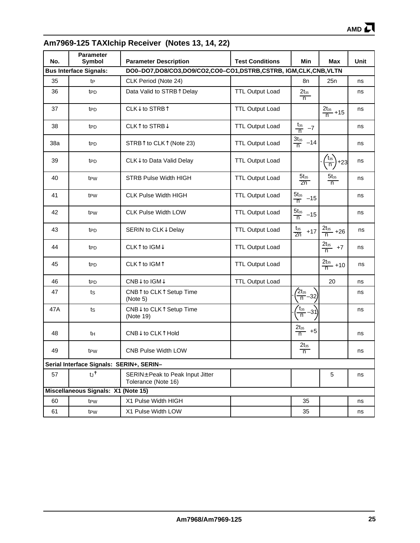| No. | <b>Parameter</b><br>Symbol               | <b>Parameter Description</b>                                                  | <b>Test Conditions</b> | Min                                          | Max                                  | Unit |
|-----|------------------------------------------|-------------------------------------------------------------------------------|------------------------|----------------------------------------------|--------------------------------------|------|
|     | <b>Bus Interface Signals:</b>            | DO0-DO7,DO8/CO3,DO9/CO2,CO0-CO1,DSTRB,CSTRB, IGM,CLK,CNB,VLTN                 |                        |                                              |                                      |      |
| 35  | t <sub>P</sub>                           | CLK Period (Note 24)                                                          |                        | 8n                                           | 25n                                  | ns   |
| 36  | t <sub>PD</sub>                          | Data Valid to STRB↑ Delay                                                     | <b>TTL Output Load</b> | $2t_{35}$<br>$\overline{\mathsf{n}}$         |                                      | ns   |
| 37  | t <sub>PD</sub>                          | CLK↓ to STRB↑                                                                 | <b>TTL Output Load</b> |                                              | $\frac{2t_{35}}{n}$ +15              | ns   |
| 38  | t <sub>PD</sub>                          | CLK↑ to STRB↓                                                                 | <b>TTL Output Load</b> | $\frac{t_{35}}{n}$ -7                        |                                      | ns   |
| 38a | t <sub>PD</sub>                          | STRB <sup><math>\uparrow</math></sup> to CLK $\uparrow$ (Note 23)             | <b>TTL Output Load</b> | $\frac{3t_{35}}{n}$<br>$-14$                 |                                      | ns   |
| 39  | tPD                                      | CLK↓ to Data Valid Delay                                                      | <b>TTL Output Load</b> |                                              | $\frac{t_{35}}{n}$<br>$+23$          | ns   |
| 40  | t <sub>PW</sub>                          | <b>STRB Pulse Width HIGH</b>                                                  | <b>TTL Output Load</b> | $5t_{35}$<br>2n                              | $5t_{35}$<br>$\overline{\mathsf{n}}$ | ns   |
| 41  | t <sub>PW</sub>                          | CLK Pulse Width HIGH                                                          | <b>TTL Output Load</b> | $\frac{5t_{35}}{n}$<br>$-15$                 |                                      | ns   |
| 42  | t <sub>PW</sub>                          | <b>CLK Pulse Width LOW</b>                                                    | <b>TTL Output Load</b> | $\frac{5t_{35}}{n}$<br>$-15$                 |                                      | ns   |
| 43  | t <sub>PD</sub>                          | SERIN to CLK↓ Delay                                                           | <b>TTL Output Load</b> | $\frac{t_{35}}{2n}$<br>$+17$                 | $\frac{2t_{35}}{n}$<br>$+26$         | ns   |
| 44  | tPD                                      | CLK↑ to IGM↓                                                                  | <b>TTL Output Load</b> |                                              | $\frac{2t_{35}}{n}$<br>$+7$          | ns   |
| 45  | tPD                                      | CLK <sup>1</sup> to IGM <sup>1</sup>                                          | <b>TTL Output Load</b> |                                              | $\frac{2t_{35}}{n}$ +10              | ns   |
| 46  | t <sub>PD</sub>                          | CNB↓ to IGM↓                                                                  | <b>TTL Output Load</b> |                                              | 20                                   | ns   |
| 47  | ts                                       | CNB <sup><math>\uparrow</math></sup> to CLK $\uparrow$ Setup Time<br>(Note 5) |                        | $2t_{35}$<br>$\frac{1}{n}$ –32)              |                                      | ns   |
| 47A | ts                                       | CNB↓ to CLK↑ Setup Time<br>(Note 19)                                          |                        | $t_{35}$<br>-31)<br>$\overline{\phantom{a}}$ |                                      | ns   |
| 48  | tΗ                                       | CNB↓ to CLK↑ Hold                                                             |                        | $\frac{2t_{35}}{n}$<br>$+5$                  |                                      | ns   |
| 49  | t <sub>PW</sub>                          | <b>CNB Pulse Width LOW</b>                                                    |                        | $2t_{35}$<br>$\overline{n}$                  |                                      | ns   |
|     | Serial Interface Signals: SERIN+, SERIN- |                                                                               |                        |                                              |                                      |      |
| 57  | $t_J$ <sup>†</sup>                       | SERIN± Peak to Peak Input Jitter<br>Tolerance (Note 16)                       |                        |                                              | 5                                    | ns   |
|     | Miscellaneous Signals: X1 (Note 15)      |                                                                               |                        |                                              |                                      |      |
| 60  | t <sub>PW</sub>                          | X1 Pulse Width HIGH                                                           |                        | 35                                           |                                      | ns   |
| 61  | tew                                      | X1 Pulse Width LOW                                                            |                        | 35                                           |                                      | ns   |

# **Am7969-125 TAXIchip Receiver (Notes 13, 14, 22)**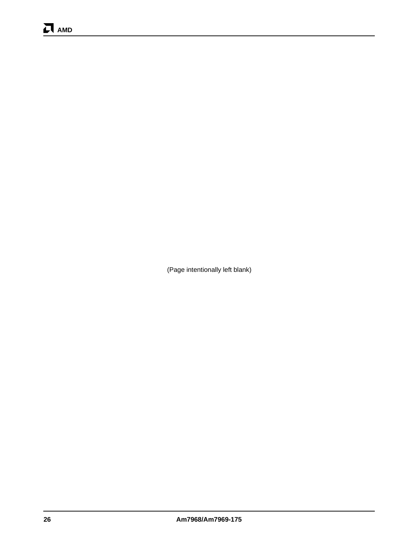(Page intentionally left blank)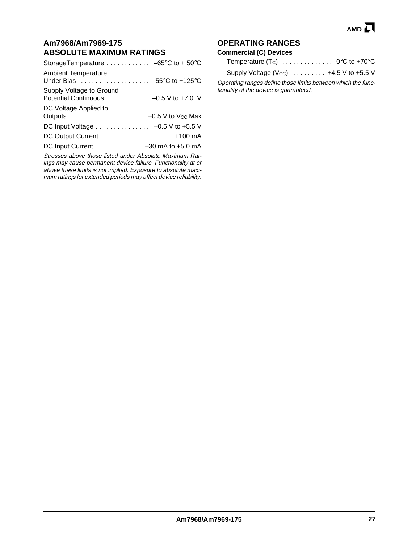# **Am7968/Am7969-175 ABSOLUTE MAXIMUM RATINGS**

| StorageTemperature  -65°C to +50°C                                                                   |
|------------------------------------------------------------------------------------------------------|
| <b>Ambient Temperature</b><br>Under Bias $\ldots \ldots \ldots \ldots \ldots -55^{\circ}C$ to +125°C |
| Supply Voltage to Ground                                                                             |
| Potential Continuous -0.5 V to +7.0 V                                                                |
| DC Voltage Applied to                                                                                |
|                                                                                                      |
| DC Input Voltage -0.5 V to +5.5 V                                                                    |
| DC Output Current  +100 mA                                                                           |
| DC Input Current -30 mA to +5.0 mA                                                                   |
| Stresses above those listed under Absolute Maximum Rat-                                              |

ings may cause permanent device failure. Functionality at or above these limits is not implied. Exposure to absolute maximum ratings for extended periods may affect device reliability.

# **OPERATING RANGES**

## **Commercial (C) Devices**

| Temperature $(T_c)$ 0°C to +70°C |  |  |
|----------------------------------|--|--|
|----------------------------------|--|--|

| Supply Voltage (Vcc) +4.5 V to +5.5 V |  |
|---------------------------------------|--|
|                                       |  |

Operating ranges define those limits between which the functionality of the device is guaranteed.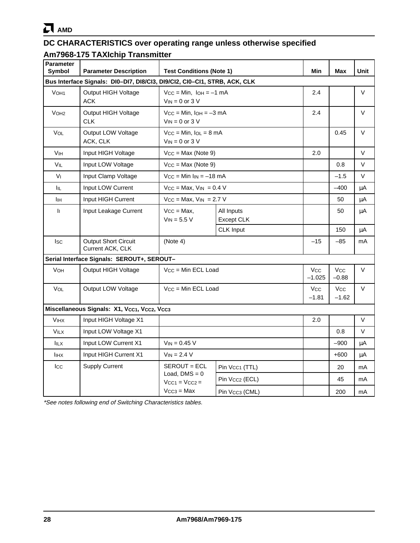# **DC CHARACTERISTICS over operating range unless otherwise specified**

| <b>Parameter</b><br>Symbol | <b>Parameter Description</b>                                              | <b>Test Conditions (Note 1)</b>                         |                                 | Min                              | <b>Max</b>                       | Unit   |
|----------------------------|---------------------------------------------------------------------------|---------------------------------------------------------|---------------------------------|----------------------------------|----------------------------------|--------|
|                            | Bus Interface Signals: DI0-DI7, DI8/CI3, DI9/CI2, CI0-CI1, STRB, ACK, CLK |                                                         |                                 |                                  |                                  |        |
| VOH <sub>1</sub>           | Output HIGH Voltage<br><b>ACK</b>                                         | $Vcc = Min$ , $lon = -1$ mA<br>$V_{IN} = 0$ or $3 V$    |                                 | 2.4                              |                                  | V      |
| V <sub>OH2</sub>           | Output HIGH Voltage<br><b>CLK</b>                                         | $V_{CC}$ = Min, $I_{OH}$ = -3 mA<br>$V_{IN} = 0$ or 3 V |                                 | 2.4                              |                                  | V      |
| VOL                        | Output LOW Voltage<br>ACK, CLK                                            | $Vcc = Min$ , $IoL = 8 mA$<br>$V_{IN} = 0$ or $3 V$     |                                 |                                  | 0.45                             | V      |
| VIH                        | Input HIGH Voltage                                                        | $Vcc = Max (Note 9)$                                    |                                 | 2.0                              |                                  | V      |
| VIL                        | Input LOW Voltage                                                         | $Vcc = Max (Note 9)$                                    |                                 |                                  | 0.8                              | V      |
| V <sub>1</sub>             | Input Clamp Voltage                                                       | $V_{CC}$ = Min $I_{IN}$ = -18 mA                        |                                 |                                  | $-1.5$                           | $\vee$ |
| Iц.                        | Input LOW Current                                                         | $V_{\text{CC}}$ = Max. $V_{\text{IN}}$ = 0.4 V          |                                 |                                  | $-400$                           | μA     |
| Iін                        | Input HIGH Current                                                        | $Vcc = Max$ , $V_{IN} = 2.7 V$                          |                                 |                                  | 50                               | μA     |
| $\mathbf{I}$               | Input Leakage Current                                                     | $Vcc = Max$ ,<br>$V_{IN}$ = 5.5 V                       | All Inputs<br><b>Except CLK</b> |                                  | 50                               | μA     |
|                            |                                                                           |                                                         | CLK Input                       |                                  | 150                              | μA     |
| <b>Isc</b>                 | <b>Output Short Circuit</b><br>Current ACK, CLK                           | (Note 4)                                                |                                 | $-15$                            | $-85$                            | mA     |
|                            | Serial Interface Signals: SEROUT+, SEROUT-                                |                                                         |                                 |                                  |                                  |        |
| <b>VOH</b>                 | Output HIGH Voltage                                                       | $Vcc = Min ECL Load$                                    |                                 | <b>Vcc</b><br>$-1.025$           | <b>Vcc</b><br>$-0.88$            | V      |
| VOL                        | Output LOW Voltage                                                        | $V_{CC}$ = Min ECL Load                                 |                                 | <b>V<sub>cc</sub></b><br>$-1.81$ | <b>V<sub>cc</sub></b><br>$-1.62$ | V      |
|                            | Miscellaneous Signals: X1, Vcc1, Vcc2, Vcc3                               |                                                         |                                 |                                  |                                  |        |
| <b>VIHX</b>                | Input HIGH Voltage X1                                                     |                                                         |                                 | 2.0                              |                                  | V      |
| <b>VILX</b>                | Input LOW Voltage X1                                                      |                                                         |                                 |                                  | 0.8                              | V      |
| <b>IILX</b>                | Input LOW Current X1                                                      | $V_{IN}$ = 0.45 V                                       |                                 |                                  | $-900$                           | μA     |
| <b>I</b> IHX               | Input HIGH Current X1                                                     | $V_{IN} = 2.4 V$                                        |                                 |                                  | $+600$                           | μA     |
| $_{\text{Lcc}}$            | <b>Supply Current</b>                                                     | SEROUT = ECL                                            | Pin Vcc <sub>1</sub> (TTL)      |                                  | 20                               | mA     |
|                            |                                                                           | Load, $DMS = 0$<br>$Vcc1 = Vcc2 =$                      | Pin Vcc <sub>2</sub> (ECL)      |                                  | 45                               | mA     |
|                            |                                                                           | $Vcc3 = Max$                                            | Pin Vcc <sub>3</sub> (CML)      |                                  | 200                              | mA     |

# **Am7968-175 TAXIchip Transmitter**

\*See notes following end of Switching Characteristics tables.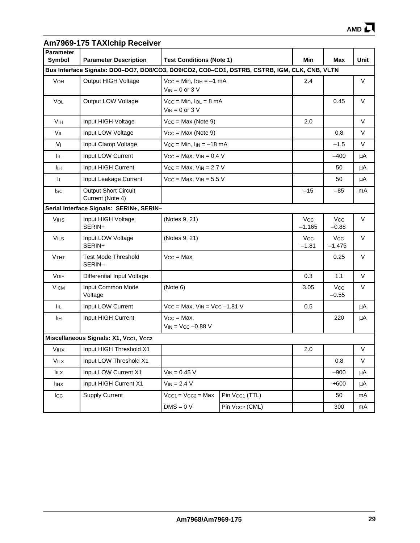|                            | Am7969-175 TAXIchip Receiver                                                                 |                                                    |                            |                        |                                  |             |
|----------------------------|----------------------------------------------------------------------------------------------|----------------------------------------------------|----------------------------|------------------------|----------------------------------|-------------|
| <b>Parameter</b><br>Symbol | <b>Parameter Description</b>                                                                 | <b>Test Conditions (Note 1)</b>                    |                            | <b>Min</b>             | Max                              | <b>Unit</b> |
|                            | Bus Interface Signals: DO0-DO7, DO8/CO3, DO9/CO2, CO0-CO1, DSTRB, CSTRB, IGM, CLK, CNB, VLTN |                                                    |                            |                        |                                  |             |
| <b>VOH</b>                 | Output HIGH Voltage                                                                          | $Vcc = Min$ , $IOH = -1$ mA<br>$V_{IN} = 0$ or 3 V |                            | 2.4                    |                                  | $\vee$      |
| <b>VOL</b>                 | Output LOW Voltage                                                                           | $V_{IN} = 0$ or 3 V                                | $Vcc = Min$ , $IoL = 8$ mA |                        | 0.45                             | $\vee$      |
| V <sub>IH</sub>            | Input HIGH Voltage                                                                           | $V_{CC}$ = Max (Note 9)                            |                            | 2.0                    |                                  | V           |
| VIL                        | Input LOW Voltage                                                                            | $Vcc = Max (Note 9)$                               |                            |                        | 0.8                              | V           |
| V <sub>1</sub>             | Input Clamp Voltage                                                                          | $Vcc = Min$ , $lin = -18$ mA                       |                            |                        | $-1.5$                           | V           |
| Ιıμ                        | Input LOW Current                                                                            | $Vcc = Max$ , $V_{IN} = 0.4 V$                     |                            |                        | $-400$                           | μA          |
| Iін                        | Input HIGH Current                                                                           | $Vcc = Max$ , $V_{IN} = 2.7 V$                     |                            |                        | 50                               | μA          |
| h.                         | Input Leakage Current                                                                        | $Vcc = Max$ , $V_{IN} = 5.5 V$                     |                            |                        | 50                               | $\mu$ A     |
| <b>I</b> sc                | <b>Output Short Circuit</b><br>Current (Note 4)                                              |                                                    |                            | $-15$                  | $-85$                            | mA          |
|                            | Serial Interface Signals: SERIN+, SERIN-                                                     |                                                    |                            |                        |                                  |             |
| <b>VIHS</b>                | Input HIGH Voltage<br>SERIN+                                                                 | (Notes 9, 21)                                      |                            | <b>Vcc</b><br>$-1.165$ | <b>Vcc</b><br>$-0.88$            | V           |
| VILS                       | Input LOW Voltage<br>SERIN+                                                                  | (Notes 9, 21)                                      |                            |                        | <b>Vcc</b><br>$-1.475$           | V           |
| <b>VTHT</b>                | <b>Test Mode Threshold</b><br>SERIN-                                                         | $Vcc = Max$                                        |                            |                        | 0.25                             | V           |
| <b>VDIF</b>                | Differential Input Voltage                                                                   |                                                    |                            | 0.3                    | 1.1                              | V           |
| <b>VICM</b>                | Input Common Mode<br>Voltage                                                                 | (Note 6)                                           |                            | 3.05                   | <b>V<sub>cc</sub></b><br>$-0.55$ | V           |
| Ιıμ                        | Input LOW Current                                                                            | $Vcc = Max$ , $V_{IN} = Vcc -1.81$ V               |                            | 0.5                    |                                  | μA          |
| Iін                        | Input HIGH Current                                                                           | $Vcc = Max$ ,<br>$V_{IN}$ = $V_{CC}$ -0.88 V       |                            |                        | 220                              | μA          |
|                            | Miscellaneous Signals: X1, Vcc1, Vcc2                                                        |                                                    |                            |                        |                                  |             |
| <b>VIHX</b>                | Input HIGH Threshold X1                                                                      |                                                    |                            | 2.0                    |                                  | V           |
| <b>VILX</b>                | Input LOW Threshold X1                                                                       |                                                    |                            |                        | 0.8                              | V           |
| <b>IILX</b>                | Input LOW Current X1                                                                         | $V_{IN} = 0.45 V$                                  |                            |                        | $-900$                           | μA          |
| <b>I</b> IHX               | Input HIGH Current X1                                                                        | $V_{IN}$ = 2.4 V                                   |                            |                        | $+600$                           | μA          |
| Icc                        | <b>Supply Current</b>                                                                        | $Vcc1 = Vcc2 = Max$                                | Pin Vcc <sub>1</sub> (TTL) |                        | 50                               | mA          |
|                            |                                                                                              | $DMS = 0 V$                                        | Pin Vcc <sub>2</sub> (CML) |                        | 300                              | mA          |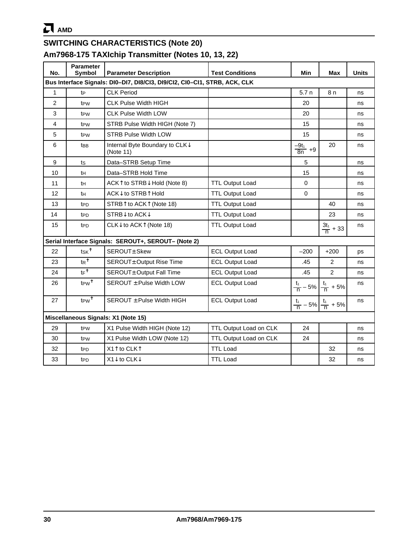# **SWITCHING CHARACTERISTICS (Note 20)**

# **Am7968-175 TAXIchip Transmitter (Notes 10, 13, 22)**

| No.            | <b>Parameter</b><br>Symbol | <b>Parameter Description</b>                                              | <b>Test Conditions</b> | Min                   | Max                                       | Units |
|----------------|----------------------------|---------------------------------------------------------------------------|------------------------|-----------------------|-------------------------------------------|-------|
|                |                            | Bus Interface Signals: DI0-DI7, DI8/CI3, DI9/CI2, CI0-CI1, STRB, ACK, CLK |                        |                       |                                           |       |
| $\mathbf 1$    | tP                         | <b>CLK Period</b>                                                         |                        | 5.7 n                 | 8n                                        | ns    |
| 2              | t <sub>PW</sub>            | <b>CLK Pulse Width HIGH</b>                                               |                        | 20                    |                                           | ns    |
| 3              | t <sub>PW</sub>            | <b>CLK Pulse Width LOW</b>                                                |                        | 20                    |                                           | ns    |
| $\overline{4}$ | t <sub>PW</sub>            | STRB Pulse Width HIGH (Note 7)                                            |                        | 15                    |                                           | ns    |
| 5              | t <sub>PW</sub>            | <b>STRB Pulse Width LOW</b>                                               |                        | 15                    |                                           | ns    |
| 6              | tBB                        | Internal Byte Boundary to CLK↓<br>(Note 11)                               |                        | $\frac{-9t_1}{8n}$ +9 | 20                                        | ns    |
| 9              | ts                         | Data-STRB Setup Time                                                      |                        | 5                     |                                           | ns    |
| 10             | tн                         | Data-STRB Hold Time                                                       |                        | 15                    |                                           | ns    |
| 11             | tΗ                         | ACK↑ to STRB↓ Hold (Note 8)                                               | <b>TTL Output Load</b> | $\mathbf 0$           |                                           | ns    |
| 12             | tн                         | ACK↓ to STRB <sup>↑</sup> Hold                                            | <b>TTL Output Load</b> | $\Omega$              |                                           | ns    |
| 13             | tep                        | STRB↑ to ACK↑ (Note 18)                                                   | <b>TTL Output Load</b> |                       | 40                                        | ns    |
| 14             | t <sub>PD</sub>            | STRB↓ to ACK↓                                                             | <b>TTL Output Load</b> |                       | 23                                        | ns    |
| 15             | t <sub>PD</sub>            | CLK↓ to ACK↑ (Note 18)                                                    | <b>TTL Output Load</b> |                       | $\frac{3t_1}{n} + 33$                     | ns    |
|                |                            | Serial Interface Signals: SEROUT+, SEROUT- (Note 2)                       |                        |                       |                                           |       |
| 22             | $tsk^{\dagger}$            | SEROUT± Skew                                                              | <b>ECL Output Load</b> | $-200$                | $+200$                                    | ps    |
| 23             | $tr{tr}$                   | SEROUT± Output Rise Time                                                  | <b>ECL Output Load</b> | .45                   | $\overline{2}$                            | ns    |
| 24             | $tr^{\dagger}$             | SEROUT± Output Fall Time                                                  | <b>ECL Output Load</b> | .45                   | 2                                         | ns    |
| 26             | $t_{\text{PW}}^{\dagger}$  | SEROUT ± Pulse Width LOW                                                  | <b>ECL Output Load</b> |                       | $\frac{t_1}{n}$ – 5% $\frac{t_1}{n}$ + 5% | ns    |
| 27             | $t_{\text{PW}}^{\dagger}$  | SEROUT ± Pulse Width HIGH                                                 | <b>ECL Output Load</b> |                       | $\frac{t_1}{n}$ - 5% $\frac{t_1}{n}$ + 5% | ns    |
|                |                            | Miscellaneous Signals: X1 (Note 15)                                       |                        |                       |                                           |       |
| 29             | t <sub>PW</sub>            | X1 Pulse Width HIGH (Note 12)                                             | TTL Output Load on CLK | 24                    |                                           | ns    |
| 30             | t <sub>PW</sub>            | X1 Pulse Width LOW (Note 12)                                              | TTL Output Load on CLK | 24                    |                                           | ns    |
| 32             | t <sub>PD</sub>            | $X1 \uparrow$ to CLK $\uparrow$                                           | <b>TTL Load</b>        |                       | 32                                        | ns    |
| 33             | t <sub>PD</sub>            | X1↓ to CLK↓                                                               | <b>TTL Load</b>        |                       | 32                                        | ns    |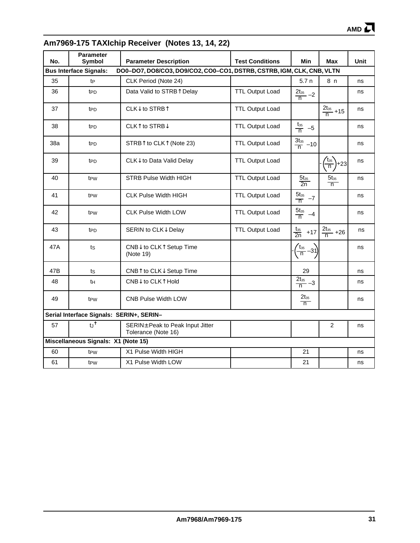| No. | <b>Parameter</b><br>Symbol               | <b>Parameter Description</b>                                          | <b>Test Conditions</b> | Min                                          | <b>Max</b>                                   | Unit |
|-----|------------------------------------------|-----------------------------------------------------------------------|------------------------|----------------------------------------------|----------------------------------------------|------|
|     | <b>Bus Interface Signals:</b>            | DO0-DO7, DO8/CO3, DO9/CO2, CO0-CO1, DSTRB, CSTRB, IGM, CLK, CNB, VLTN |                        |                                              |                                              |      |
| 35  | tP                                       | CLK Period (Note 24)                                                  |                        | 5.7n                                         | 8 n                                          | ns   |
| 36  | t <sub>PD</sub>                          | Data Valid to STRB <sup><math>\uparrow</math></sup> Delay             | <b>TTL Output Load</b> | $\frac{2t_{35}}{n}$ -2                       |                                              | ns   |
| 37  | t <sub>PD</sub>                          | CLK↓ to STRB↑                                                         | <b>TTL Output Load</b> |                                              | $\frac{2t_{35}}{n}$ +15                      | ns   |
| 38  | tPD                                      | CLK↑ to STRB↓                                                         | <b>TTL Output Load</b> | $\frac{t_{35}}{n}$<br>$-5$                   |                                              | ns   |
| 38a | t <sub>PD</sub>                          | STRB <sup><math>\uparrow</math></sup> to CLK $\uparrow$ (Note 23)     | <b>TTL Output Load</b> | $\frac{3t_{35}}{n}$ -10                      |                                              | ns   |
| 39  | t <sub>PD</sub>                          | CLK↓ to Data Valid Delay                                              | <b>TTL Output Load</b> |                                              | $t_{35}$<br>$+23$<br>$\overline{\mathsf{n}}$ | ns   |
| 40  | t <sub>PW</sub>                          | <b>STRB Pulse Width HIGH</b>                                          | <b>TTL Output Load</b> | $\frac{5t_{35}}{2n}$                         | $5t_{35}$<br>$\overline{\mathsf{n}}$         | ns   |
| 41  | t <sub>PW</sub>                          | <b>CLK Pulse Width HIGH</b>                                           | <b>TTL Output Load</b> | $\frac{5t_{35}}{n}$<br>$-7$                  |                                              | ns   |
| 42  | t <sub>PW</sub>                          | <b>CLK Pulse Width LOW</b>                                            | <b>TTL Output Load</b> | $\frac{5t_{35}}{n}$<br>$-4$                  |                                              | ns   |
| 43  | t <sub>PD</sub>                          | SERIN to CLK↓ Delay                                                   | <b>TTL Output Load</b> | $\frac{t_{35}}{2n}$<br>$+17$                 | $\frac{2t_{35}}{n}$ +26                      | ns   |
| 47A | ts                                       | CNB↓ to CLK↑ Setup Time<br>(Note 19)                                  |                        | $\frac{t_{35}}{n}$<br>-31                    |                                              | ns   |
| 47B | ts                                       | CNB↑ to CLK↓ Setup Time                                               |                        | 29                                           |                                              | ns   |
| 48  | tΗ                                       | CNB↓ to CLK↑ Hold                                                     |                        | $2t_{35}$<br>$-3$<br>$\overline{\mathsf{n}}$ |                                              | ns   |
| 49  | t <sub>PW</sub>                          | <b>CNB Pulse Width LOW</b>                                            |                        | $2t_{35}$<br>$\overline{n}$                  |                                              | ns   |
|     | Serial Interface Signals: SERIN+, SERIN- |                                                                       |                        |                                              |                                              |      |
| 57  | $t_J$ <sup>+</sup>                       | SERIN± Peak to Peak Input Jitter<br>Tolerance (Note 16)               |                        |                                              | 2                                            | ns   |
|     | Miscellaneous Signals: X1 (Note 15)      |                                                                       |                        |                                              |                                              |      |
| 60  | t <sub>PW</sub>                          | X1 Pulse Width HIGH                                                   |                        | 21                                           |                                              | ns   |
| 61  | t <sub>PW</sub>                          | X1 Pulse Width LOW                                                    |                        | 21                                           |                                              | ns   |

# **Am7969-175 TAXIchip Receiver (Notes 13, 14, 22)**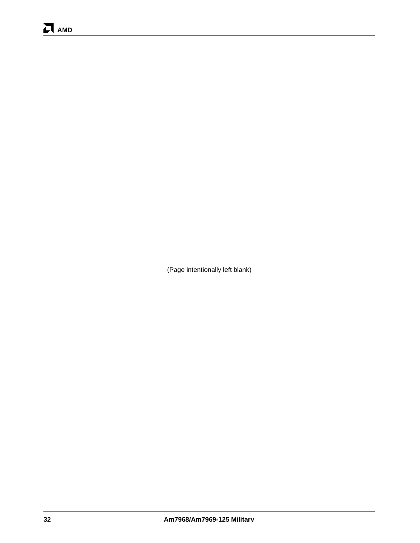(Page intentionally left blank)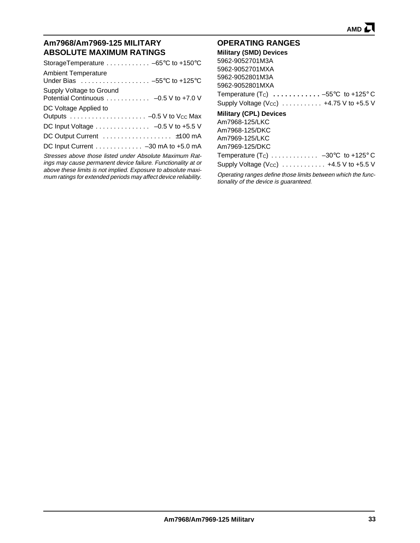# **Am7968/Am7969-125 MILITARY ABSOLUTE MAXIMUM RATINGS**

| StorageTemperature -65°C to +150°C                                                                                      |
|-------------------------------------------------------------------------------------------------------------------------|
| <b>Ambient Temperature</b><br>Under Bias $\ldots \ldots \ldots \ldots \ldots -55^{\circ}$ C to +125°C                   |
| Supply Voltage to Ground<br>Potential Continuous -0.5 V to +7.0 V                                                       |
| DC Voltage Applied to                                                                                                   |
|                                                                                                                         |
| DC Input Voltage $\dots \dots \dots \dots -0.5$ V to +5.5 V                                                             |
|                                                                                                                         |
| DC Input Current -30 mA to +5.0 mA                                                                                      |
| Stresses above those listed under Absolute Maximum Rat-<br>ings may cause permanent device failure. Functionality at or |

ings may cause permanent device failure. Functionality at or above these limits is not implied. Exposure to absolute maximum ratings for extended periods may affect device reliability.

# **OPERATING RANGES**

| <b>Military (SMD) Devices</b>                            |
|----------------------------------------------------------|
| 5962-9052701M3A                                          |
| 5962-9052701MXA                                          |
| 5962-9052801M3A                                          |
| 5962-9052801MXA                                          |
| Temperature (Tc) $\dots\dots\dots\dots -55$ °C to +125°C |
| Supply Voltage (Vcc)  +4.75 V to +5.5 V                  |
| <b>Military (CPL) Devices</b>                            |
| Am7968-125/LKC                                           |
| $\Delta$ m7968-125/DKC                                   |

| AIII <i>I</i> 900-TZƏ/LNU                                 |
|-----------------------------------------------------------|
| Am7968-125/DKC                                            |
| Am7969-125/LKC                                            |
| Am7969-125/DKC                                            |
| Temperature (Tc) $\dots\dots\dots\dots -$ 30°C to +125° C |
| Supply Voltage (Vcc) 44.5 V to +5.5 V                     |

Operating ranges define those limits between which the functionality of the device is guaranteed.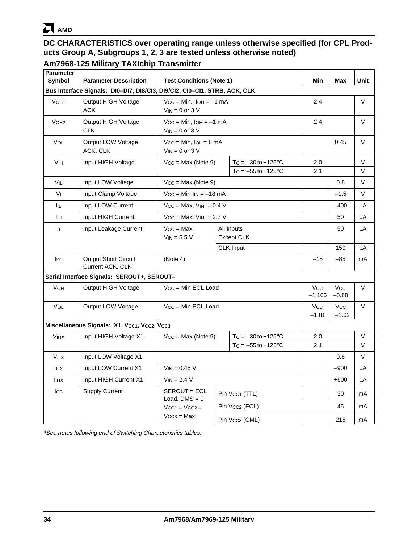# **DC CHARACTERISTICS over operating range unless otherwise specified (for CPL Products Group A, Subgroups 1, 2, 3 are tested unless otherwise noted)**

| <b>Parameter</b><br>Symbol | <b>Parameter Description</b>                                              | <b>Test Conditions (Note 1)</b>                                         | Min                              | Max                                             | Unit                  |                                  |             |  |
|----------------------------|---------------------------------------------------------------------------|-------------------------------------------------------------------------|----------------------------------|-------------------------------------------------|-----------------------|----------------------------------|-------------|--|
|                            | Bus Interface Signals: DI0-DI7, DI8/CI3, DI9/CI2, CI0-CI1, STRB, ACK, CLK |                                                                         |                                  |                                                 |                       |                                  |             |  |
| V <sub>OH1</sub>           | Output HIGH Voltage<br><b>ACK</b>                                         | $V_{IN} = 0$ or 3 V                                                     | $V_{CC}$ = Min, $I_{OH}$ = -1 mA |                                                 |                       |                                  | V           |  |
| V <sub>OH2</sub>           | Output HIGH Voltage<br><b>CLK</b>                                         | $Vcc = Min$ , $IOH = -1$ mA<br>$V_{IN} = 0$ or $3 V$                    |                                  |                                                 | 2.4                   |                                  | V           |  |
| VOL                        | Output LOW Voltage<br>ACK, CLK                                            | $Vcc = Min$ , $IoL = 8$ mA<br>$V_{IN} = 0$ or 3 V                       |                                  |                                                 |                       | 0.45                             | V           |  |
| VIH                        | Input HIGH Voltage                                                        | $V_{CC}$ = Max (Note 9)                                                 |                                  | $T_C = -30$ to +125°C<br>$T_c = -55$ to +125 °C | 2.0<br>2.1            |                                  | V<br>$\vee$ |  |
| VIL                        | Input LOW Voltage                                                         | $Vcc = Max (Note 9)$                                                    |                                  |                                                 |                       | 0.8                              | V           |  |
| Vı                         | Input Clamp Voltage                                                       | $Vcc = Min$ $I_{IN} = -18$ mA                                           |                                  |                                                 |                       | $-1.5$                           | V           |  |
| IIL.                       | Input LOW Current                                                         | $Vcc = Max$ , $V_{IN} = 0.4 V$                                          |                                  |                                                 |                       | $-400$                           | μA          |  |
| Iін                        | Input HIGH Current                                                        | $Vcc = Max$ , $V_{IN} = 2.7 V$                                          |                                  |                                                 |                       | 50                               | μA          |  |
| h.                         | Input Leakage Current                                                     | $V_{CC} = Max$ ,<br>All Inputs<br>$V_{IN} = 5.5 V$<br><b>Except CLK</b> |                                  |                                                 | 50                    | μA                               |             |  |
|                            |                                                                           |                                                                         |                                  | CLK Input                                       |                       | 150                              | μA          |  |
| <b>Isc</b>                 | <b>Output Short Circuit</b><br>Current ACK, CLK                           | (Note 4)                                                                |                                  |                                                 | $-15$                 | $-85$                            | mA          |  |
|                            | Serial Interface Signals: SEROUT+, SEROUT-                                |                                                                         |                                  |                                                 |                       |                                  |             |  |
| VOH                        | Output HIGH Voltage                                                       | V <sub>CC</sub> = Min ECL Load                                          |                                  |                                                 | Vcc<br>$-1.165$       | <b>V<sub>CC</sub></b><br>$-0.88$ | V           |  |
| VOL                        | Output LOW Voltage                                                        | $Vcc = Min ECL Load$                                                    |                                  |                                                 | <b>Vcc</b><br>$-1.81$ | <b>Vcc</b><br>$-1.62$            | V           |  |
|                            | Miscellaneous Signals: X1, Vcc1, Vcc2, Vcc3                               |                                                                         |                                  |                                                 |                       |                                  |             |  |
| <b>VIHX</b>                | Input HIGH Voltage X1                                                     | $Vcc = Max (Note 9)$                                                    |                                  | $TC = -30$ to +125 $\degree$ C                  | 2.0                   |                                  | V           |  |
|                            |                                                                           |                                                                         |                                  | $TC = -55$ to $+125^{\circ}C$                   | 2.1                   |                                  | $\vee$      |  |
| <b>VILX</b>                | Input LOW Voltage X1                                                      |                                                                         |                                  |                                                 |                       | 0.8                              | V           |  |
| <b>IILX</b>                | Input LOW Current X1                                                      | $V_{IN} = 0.45 V$                                                       |                                  |                                                 |                       | $-900$                           | μA          |  |
| <b>I</b> IHX               | Input HIGH Current X1                                                     | $V_{IN}$ = 2.4 V                                                        |                                  |                                                 |                       | $+600$                           | μA          |  |
| <b>I</b> cc                | <b>Supply Current</b>                                                     | SEROUT = ECL<br>Load, $DMS = 0$                                         |                                  | Pin Vcc <sub>1</sub> (TTL)                      |                       | 30                               | mA          |  |
|                            |                                                                           | $Vcc1 = Vcc2 =$                                                         | Pin Vcc <sub>2</sub> (ECL)       |                                                 |                       | 45                               | mA          |  |
|                            |                                                                           | $V_{CC3} = Max$<br>Pin V <sub>CC3</sub> (CML)                           |                                  |                                                 |                       | 215                              | mA          |  |

**Am7968-125 Military TAXIchip Transmitter**

\*See notes following end of Switching Characteristics tables.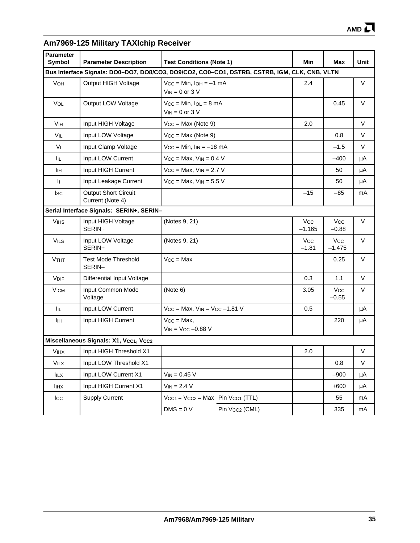|  | Am7969-125 Military TAXIchip Receiver |
|--|---------------------------------------|
|--|---------------------------------------|

| <b>Parameter</b><br>Symbol                                                                   | <b>Parameter Description</b>                    | <b>Test Conditions (Note 1)</b>                     |                | Min                              | Max                              | Unit   |  |  |  |
|----------------------------------------------------------------------------------------------|-------------------------------------------------|-----------------------------------------------------|----------------|----------------------------------|----------------------------------|--------|--|--|--|
| Bus Interface Signals: DO0-DO7, DO8/CO3, DO9/CO2, CO0-CO1, DSTRB, CSTRB, IGM, CLK, CNB, VLTN |                                                 |                                                     |                |                                  |                                  |        |  |  |  |
| VOH                                                                                          | Output HIGH Voltage                             | $Vcc = Min$ , $IOH = -1$ mA<br>$V_{IN} = 0$ or 3 V  |                | 2.4                              |                                  | V      |  |  |  |
| VOL                                                                                          | Output LOW Voltage                              | $Vcc = Min$ , $IoL = 8 mA$<br>$V_{IN} = 0$ or $3 V$ |                |                                  | 0.45                             | V      |  |  |  |
| VIH                                                                                          | Input HIGH Voltage                              | $V_{CC}$ = Max (Note 9)                             |                | 2.0                              |                                  | V      |  |  |  |
| VIL                                                                                          | Input LOW Voltage                               | $V_{CC}$ = Max (Note 9)                             |                |                                  | 0.8                              | V      |  |  |  |
| V <sub>1</sub>                                                                               | Input Clamp Voltage                             | $Vcc = Min$ , $lin = -18$ mA                        |                |                                  | $-1.5$                           | V      |  |  |  |
| <b>IIL</b>                                                                                   | Input LOW Current                               | $Vcc = Max$ , $V_{IN} = 0.4 V$                      |                |                                  | $-400$                           | μA     |  |  |  |
| Iін                                                                                          | Input HIGH Current                              | $Vcc = Max$ , $V_{IN} = 2.7 V$                      |                |                                  | 50                               | μA     |  |  |  |
| h.                                                                                           | Input Leakage Current                           | $Vcc = Max$ , $V_{IN} = 5.5 V$                      |                |                                  | 50                               | μA     |  |  |  |
| <b>Isc</b>                                                                                   | <b>Output Short Circuit</b><br>Current (Note 4) |                                                     |                | $-15$                            | $-85$                            | mA     |  |  |  |
|                                                                                              | Serial Interface Signals: SERIN+, SERIN-        |                                                     |                |                                  |                                  |        |  |  |  |
| <b>VIHS</b>                                                                                  | Input HIGH Voltage<br>SERIN+                    | (Notes 9, 21)                                       |                | <b>Vcc</b><br>$-1.165$           | <b>Vcc</b><br>$-0.88$            | V      |  |  |  |
| <b>VILS</b>                                                                                  | Input LOW Voltage<br>SERIN+                     | (Notes 9, 21)                                       |                | <b>V<sub>cc</sub></b><br>$-1.81$ | <b>Vcc</b><br>$-1.475$           | V      |  |  |  |
| <b>VTHT</b>                                                                                  | <b>Test Mode Threshold</b><br>SERIN-            | $Vcc = Max$                                         |                |                                  | 0.25                             | V      |  |  |  |
| <b>VDIF</b>                                                                                  | Differential Input Voltage                      |                                                     |                | 0.3                              | 1.1                              | $\vee$ |  |  |  |
| <b>VICM</b>                                                                                  | Input Common Mode<br>Voltage                    | (Note 6)                                            |                | 3.05                             | <b>V<sub>cc</sub></b><br>$-0.55$ | $\vee$ |  |  |  |
| Iщ.                                                                                          | Input LOW Current                               | $Vcc = Max$ , $V_{IN} = Vcc -1.81$ V                |                | 0.5                              |                                  | μA     |  |  |  |
| IІн                                                                                          | Input HIGH Current                              | $Vcc = Max$ .<br>$V_{IN}$ = $V_{CC}$ -0.88 V        |                |                                  | 220                              | μA     |  |  |  |
|                                                                                              | Miscellaneous Signals: X1, Vcc1, Vcc2           |                                                     |                |                                  |                                  |        |  |  |  |
| V <sub>IHX</sub>                                                                             | Input HIGH Threshold X1                         |                                                     |                | 2.0                              |                                  | V      |  |  |  |
| <b>VILX</b>                                                                                  | Input LOW Threshold X1                          |                                                     |                |                                  | 0.8                              | V      |  |  |  |
| IILX                                                                                         | Input LOW Current X1                            | $V_{IN} = 0.45 V$                                   |                |                                  | $-900$                           | μA     |  |  |  |
| <b>I</b> IHX                                                                                 | Input HIGH Current X1                           | $V_{IN}$ = 2.4 V                                    |                |                                  | $+600$                           | μA     |  |  |  |
| Icc                                                                                          | <b>Supply Current</b>                           | $Vcc_1 = Vcc_2 = Max$ Pin Vcc <sub>1</sub> (TTL)    |                |                                  | 55                               | mA     |  |  |  |
|                                                                                              |                                                 | $DMS = 0 V$                                         | Pin Vcc2 (CML) |                                  | 335                              | mA     |  |  |  |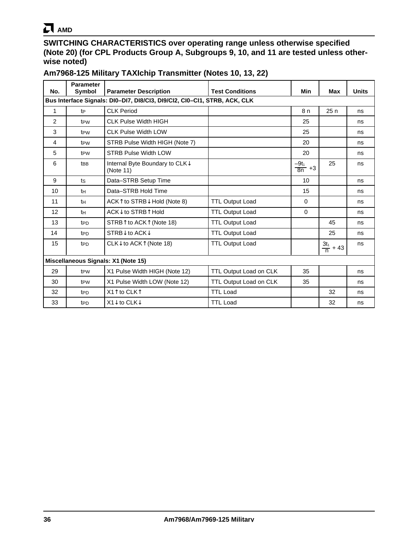**SWITCHING CHARACTERISTICS over operating range unless otherwise specified (Note 20) (for CPL Products Group A, Subgroups 9, 10, and 11 are tested unless otherwise noted)**

| No.                                                                       | <b>Parameter</b><br>Symbol | <b>Parameter Description</b>                | <b>Test Conditions</b> | Min                        | Max                   | <b>Units</b> |  |  |  |
|---------------------------------------------------------------------------|----------------------------|---------------------------------------------|------------------------|----------------------------|-----------------------|--------------|--|--|--|
| Bus Interface Signals: DI0-DI7, DI8/CI3, DI9/CI2, CI0-CI1, STRB, ACK, CLK |                            |                                             |                        |                            |                       |              |  |  |  |
| $\mathbf{1}$                                                              | t <sub>P</sub>             | <b>CLK Period</b>                           |                        | 8n                         | 25n                   | ns           |  |  |  |
| 2                                                                         | t <sub>PW</sub>            | <b>CLK Pulse Width HIGH</b>                 |                        | 25                         |                       | ns           |  |  |  |
| 3                                                                         | t <sub>PW</sub>            | <b>CLK Pulse Width LOW</b>                  |                        | 25                         |                       | ns           |  |  |  |
| 4                                                                         | t <sub>PW</sub>            | STRB Pulse Width HIGH (Note 7)              |                        | 20                         |                       | ns           |  |  |  |
| 5                                                                         | t <sub>PW</sub>            | <b>STRB Pulse Width LOW</b>                 |                        | 20                         |                       | ns           |  |  |  |
| 6                                                                         | t <sub>BB</sub>            | Internal Byte Boundary to CLK↓<br>(Note 11) |                        | $\frac{-9t_1}{8n}$<br>$+3$ | 25                    | ns           |  |  |  |
| 9                                                                         | ts                         | Data-STRB Setup Time                        |                        | 10                         |                       | ns           |  |  |  |
| 10                                                                        | tн                         | Data-STRB Hold Time                         |                        | 15                         |                       | ns           |  |  |  |
| 11                                                                        | tH                         | ACK↑ to STRB↓ Hold (Note 8)                 | <b>TTL Output Load</b> | $\Omega$                   |                       | ns           |  |  |  |
| 12                                                                        | tΗ                         | ACK↓ to STRB <sup>↑</sup> Hold              | <b>TTL Output Load</b> | $\Omega$                   |                       | ns           |  |  |  |
| 13                                                                        | t <sub>PD</sub>            | STRB↑ to ACK↑ (Note 18)                     | <b>TTL Output Load</b> |                            | 45                    | ns           |  |  |  |
| 14                                                                        | t <sub>PD</sub>            | STRB↓ to ACK↓                               | <b>TTL Output Load</b> |                            | 25                    | ns           |  |  |  |
| 15                                                                        | t <sub>PD</sub>            | CLK↓ to ACK↑ (Note 18)                      | <b>TTL Output Load</b> |                            | $\frac{3t_1}{n}$ + 43 | ns           |  |  |  |
|                                                                           |                            | Miscellaneous Signals: X1 (Note 15)         |                        |                            |                       |              |  |  |  |
| 29                                                                        | t <sub>Pw</sub>            | X1 Pulse Width HIGH (Note 12)               | TTL Output Load on CLK | 35                         |                       | ns           |  |  |  |
| 30                                                                        | t <sub>PW</sub>            | X1 Pulse Width LOW (Note 12)                | TTL Output Load on CLK | 35                         |                       | ns           |  |  |  |
| 32                                                                        | t <sub>PD</sub>            | $X1$ to CLK $\uparrow$                      | <b>TTL Load</b>        |                            | 32                    | ns           |  |  |  |
| 33                                                                        | t <sub>PD</sub>            | X1↓ to CLK↓                                 | <b>TTL Load</b>        |                            | 32                    | ns           |  |  |  |

# **Am7968-125 Military TAXIchip Transmitter (Notes 10, 13, 22)**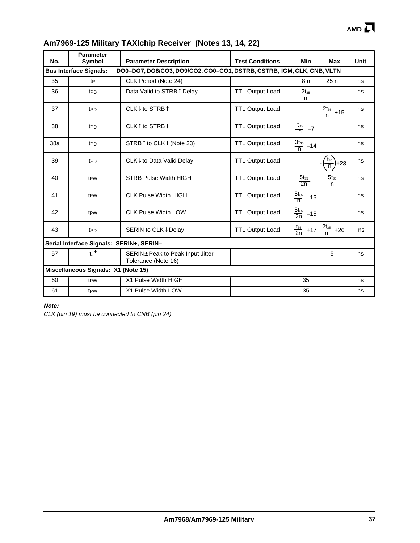| No. | <b>Parameter</b><br>Symbol               | <b>Parameter Description</b>                                          | <b>Test Conditions</b> | Min                                  | <b>Max</b>                                   | Unit |
|-----|------------------------------------------|-----------------------------------------------------------------------|------------------------|--------------------------------------|----------------------------------------------|------|
|     | <b>Bus Interface Signals:</b>            | DO0-DO7, DO8/CO3, DO9/CO2, CO0-CO1, DSTRB, CSTRB, IGM, CLK, CNB, VLTN |                        |                                      |                                              |      |
| 35  | t <sub>P</sub>                           | CLK Period (Note 24)                                                  |                        | 8 n                                  | 25n                                          | ns   |
| 36  | t <sub>PD</sub>                          | Data Valid to STRB <sup>1</sup> Delay                                 | <b>TTL Output Load</b> | $2t_{35}$<br>$\overline{\mathsf{n}}$ |                                              | ns   |
| 37  | t <sub>PD</sub>                          | CLK↓ to STRB↑                                                         | <b>TTL Output Load</b> |                                      | $\frac{2t_{35}}{n}$ +15                      | ns   |
| 38  | t <sub>PD</sub>                          | CLK $\uparrow$ to STRB $\downarrow$                                   | <b>TTL Output Load</b> | $\frac{t_{35}}{n}$ -7                |                                              | ns   |
| 38a | t <sub>PD</sub>                          | STRB <sup><math>\uparrow</math></sup> to CLK $\uparrow$ (Note 23)     | <b>TTL Output Load</b> | $\frac{3t_{35}}{n}$ -14              |                                              | ns   |
| 39  | t <sub>PD</sub>                          | CLK↓ to Data Valid Delay                                              | <b>TTL Output Load</b> |                                      | $t_{35}$<br>$+23$<br>$\overline{\mathsf{n}}$ | ns   |
| 40  | t <sub>PW</sub>                          | <b>STRB Pulse Width HIGH</b>                                          | <b>TTL Output Load</b> | $5t_{35}$<br>2n                      | $5t_{35}$<br>$\overline{\mathsf{n}}$         | ns   |
| 41  | t <sub>PW</sub>                          | <b>CLK Pulse Width HIGH</b>                                           | <b>TTL Output Load</b> | $\frac{5t_{35}}{n}$<br>$-15$         |                                              | ns   |
| 42  | t <sub>PW</sub>                          | <b>CLK Pulse Width LOW</b>                                            | <b>TTL Output Load</b> | $\frac{5t_{35}}{2n}$ -15             |                                              | ns   |
| 43  | t <sub>PD</sub>                          | SERIN to CLK↓ Delay                                                   | <b>TTL Output Load</b> | $\frac{t_{35}}{2n}$ +17              | $\frac{2t_{35}}{n}$ +26                      | ns   |
|     | Serial Interface Signals: SERIN+, SERIN- |                                                                       |                        |                                      |                                              |      |
| 57  | $t_J$ <sup>+</sup>                       | SERIN± Peak to Peak Input Jitter<br>Tolerance (Note 16)               |                        |                                      | 5                                            | ns   |
|     | Miscellaneous Signals: X1 (Note 15)      |                                                                       |                        |                                      |                                              |      |
| 60  | t <sub>Pw</sub>                          | X1 Pulse Width HIGH                                                   |                        | 35                                   |                                              | ns   |
| 61  | t <sub>PW</sub>                          | X1 Pulse Width LOW                                                    |                        | 35                                   |                                              | ns   |

# **Am7969-125 Military TAXIchip Receiver (Notes 13, 14, 22)**

#### **Note:**

CLK (pin 19) must be connected to CNB (pin 24).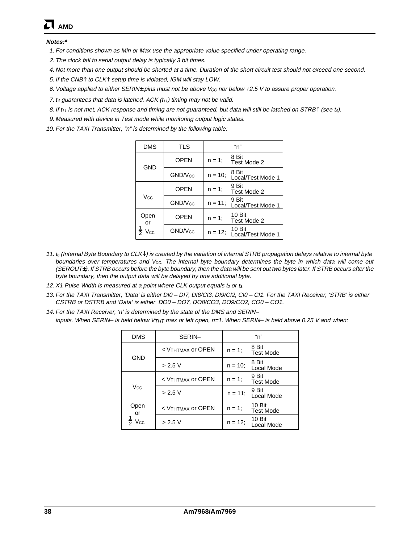# **AMD**

#### **Notes:\***

1. For conditions shown as Min or Max use the appropriate value specified under operating range.

2. The clock fall to serial output delay is typically 3 bit times.

4. Not more than one output should be shorted at a time. Duration of the short circuit test should not exceed one second.

5. If the CNB↑ to CLK↑ setup time is violated, IGM will stay LOW.

- 6. Voltage applied to either SERIN± pins must not be above  $V_{CC}$  nor below +2.5 V to assure proper operation.
- 7. t4 guarantees that data is latched. ACK  $(t_{11})$  timing may not be valid.
- 8. If t<sub>11</sub> is not met, ACK response and timing are not guaranteed, but data will still be latched on STRB $\uparrow$  (see t<sub>4</sub>).
- 9. Measured with device in Test mode while monitoring output logic states.
- 10. For the TAXI Transmitter, "n" is determined by the following table:

| <b>DMS</b>        | TLS                 |            | "n"                         |
|-------------------|---------------------|------------|-----------------------------|
| GND               | <b>OPEN</b>         | $n = 1;$   | 8 Bit<br>Test Mode 2        |
|                   | GND/V <sub>cc</sub> | $n = 10$ ; | 8 Bit<br>Local/Test Mode 1  |
| $V_{CC}$          | <b>OPEN</b>         | $n = 1$ ;  | 9 Bit<br>Test Mode 2        |
|                   | GND/V <sub>cc</sub> | $n = 11$ ; | 9 Bit<br>Local/Test Mode 1  |
| Open<br>or<br>Vcc | <b>OPEN</b>         | $n = 1$ ;  | 10 Bit<br>Test Mode 2       |
|                   | GND/V <sub>cc</sub> | $n = 12;$  | 10 Bit<br>Local/Test Mode 1 |

- 11. t<sub>6</sub> (Internal Byte Boundary to CLK↓) is created by the variation of internal STRB propagation delays relative to internal byte boundaries over temperatures and  $V_{CC}$ . The internal byte boundary determines the byte in which data will come out (SEROUT±). If STRB occurs before the byte boundary, then the data will be sent out two bytes later. If STRB occurs after the byte boundary, then the output data will be delayed by one additional byte.
- 12. X1 Pulse Width is measured at a point where CLK output equals  $t_2$  or  $t_3$ .
- 13. For the TAXI Transmitter, 'Data' is either DI0 DI7, DI8/CI3, DI9/CI2, CI0 CI1. For the TAXI Receiver, 'STRB' is either CSTRB or DSTRB and 'Data' is either DO0 – DO7, DO8/CO3, DO9/CO2, CO0 – CO1.
- 14. For the TAXI Receiver, 'n' is determined by the state of the DMS and SERIN– inputs. When SERIN– is held below  $V_{THT}$  max or left open, n=1. When SERIN– is held above 0.25 V and when:

| <b>DMS</b>  | SERIN-            |                                        | "n"                        |
|-------------|-------------------|----------------------------------------|----------------------------|
|             | < VTHTMAX OF OPEN | 8 Bit<br>$n = 1$ ;<br><b>Test Mode</b> |                            |
| GND         | > 2.5 V           | $n = 10$ ;                             | 8 Bit<br>Local Mode        |
| $V_{CC}$    | < VTHTMAX OF OPEN | $n = 1$ ;                              | 9 Bit<br><b>Test Mode</b>  |
|             | > 2.5 V           | $n = 11;$                              | 9 Bit<br>Local Mode        |
| Open<br>or  | < VTHTMAX OF OPEN | $n = 1$ ;                              | 10 Bit<br><b>Test Mode</b> |
| $\sqrt{cc}$ | > 2.5 V           | $n = 12$ :                             | 10 Bit<br>Local Mode       |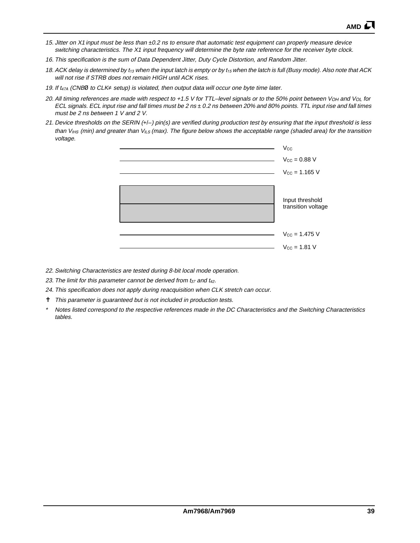- 15. Jitter on X1 input must be less than ±0.2 ns to ensure that automatic test equipment can properly measure device switching characteristics. The X1 input frequency will determine the byte rate reference for the receiver byte clock.
- 16. This specification is the sum of Data Dependent Jitter, Duty Cycle Distortion, and Random Jitter.
- 18. ACK delay is determined by t<sub>13</sub> when the input latch is empty or by t<sub>15</sub> when the latch is full (Busy mode). Also note that ACK will not rise if STRB does not remain HIGH until ACK rises.
- 19. If  $t_{47A}$  (CNB $\emptyset$  to CLK setup) is violated, then output data will occur one byte time later.
- 20. All timing references are made with respect to +1.5 V for TTL-level signals or to the 50% point between VoH and VoL for ECL signals. ECL input rise and fall times must be  $2 \text{ ns } \pm 0.2$  ns between 20% and 80% points. TTL input rise and fall times must be 2 ns between 1 V and 2 V.
- 21. Device thresholds on the SERIN (+/–) pin(s) are verified during production test by ensuring that the input threshold is less than  $V_{IHS}$  (min) and greater than  $V_{ILS}$  (max). The figure below shows the acceptable range (shaded area) for the transition voltage.



- 22. Switching Characteristics are tested during 8-bit local mode operation.
- 23. The limit for this parameter cannot be derived from  $t_{37}$  and  $t_{42}$ .
- 24. This specification does not apply during reacquisition when CLK stretch can occur.
- ✝ This parameter is guaranteed but is not included in production tests.
- \* Notes listed correspond to the respective references made in the DC Characteristics and the Switching Characteristics tables.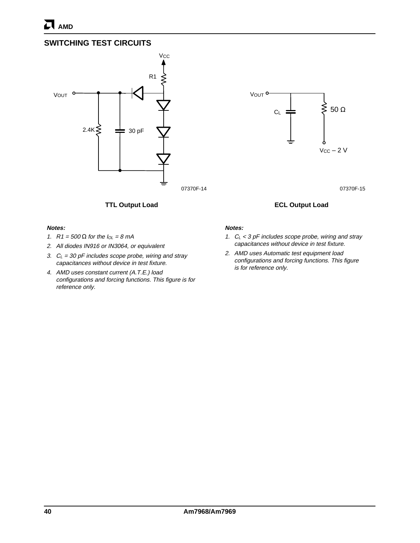#### **SWITCHING TEST CIRCUITS**



**TTL Output Load ECL Output Load** 



07370F-15

#### **Notes:**

- 1.  $R1 = 500 \Omega$  for the  $I_{OL} = 8$  mA
- 2. All diodes IN916 or IN3064, or equivalent
- 3.  $C_L = 30$  pF includes scope probe, wiring and stray capacitances without device in test fixture.
- 4. AMD uses constant current (A.T.E.) load configurations and forcing functions. This figure is for reference only.

#### **Notes:**

- 1.  $C_L < 3$  pF includes scope probe, wiring and stray capacitances without device in test fixture.
- 2. AMD uses Automatic test equipment load configurations and forcing functions. This figure is for reference only.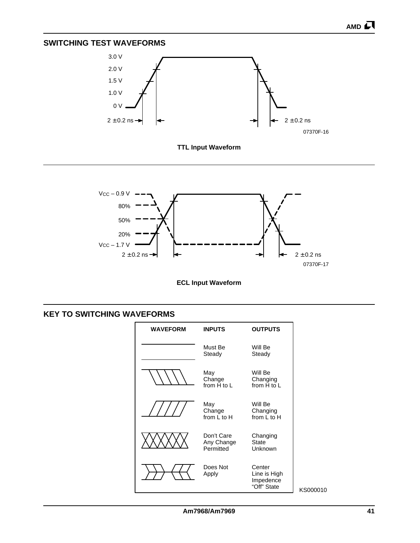#### **SWITCHING TEST WAVEFORMS**







**ECL Input Waveform**

#### **KEY TO SWITCHING WAVEFORMS**



KS000010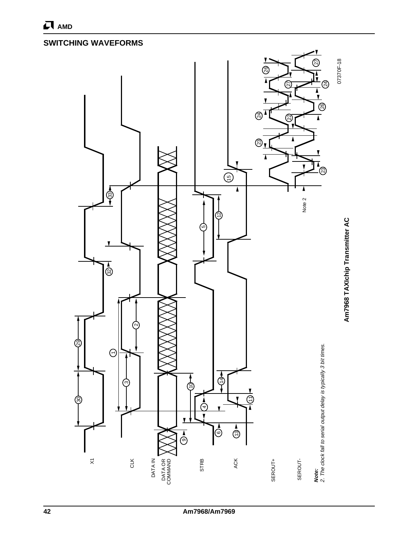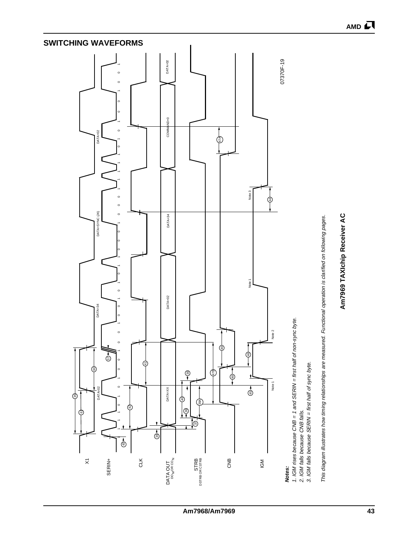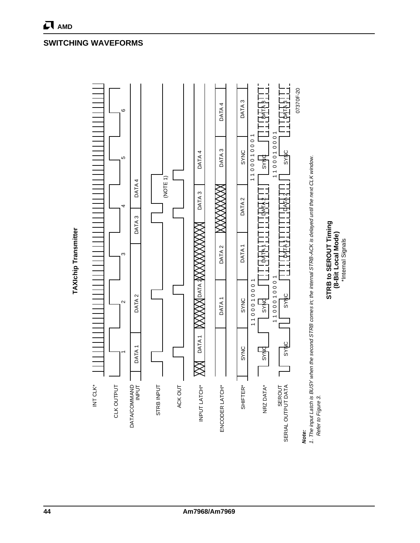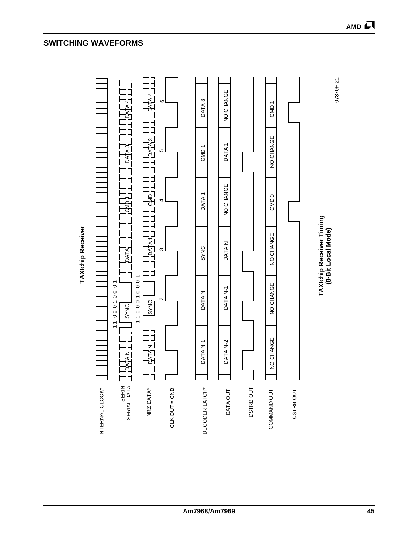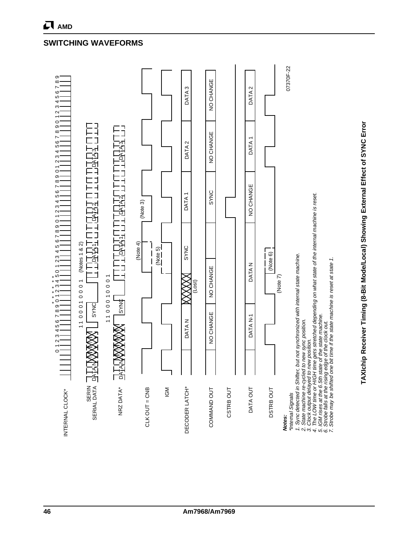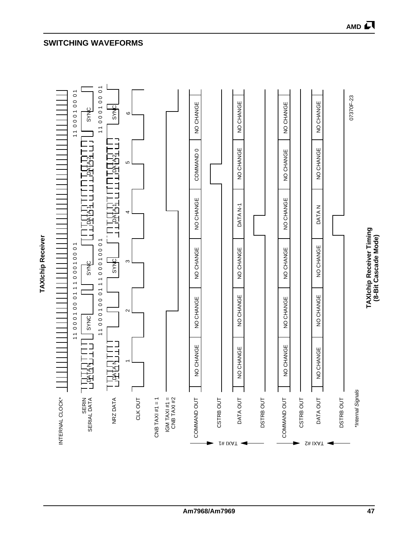# **TAXIchip Receiver TAXIchip Receiver**



#### **SWITCHING WAVEFORMS**

**(8-Bit Cascade Mode)**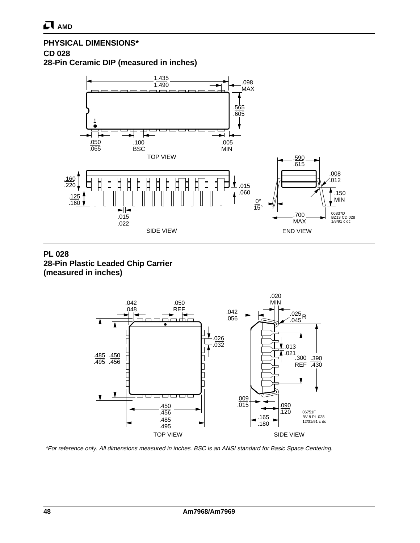#### **PHYSICAL DIMENSIONS\* CD 028 28-Pin Ceramic DIP (measured in inches)**



#### **PL 028 28-Pin Plastic Leaded Chip Carrier (measured in inches)**



\*For reference only. All dimensions measured in inches. BSC is an ANSI standard for Basic Space Centering.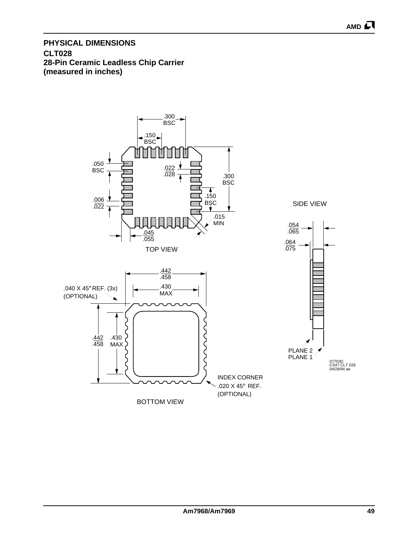**PHYSICAL DIMENSIONS CLT028 28-Pin Ceramic Leadless Chip Carrier (measured in inches)**

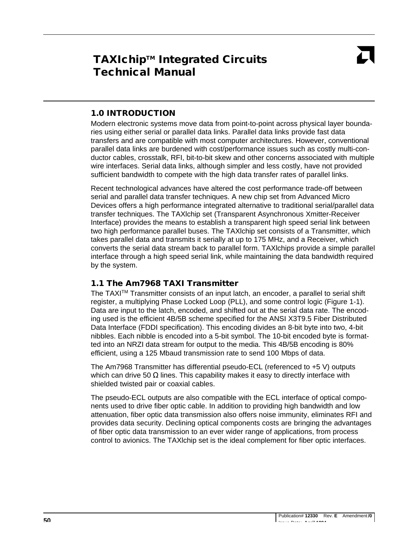# **TAXIchipTM Integrated Circuits Technical Manual**

### **1.0 INTRODUCTION**

Modern electronic systems move data from point-to-point across physical layer boundaries using either serial or parallel data links. Parallel data links provide fast data transfers and are compatible with most computer architectures. However, conventional parallel data links are burdened with cost/performance issues such as costly multi-conductor cables, crosstalk, RFI, bit-to-bit skew and other concerns associated with multiple wire interfaces. Serial data links, although simpler and less costly, have not provided sufficient bandwidth to compete with the high data transfer rates of parallel links.

Recent technological advances have altered the cost performance trade-off between serial and parallel data transfer techniques. A new chip set from Advanced Micro Devices offers a high performance integrated alternative to traditional serial/parallel data transfer techniques. The TAXlchip set (Transparent Asynchronous Xmitter-Receiver Interface) provides the means to establish a transparent high speed serial link between two high performance parallel buses. The TAXlchip set consists of a Transmitter, which takes parallel data and transmits it serially at up to 175 MHz, and a Receiver, which converts the serial data stream back to parallel form. TAXlchips provide a simple parallel interface through a high speed serial link, while maintaining the data bandwidth required by the system.

#### **1.1 The Am7968 TAXI Transmitter**

The TAXI<sup>™</sup> Transmitter consists of an input latch, an encoder, a parallel to serial shift register, a multiplying Phase Locked Loop (PLL), and some control logic (Figure 1-1). Data are input to the latch, encoded, and shifted out at the serial data rate. The encoding used is the efficient 4B/5B scheme specified for the ANSI X3T9.5 Fiber Distributed Data Interface (FDDI specification). This encoding divides an 8-bit byte into two, 4-bit nibbles. Each nibble is encoded into a 5-bit symbol. The 10-bit encoded byte is formatted into an NRZI data stream for output to the media. This 4B/5B encoding is 80% efficient, using a 125 Mbaud transmission rate to send 100 Mbps of data.

The Am7968 Transmitter has differential pseudo-ECL (referenced to +5 V) outputs which can drive 50  $\Omega$  lines. This capability makes it easy to directly interface with shielded twisted pair or coaxial cables.

The pseudo-ECL outputs are also compatible with the ECL interface of optical components used to drive fiber optic cable. In addition to providing high bandwidth and low attenuation, fiber optic data transmission also offers noise immunity, eliminates RFI and provides data security. Declining optical components costs are bringing the advantages of fiber optic data transmission to an ever wider range of applications, from process control to avionics. The TAXlchip set is the ideal complement for fiber optic interfaces.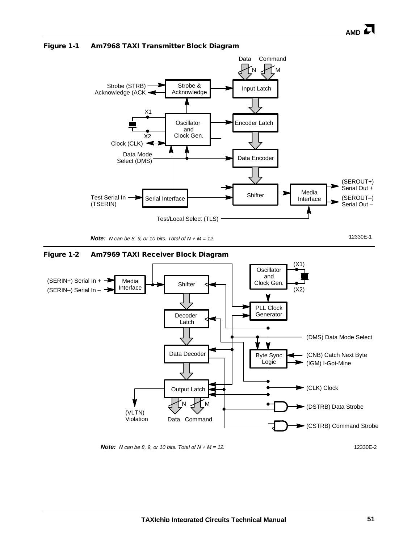**Figure 1-1 Am7968 TAXI Transmitter Block Diagram**



**Note:** N can be 8, 9, or 10 bits. Total of N + M = 12. 12330E-1



**Note:** N can be 8, 9, or 10 bits. Total of  $N + M = 12$ .

12330E-2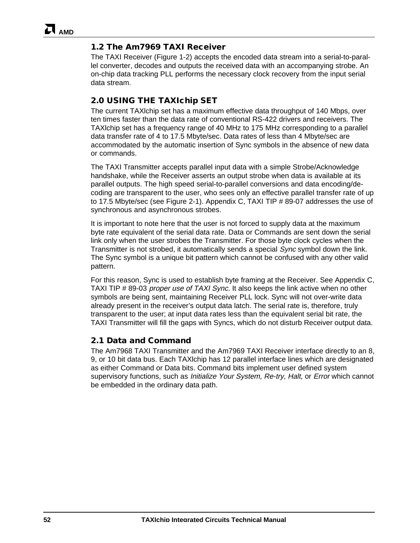#### **1.2 The Am7969 TAXI Receiver**

The TAXI Receiver (Figure 1-2) accepts the encoded data stream into a serial-to-parallel converter, decodes and outputs the received data with an accompanying strobe. An on-chip data tracking PLL performs the necessary clock recovery from the input serial data stream.

# **2.0 USING THE TAXIchip SET**

The current TAXlchip set has a maximum effective data throughput of 140 Mbps, over ten times faster than the data rate of conventional RS-422 drivers and receivers. The TAXlchip set has a frequency range of 40 MHz to 175 MHz corresponding to a parallel data transfer rate of 4 to 17.5 Mbyte/sec. Data rates of less than 4 Mbyte/sec are accommodated by the automatic insertion of Sync symbols in the absence of new data or commands.

The TAXI Transmitter accepts parallel input data with a simple Strobe/Acknowledge handshake, while the Receiver asserts an output strobe when data is available at its parallel outputs. The high speed serial-to-parallel conversions and data encoding/decoding are transparent to the user, who sees only an effective parallel transfer rate of up to 17.5 Mbyte/sec (see Figure 2-1). Appendix C, TAXI TIP # 89-07 addresses the use of synchronous and asynchronous strobes.

It is important to note here that the user is not forced to supply data at the maximum byte rate equivalent of the serial data rate. Data or Commands are sent down the serial link only when the user strobes the Transmitter. For those byte clock cycles when the Transmitter is not strobed, it automatically sends a special Sync symbol down the link. The Sync symbol is a unique bit pattern which cannot be confused with any other valid pattern.

For this reason, Sync is used to establish byte framing at the Receiver. See Appendix C, TAXI TIP # 89-03 proper use of TAXI Sync. It also keeps the link active when no other symbols are being sent, maintaining Receiver PLL lock. Sync will not over-write data already present in the receiver's output data latch. The serial rate is, therefore, truly transparent to the user; at input data rates less than the equivalent serial bit rate, the TAXI Transmitter will fill the gaps with Syncs, which do not disturb Receiver output data.

#### **2.1 Data and Command**

The Am7968 TAXI Transmitter and the Am7969 TAXI Receiver interface directly to an 8, 9, or 10 bit data bus. Each TAXlchip has 12 parallel interface lines which are designated as either Command or Data bits. Command bits implement user defined system supervisory functions, such as Initialize Your System, Re-try, Halt, or Error which cannot be embedded in the ordinary data path.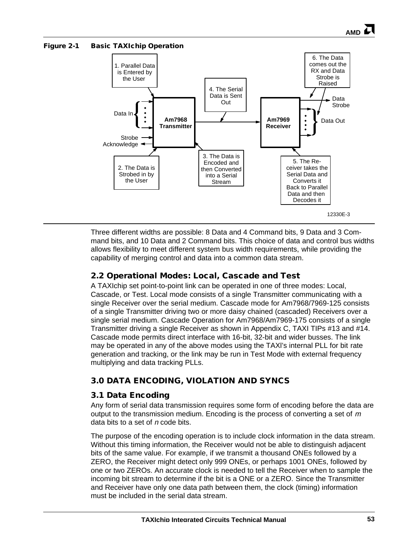**Figure 2-1 Basic TAXIchip Operation**



Three different widths are possible: 8 Data and 4 Command bits, 9 Data and 3 Command bits, and 10 Data and 2 Command bits. This choice of data and control bus widths allows flexibility to meet different system bus width requirements, while providing the capability of merging control and data into a common data stream.

#### **2.2 Operational Modes: Local, Cascade and Test**

A TAXIchip set point-to-point link can be operated in one of three modes: Local, Cascade, or Test. Local mode consists of a single Transmitter communicating with a single Receiver over the serial medium. Cascade mode for Am7968/7969-125 consists of a single Transmitter driving two or more daisy chained (cascaded) Receivers over a single serial medium. Cascade Operation for Am7968/Am7969-175 consists of a single Transmitter driving a single Receiver as shown in Appendix C, TAXI TIPs #13 and #14. Cascade mode permits direct interface with 16-bit, 32-bit and wider busses. The link may be operated in any of the above modes using the TAXl's internal PLL for bit rate generation and tracking, or the link may be run in Test Mode with external frequency multiplying and data tracking PLLs.

# **3.0 DATA ENCODING, VIOLATION AND SYNCS**

#### **3.1 Data Encoding**

Any form of serial data transmission requires some form of encoding before the data are output to the transmission medium. Encoding is the process of converting a set of  $m$ data bits to a set of  $n$  code bits.

The purpose of the encoding operation is to include clock information in the data stream. Without this timing information, the Receiver would not be able to distinguish adjacent bits of the same value. For example, if we transmit a thousand ONEs followed by a ZERO, the Receiver might detect only 999 ONEs, or perhaps 1001 ONEs, followed by one or two ZEROs. An accurate clock is needed to tell the Receiver when to sample the incoming bit stream to determine if the bit is a ONE or a ZERO. Since the Transmitter and Receiver have only one data path between them, the clock (timing) information must be included in the serial data stream.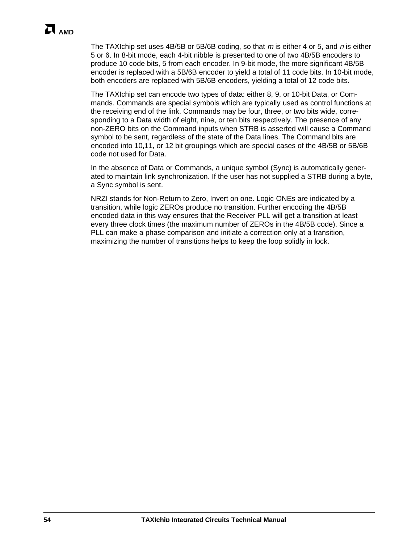The TAXIchip set uses  $4B/5B$  or  $5B/6B$  coding, so that m is either 4 or 5, and n is either 5 or 6. In 8-bit mode, each 4-bit nibble is presented to one of two 4B/5B encoders to produce 10 code bits, 5 from each encoder. In 9-bit mode, the more significant 4B/5B encoder is replaced with a 5B/6B encoder to yield a total of 11 code bits. In 10-bit mode, both encoders are replaced with 5B/6B encoders, yielding a total of 12 code bits.

The TAXIchip set can encode two types of data: either 8, 9, or 10-bit Data, or Commands. Commands are special symbols which are typically used as control functions at the receiving end of the link. Commands may be four, three, or two bits wide, corresponding to a Data width of eight, nine, or ten bits respectively. The presence of any non-ZERO bits on the Command inputs when STRB is asserted will cause a Command symbol to be sent, regardless of the state of the Data lines. The Command bits are encoded into 10,11, or 12 bit groupings which are special cases of the 4B/5B or 5B/6B code not used for Data.

In the absence of Data or Commands, a unique symbol (Sync) is automatically generated to maintain link synchronization. If the user has not supplied a STRB during a byte, a Sync symbol is sent.

NRZI stands for Non-Return to Zero, Invert on one. Logic ONEs are indicated by a transition, while logic ZEROs produce no transition. Further encoding the 4B/5B encoded data in this way ensures that the Receiver PLL will get a transition at least every three clock times (the maximum number of ZEROs in the 4B/5B code). Since a PLL can make a phase comparison and initiate a correction only at a transition, maximizing the number of transitions helps to keep the loop solidly in lock.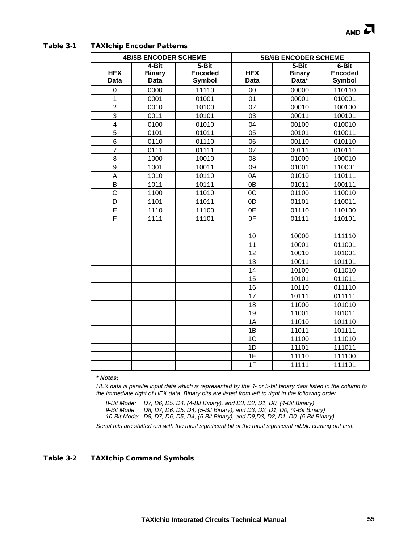**Table 3-1 TAXlchip Encoder Patterns**

| <b>4B/5B ENCODER SCHEME</b> |                              |                          | <b>5B/6B ENCODER SCHEME</b> |                        |                                 |  |
|-----------------------------|------------------------------|--------------------------|-----------------------------|------------------------|---------------------------------|--|
|                             | $4 - Bit$                    | $5 - Bit$                |                             | $5 - Bit$              | $6 - Bit$                       |  |
| <b>HEX</b><br><b>Data</b>   | <b>Binary</b><br><b>Data</b> | <b>Encoded</b><br>Symbol | <b>HEX</b><br>Data          | <b>Binary</b><br>Data* | <b>Encoded</b><br><b>Symbol</b> |  |
| $\mathbf 0$                 | 0000                         | 11110                    | 00                          | 00000                  | 110110                          |  |
| 1                           | 0001                         | 01001                    | 01                          | 00001                  | 010001                          |  |
| $\overline{2}$              | 0010                         | 10100                    | 02                          | 00010                  | 100100                          |  |
| $\overline{3}$              | 0011                         | 10101                    | 03                          | 00011                  | 100101                          |  |
| 4                           | 0100                         | 01010                    | 04                          | 00100                  | 010010                          |  |
| 5                           | 0101                         | 01011                    | 05                          | 00101                  | 010011                          |  |
| 6                           | 0110                         | 01110                    | 06                          | 00110                  | 010110                          |  |
| $\overline{7}$              | 0111                         | 01111                    | 07                          | 00111                  | 010111                          |  |
| 8                           | 1000                         | 10010                    | 08                          | 01000                  | 100010                          |  |
| 9                           | 1001                         | 10011                    | 09                          | 01001                  | 110001                          |  |
| A                           | 1010                         | 10110                    | 0A                          | 01010                  | 110111                          |  |
| B                           | 1011                         | 10111                    | 0B                          | 01011                  | 100111                          |  |
| $\overline{\text{c}}$       | 1100                         | 11010                    | 0C                          | 01100                  | 110010                          |  |
| D                           | 1101                         | 11011                    | 0D                          | 01101                  | 110011                          |  |
| E                           | 1110                         | 11100                    | 0E                          | 01110                  | 110100                          |  |
| F                           | 1111                         | 11101                    | 0F                          | 01111                  | 110101                          |  |
|                             |                              |                          |                             |                        |                                 |  |
|                             |                              |                          | 10                          | 10000                  | 111110                          |  |
|                             |                              |                          | 11                          | 10001                  | 011001                          |  |
|                             |                              |                          | 12                          | 10010                  | 101001                          |  |
|                             |                              |                          | 13                          | 10011                  | 101101                          |  |
|                             |                              |                          | 14                          | 10100                  | 011010                          |  |
|                             |                              |                          | 15                          | 10101                  | 011011                          |  |
|                             |                              |                          | 16                          | 10110                  | 011110                          |  |
|                             |                              |                          | 17                          | 10111                  | 011111                          |  |
|                             |                              |                          | 18                          | 11000                  | 101010                          |  |
|                             |                              |                          | 19                          | 11001                  | 101011                          |  |
|                             |                              |                          | 1A                          | 11010                  | 101110                          |  |
|                             |                              |                          | 1B                          | 11011                  | 101111                          |  |
|                             |                              |                          | 1C                          | 11100                  | 111010                          |  |
|                             |                              |                          | 1D                          | 11101                  | 111011                          |  |
|                             |                              |                          | 1E                          | 11110                  | 111100                          |  |
|                             |                              |                          | 1F                          | 11111                  | 111101                          |  |

**\* Notes:**

HEX data is parallel input data which is represented by the 4- or 5-bit binary data listed in the column to the immediate right of HEX data. Binary bits are listed from left to right in the following order.

8-Bit Mode: D7, D6, D5, D4, (4-Bit Binary), and D3, D2, D1, D0, (4-Bit Binary) 9-Bit Mode: D8, D7, D6, D5, D4, (5-Bit Binary), and D3, D2, D1, D0, (4-Bit Binary) 10-Bit Mode: D8, D7, D6, D5, D4, (5-Bit Binary), and D9,D3, D2, D1, D0, (5-Bit Binary)

Serial bits are shifted out with the most significant bit of the most significant nibble coming out first.

#### **Table 3-2 TAXIchip Command Symbols**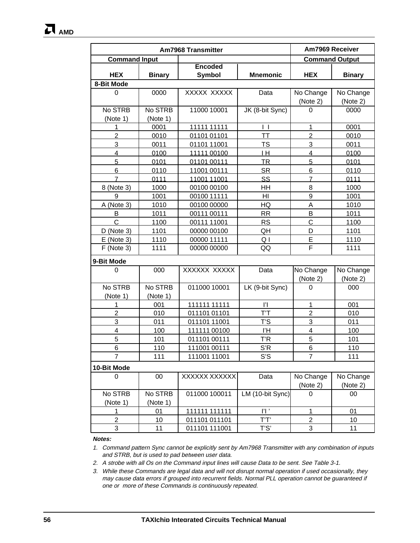| <b>Am7968 Transmitter</b> |               |                |                  | Am7969 Receiver         |               |  |
|---------------------------|---------------|----------------|------------------|-------------------------|---------------|--|
| <b>Command Input</b>      |               |                |                  | <b>Command Output</b>   |               |  |
|                           |               | <b>Encoded</b> |                  |                         |               |  |
| <b>HEX</b>                | <b>Binary</b> | Symbol         | <b>Mnemonic</b>  | <b>HEX</b>              | <b>Binary</b> |  |
| 8-Bit Mode                |               |                |                  |                         |               |  |
| $\Omega$                  | 0000          | XXXXX XXXXX    | Data             | No Change               | No Change     |  |
|                           |               |                |                  | (Note 2)                | (Note 2)      |  |
| No STRB                   | No STRB       | 11000 10001    | JK (8-bit Sync)  | 0                       | 0000          |  |
| (Note 1)                  | (Note 1)      |                |                  |                         |               |  |
| 1                         | 0001          | 11111 11111    | ΙI               | 1                       | 0001          |  |
| $\overline{2}$            | 0010          | 01101 01101    | <b>TT</b>        | $\overline{2}$          | 0010          |  |
| 3                         | 0011          | 01101 11001    | TS               | 3                       | 0011          |  |
| 4                         | 0100          | 11111 00100    | IH.              | $\overline{\mathbf{4}}$ | 0100          |  |
| $5\overline{}$            | 0101          | 01101 00111    | <b>TR</b>        | $\overline{5}$          | 0101          |  |
| 6                         | 0110          | 11001 00111    | <b>SR</b>        | 6                       | 0110          |  |
| $\overline{7}$            | 0111          | 11001 11001    | <b>SS</b>        | $\overline{7}$          | 0111          |  |
| 8 (Note 3)                | 1000          | 00100 00100    | HH               | 8                       | 1000          |  |
| 9                         | 1001          | 00100 11111    | HI               | 9                       | 1001          |  |
| A (Note 3)                | 1010          | 00100 00000    | HQ               | A                       | 1010          |  |
| B                         | 1011          | 00111 00111    | <b>RR</b>        | B                       | 1011          |  |
| $\overline{C}$            | 1100          | 00111 11001    | <b>RS</b>        | Ċ                       | 1100          |  |
| D (Note 3)                | 1101          | 00000 00100    | QH               | D                       | 1101          |  |
| $E$ (Note 3)              | 1110          | 00000 11111    | Q <sub>1</sub>   | E                       | 1110          |  |
| $F$ (Note 3)              | 1111          | 00000 00000    | QQ               | F                       | 1111          |  |
| 9-Bit Mode                |               |                |                  |                         |               |  |
| 0                         | 000           | XXXXXX XXXXX   | Data             | No Change               | No Change     |  |
|                           |               |                |                  | (Note 2)                | (Note 2)      |  |
| No STRB                   | No STRB       | 011000 10001   | LK (9-bit Sync)  | 0                       | 000           |  |
| (Note 1)                  | (Note 1)      |                |                  |                         |               |  |
| 1                         | 001           | 111111 11111   | ľ1               | 1                       | 001           |  |
| $\overline{2}$            | 010           | 011101 01101   | T'T              | $\overline{c}$          | 010           |  |
| 3                         | 011           | 011101 11001   | T'S              | 3                       | 011           |  |
| 4                         | 100           | 111111 00100   | ľΗ               | 4                       | 100           |  |
| 5                         | 101           | 011101 00111   | T'R              | 5                       | 101           |  |
| 6                         | 110           | 111001 00111   | S'R              | 6                       | 110           |  |
| $\overline{7}$            | 111           | 111001 11001   | S'S              | $\overline{7}$          | 111           |  |
| 10-Bit Mode               |               |                |                  |                         |               |  |
| $\Omega$                  | 00            | XXXXXX XXXXXX  | Data             | No Change               | No Change     |  |
|                           |               |                |                  | (Note 2)                | (Note 2)      |  |
| No STRB                   | No STRB       | 011000 100011  | LM (10-bit Sync) | 0                       | 00            |  |
| (Note 1)                  | (Note 1)      |                |                  |                         |               |  |
| 1                         | 01            | 111111 111111  | $\mathbf{r}$     | $\mathbf{1}$            | 01            |  |
| $\overline{\mathbf{c}}$   | 10            | 011101 011101  | T'T'             | $\overline{\mathbf{c}}$ | 10            |  |
| $\ensuremath{\mathsf{3}}$ | 11            | 011101 111001  | T'S'             | 3                       | 11            |  |

**Notes:**

1. Command pattern Sync cannot be explicitly sent by Am7968 Transmitter with any combination of inputs and STRB, but is used to pad between user data.

2. A strobe with all Os on the Command input lines will cause Data to be sent. See Table 3-1.

3. While these Commands are legal data and will not disrupt normal operation if used occasionally, they may cause data errors if grouped into recurrent fields. Normal PLL operation cannot be guaranteed if one or more of these Commands is continuously repeated.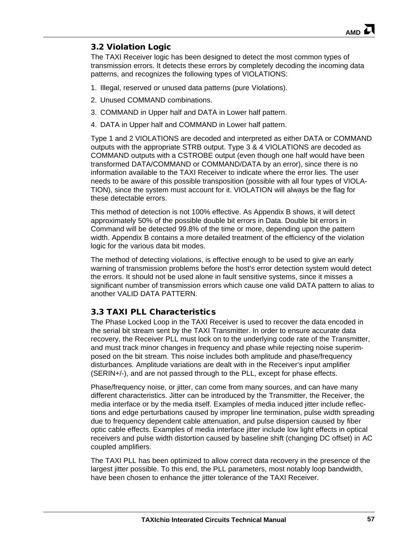# **3.2 Violation Logic**

The TAXI Receiver logic has been designed to detect the most common types of transmission errors. It detects these errors by completely decoding the incoming data patterns, and recognizes the following types of VIOLATIONS:

- 1. Illegal, reserved or unused data patterns (pure Violations).
- 2. Unused COMMAND combinations.
- 3. COMMAND in Upper half and DATA in Lower half pattern.
- 4. DATA in Upper half and COMMAND in Lower half pattern.

Type 1 and 2 VIOLATIONS are decoded and interpreted as either DATA or COMMAND outputs with the appropriate STRB output. Type 3 & 4 VIOLATIONS are decoded as COMMAND outputs with a CSTROBE output (even though one half would have been transformed DATA/COMMAND or COMMAND/DATA by an error), since there is no information available to the TAXI Receiver to indicate where the error lies. The user needs to be aware of this possible transposition (possible with all four types of VIOLA-TION), since the system must account for it. VIOLATION will always be the flag for these detectable errors.

This method of detection is not 100% effective. As Appendix B shows, it will detect approximately 50% of the possible double bit errors in Data. Double bit errors in Command will be detected 99.8% of the time or more, depending upon the pattern width. Appendix B contains a more detailed treatment of the efficiency of the violation logic for the various data bit modes.

The method of detecting violations, is effective enough to be used to give an early warning of transmission problems before the host's error detection system would detect the errors. It should not be used alone in fault sensitive systems, since it misses a significant number of transmission errors which cause one valid DATA pattern to alias to another VALID DATA PATTERN.

#### **3.3 TAXI PLL Characteristics**

The Phase Locked Loop in the TAXI Receiver is used to recover the data encoded in the serial bit stream sent by the TAXI Transmitter. In order to ensure accurate data recovery, the Receiver PLL must lock on to the underlying code rate of the Transmitter, and must track minor changes in frequency and phase while rejecting noise superimposed on the bit stream. This noise includes both amplitude and phase/frequency disturbances. Amplitude variations are dealt with in the Receiver's input amplifier (SERIN+/-), and are not passed through to the PLL, except for phase effects.

Phase/frequency noise, or jitter, can come from many sources, and can have many different characteristics. Jitter can be introduced by the Transmitter, the Receiver, the media interface or by the media itself. Examples of media induced jitter include reflections and edge perturbations caused by improper line termination, pulse width spreading due to frequency dependent cable attenuation, and pulse dispersion caused by fiber optic cable effects. Examples of media interface jitter include low light effects in optical receivers and pulse width distortion caused by baseline shift (changing DC offset) in AC coupled amplifiers.

The TAXI PLL has been optimized to allow correct data recovery in the presence of the largest jitter possible. To this end, the PLL parameters, most notably loop bandwidth, have been chosen to enhance the jitter tolerance of the TAXI Receiver.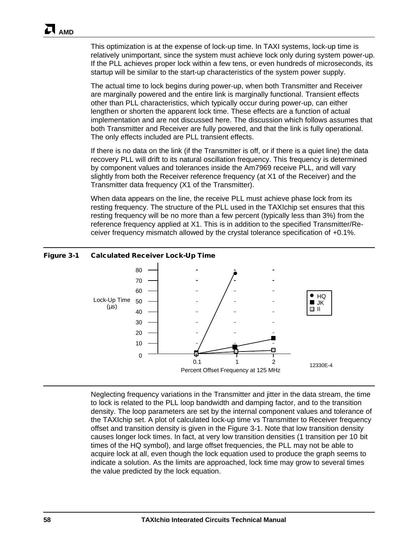This optimization is at the expense of lock-up time. In TAXI systems, lock-up time is relatively unimportant, since the system must achieve lock only during system power-up. If the PLL achieves proper lock within a few tens, or even hundreds of microseconds, its startup will be similar to the start-up characteristics of the system power supply.

The actual time to lock begins during power-up, when both Transmitter and Receiver are marginally powered and the entire link is marginally functional. Transient effects other than PLL characteristics, which typically occur during power-up, can either lengthen or shorten the apparent lock time. These effects are a function of actual implementation and are not discussed here. The discussion which follows assumes that both Transmitter and Receiver are fully powered, and that the link is fully operational. The only effects included are PLL transient effects.

If there is no data on the link (if the Transmitter is off, or if there is a quiet line) the data recovery PLL will drift to its natural oscillation frequency. This frequency is determined by component values and tolerances inside the Am7969 receive PLL, and will vary slightly from both the Receiver reference frequency (at X1 of the Receiver) and the Transmitter data frequency (X1 of the Transmitter).

When data appears on the line, the receive PLL must achieve phase lock from its resting frequency. The structure of the PLL used in the TAXIchip set ensures that this resting frequency will be no more than a few percent (typically less than 3%) from the reference frequency applied at X1. This is in addition to the specified Transmitter/Receiver frequency mismatch allowed by the crystal tolerance specification of +0.1%.





Neglecting frequency variations in the Transmitter and jitter in the data stream, the time to lock is related to the PLL loop bandwidth and damping factor, and to the transition density. The loop parameters are set by the internal component values and tolerance of the TAXIchip set. A plot of calculated lock-up time vs Transmitter to Receiver frequency offset and transition density is given in the Figure 3-1. Note that low transition density causes longer lock times. In fact, at very low transition densities (1 transition per 10 bit times of the HQ symbol), and large offset frequencies, the PLL may not be able to acquire lock at all, even though the lock equation used to produce the graph seems to indicate a solution. As the limits are approached, lock time may grow to several times the value predicted by the lock equation.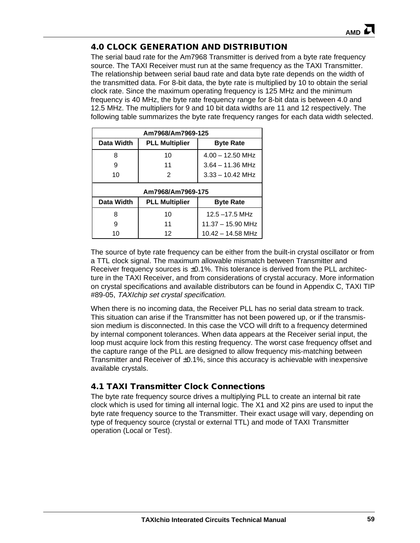# **4.0 CLOCK GENERATION AND DISTRIBUTION**

The serial baud rate for the Am7968 Transmitter is derived from a byte rate frequency source. The TAXI Receiver must run at the same frequency as the TAXI Transmitter. The relationship between serial baud rate and data byte rate depends on the width of the transmitted data. For 8-bit data, the byte rate is multiplied by 10 to obtain the serial clock rate. Since the maximum operating frequency is 125 MHz and the minimum frequency is 40 MHz, the byte rate frequency range for 8-bit data is between 4.0 and 12.5 MHz. The multipliers for 9 and 10 bit data widths are 11 and 12 respectively. The following table summarizes the byte rate frequency ranges for each data width selected.

| Am7968/Am7969-125 |                       |                     |  |
|-------------------|-----------------------|---------------------|--|
| Data Width        | <b>PLL Multiplier</b> | <b>Byte Rate</b>    |  |
| 8                 | 10                    | $4.00 - 12.50$ MHz  |  |
| 9                 | 11                    | $3.64 - 11.36$ MHz  |  |
| 10                | 2                     | $3.33 - 10.42$ MHz  |  |
| Am7968/Am7969-175 |                       |                     |  |
| Data Width        | <b>PLL Multiplier</b> | <b>Byte Rate</b>    |  |
| 8                 | 10                    | $12.5 - 17.5$ MHz   |  |
| 9                 | 11                    | $11.37 - 15.90$ MHz |  |
| 10                | 12                    | $10.42 - 14.58$ MHz |  |

The source of byte rate frequency can be either from the built-in crystal oscillator or from a TTL clock signal. The maximum allowable mismatch between Transmitter and Receiver frequency sources is ±0.1%. This tolerance is derived from the PLL architecture in the TAXI Receiver, and from considerations of crystal accuracy. More information on crystal specifications and available distributors can be found in Appendix C, TAXI TIP #89-05, TAXIchip set crystal specification.

When there is no incoming data, the Receiver PLL has no serial data stream to track. This situation can arise if the Transmitter has not been powered up, or if the transmission medium is disconnected. In this case the VCO will drift to a frequency determined by internal component tolerances. When data appears at the Receiver serial input, the loop must acquire lock from this resting frequency. The worst case frequency offset and the capture range of the PLL are designed to allow frequency mis-matching between Transmitter and Receiver of  $\pm 0.1$ %, since this accuracy is achievable with inexpensive available crystals.

# **4.1 TAXI Transmitter Clock Connections**

The byte rate frequency source drives a multiplying PLL to create an internal bit rate clock which is used for timing all internal logic. The X1 and X2 pins are used to input the byte rate frequency source to the Transmitter. Their exact usage will vary, depending on type of frequency source (crystal or external TTL) and mode of TAXI Transmitter operation (Local or Test).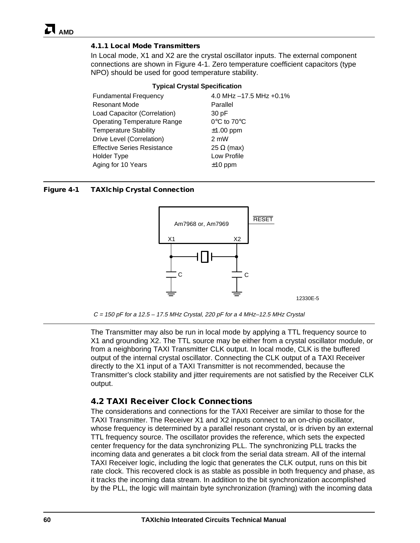#### **4.1.1 Local Mode Transmitters**

In Local mode, X1 and X2 are the crystal oscillator inputs. The external component connections are shown in Figure 4-1. Zero temperature coefficient capacitors (type NPO) should be used for good temperature stability.

#### **Typical Crystal Specification**

| <b>Fundamental Frequency</b>       | 4.0 MHz -17.5 MHz +0.1% |
|------------------------------------|-------------------------|
| <b>Resonant Mode</b>               | Parallel                |
| Load Capacitor (Correlation)       | 30 pF                   |
| <b>Operating Temperature Range</b> | 0°C to 70°C             |
| <b>Temperature Stability</b>       | $\pm$ 1.00 ppm          |
| Drive Level (Correlation)          | 2 mW                    |
| <b>Effective Series Resistance</b> | 25 $\Omega$ (max)       |
| <b>Holder Type</b>                 | Low Profile             |
| Aging for 10 Years                 | $±10$ ppm               |
|                                    |                         |

#### **Figure 4-1 TAXlchip Crystal Connection**



 $C = 150$  pF for a 12.5 – 17.5 MHz Crystal, 220 pF for a 4 MHz–12.5 MHz Crystal

The Transmitter may also be run in local mode by applying a TTL frequency source to X1 and grounding X2. The TTL source may be either from a crystal oscillator module, or from a neighboring TAXI Transmitter CLK output. In local mode, CLK is the buffered output of the internal crystal oscillator. Connecting the CLK output of a TAXI Receiver directly to the X1 input of a TAXI Transmitter is not recommended, because the Transmitter's clock stability and jitter requirements are not satisfied by the Receiver CLK output.

#### **4.2 TAXI Receiver Clock Connections**

The considerations and connections for the TAXI Receiver are similar to those for the TAXI Transmitter. The Receiver X1 and X2 inputs connect to an on-chip oscillator, whose frequency is determined by a parallel resonant crystal, or is driven by an external TTL frequency source. The oscillator provides the reference, which sets the expected center frequency for the data synchronizing PLL. The synchronizing PLL tracks the incoming data and generates a bit clock from the serial data stream. All of the internal TAXI Receiver logic, including the logic that generates the CLK output, runs on this bit rate clock. This recovered clock is as stable as possible in both frequency and phase, as it tracks the incoming data stream. In addition to the bit synchronization accomplished by the PLL, the logic will maintain byte synchronization (framing) with the incoming data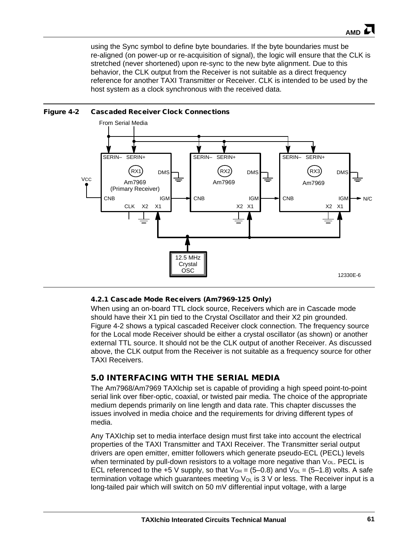using the Sync symbol to define byte boundaries. If the byte boundaries must be re-aligned (on power-up or re-acquisition of signal), the logic will ensure that the CLK is stretched (never shortened) upon re-sync to the new byte alignment. Due to this behavior, the CLK output from the Receiver is not suitable as a direct frequency reference for another TAXI Transmitter or Receiver. CLK is intended to be used by the host system as a clock synchronous with the received data.



#### **Figure 4-2 Cascaded Receiver Clock Connections**

#### **4.2.1 Cascade Mode Receivers (Am7969-125 Only)**

When using an on-board TTL clock source, Receivers which are in Cascade mode should have their X1 pin tied to the Crystal Oscillator and their X2 pin grounded. Figure 4-2 shows a typical cascaded Receiver clock connection. The frequency source for the Local mode Receiver should be either a crystal oscillator (as shown) or another external TTL source. It should not be the CLK output of another Receiver. As discussed above, the CLK output from the Receiver is not suitable as a frequency source for other TAXI Receivers.

#### **5.0 INTERFACING WITH THE SERIAL MEDIA**

The Am7968/Am7969 TAXlchip set is capable of providing a high speed point-to-point serial link over fiber-optic, coaxial, or twisted pair media. The choice of the appropriate medium depends primarily on line length and data rate. This chapter discusses the issues involved in media choice and the requirements for driving different types of media.

Any TAXIchip set to media interface design must first take into account the electrical properties of the TAXI Transmitter and TAXI Receiver. The Transmitter serial output drivers are open emitter, emitter followers which generate pseudo-ECL (PECL) levels when terminated by pull-down resistors to a voltage more negative than  $V_{OL}$ . PECL is ECL referenced to the +5 V supply, so that  $V_{OH} = (5-0.8)$  and  $V_{OL} = (5-1.8)$  volts. A safe termination voltage which guarantees meeting  $V_{OL}$  is 3 V or less. The Receiver input is a long-tailed pair which will switch on 50 mV differential input voltage, with a large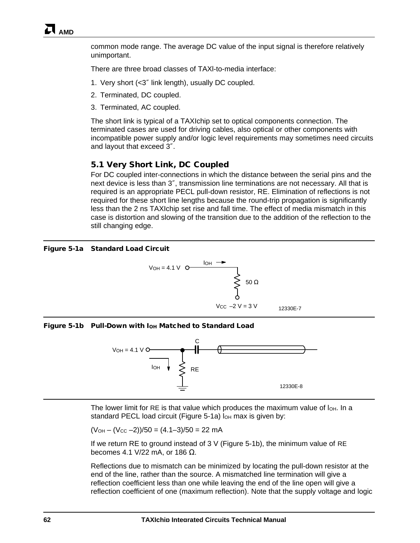common mode range. The average DC value of the input signal is therefore relatively unimportant.

There are three broad classes of TAXl-to-media interface:

- 1. Very short (<3″ link length), usually DC coupled.
- 2. Terminated, DC coupled.
- 3. Terminated, AC coupled.

The short link is typical of a TAXIchip set to optical components connection. The terminated cases are used for driving cables, also optical or other components with incompatible power supply and/or logic level requirements may sometimes need circuits and layout that exceed 3″.

#### **5.1 Very Short Link, DC Coupled**

For DC coupled inter-connections in which the distance between the serial pins and the next device is less than 3″, transmission line terminations are not necessary. All that is required is an appropriate PECL pull-down resistor, RE. Elimination of reflections is not required for these short line lengths because the round-trip propagation is significantly less than the 2 ns TAXIchip set rise and fall time. The effect of media mismatch in this case is distortion and slowing of the transition due to the addition of the reflection to the still changing edge.

#### **Figure 5-1a Standard Load Circuit**







The lower limit for RE is that value which produces the maximum value of  $I_{\text{OH}}$ . In a standard PECL load circuit (Figure 5-1a)  $I_{OH}$  max is given by:

$$
(V_{OH} - (V_{CC} - 2))/50 = (4.1 - 3)/50 = 22
$$
 mA

If we return RE to ground instead of 3 V (Figure 5-1b), the minimum value of RE becomes 4.1 V/22 mA, or 186 Ω.

Reflections due to mismatch can be minimized by locating the pull-down resistor at the end of the line, rather than the source. A mismatched line termination will give a reflection coefficient less than one while leaving the end of the line open will give a reflection coefficient of one (maximum reflection). Note that the supply voltage and logic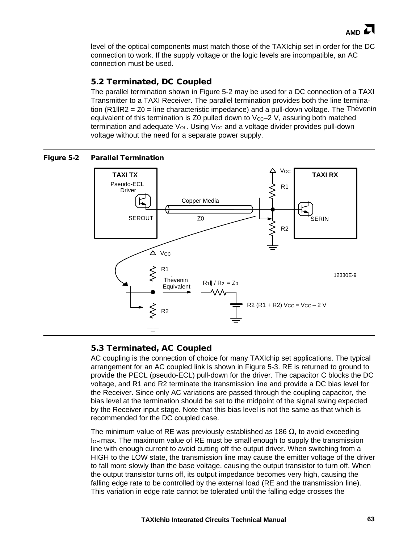level of the optical components must match those of the TAXIchip set in order for the DC connection to work. If the supply voltage or the logic levels are incompatible, an AC connection must be used.

# **5.2 Terminated, DC Coupled**

The parallel termination shown in Figure 5-2 may be used for a DC connection of a TAXI Transmitter to a TAXI Receiver. The parallel termination provides both the line termination (R1IIR2 =  $Z_0$  = line characteristic impedance) and a pull-down voltage. The Thévenin equivalent of this termination is Z0 pulled down to  $V_{\text{CC}}-2$  V, assuring both matched termination and adequate  $V_{OL}$ . Using  $V_{CC}$  and a voltage divider provides pull-down voltage without the need for a separate power supply.





# **5.3 Terminated, AC Coupled**

AC coupling is the connection of choice for many TAXIchip set applications. The typical arrangement for an AC coupled link is shown in Figure 5-3. RE is returned to ground to provide the PECL (pseudo-ECL) pull-down for the driver. The capacitor C blocks the DC voltage, and R1 and R2 terminate the transmission line and provide a DC bias level for the Receiver. Since only AC variations are passed through the coupling capacitor, the bias level at the termination should be set to the midpoint of the signal swing expected by the Receiver input stage. Note that this bias level is not the same as that which is recommended for the DC coupled case.

The minimum value of RE was previously established as 186  $\Omega$ , to avoid exceeding  $I_{OH}$  max. The maximum value of RE must be small enough to supply the transmission line with enough current to avoid cutting off the output driver. When switching from a HIGH to the LOW state, the transmission line may cause the emitter voltage of the driver to fall more slowly than the base voltage, causing the output transistor to turn off. When the output transistor turns off, its output impedance becomes very high, causing the falling edge rate to be controlled by the external load (RE and the transmission line). This variation in edge rate cannot be tolerated until the falling edge crosses the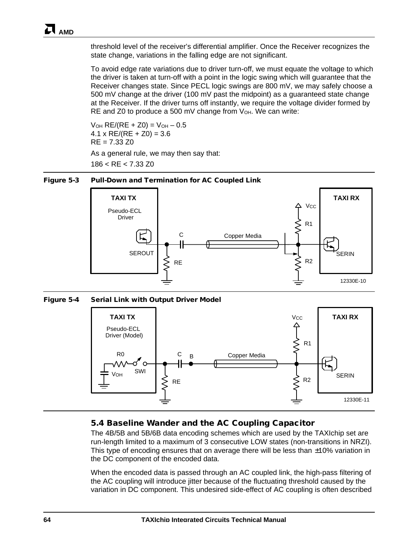threshold level of the receiver's differential amplifier. Once the Receiver recognizes the state change, variations in the falling edge are not significant.

To avoid edge rate variations due to driver turn-off, we must equate the voltage to which the driver is taken at turn-off with a point in the logic swing which will guarantee that the Receiver changes state. Since PECL logic swings are 800 mV, we may safely choose a 500 mV change at the driver (100 mV past the midpoint) as a guaranteed state change at the Receiver. If the driver turns off instantly, we require the voltage divider formed by RE and Z0 to produce a 500 mV change from  $V_{OH}$ . We can write:

 $V_{OH}$  RE/(RE + Z0) =  $V_{OH}$  – 0.5  $4.1 \times RE/(RE + Z0) = 3.6$  $RE = 7.33 Z0$ As a general rule, we may then say that:

186 < RE < 7.33 Z0







RE

#### **5.4 Baseline Wander and the AC Coupling Capacitor**

The 4B/5B and 5B/6B data encoding schemes which are used by the TAXIchip set are run-length limited to a maximum of 3 consecutive LOW states (non-transitions in NRZI). This type of encoding ensures that on average there will be less than  $\pm 10\%$  variation in the DC component of the encoded data.

12330E-11

R2

When the encoded data is passed through an AC coupled link, the high-pass filtering of the AC coupling will introduce jitter because of the fluctuating threshold caused by the variation in DC component. This undesired side-effect of AC coupling is often described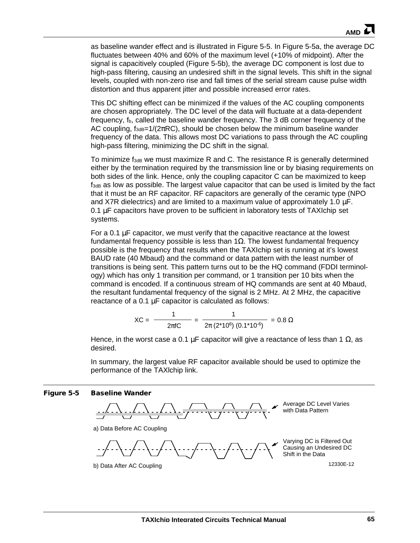as baseline wander effect and is illustrated in Figure 5-5. In Figure 5-5a, the average DC fluctuates between 40% and 60% of the maximum level (+10% of midpoint). After the signal is capacitively coupled (Figure 5-5b), the average DC component is lost due to high-pass filtering, causing an undesired shift in the signal levels. This shift in the signal levels, coupled with non-zero rise and fall times of the serial stream cause pulse width distortion and thus apparent jitter and possible increased error rates.

This DC shifting effect can be minimized if the values of the AC coupling components are chosen appropriately. The DC level of the data will fluctuate at a data-dependent frequency, fb, called the baseline wander frequency. The 3 dB corner frequency of the AC coupling,  $f_{3dB} = 1/(2\pi RC)$ , should be chosen below the minimum baseline wander frequency of the data. This allows most DC variations to pass through the AC coupling high-pass filtering, minimizing the DC shift in the signal.

To minimize  $f_{3dB}$  we must maximize R and C. The resistance R is generally determined either by the termination required by the transmission line or by biasing requirements on both sides of the link. Hence, only the coupling capacitor C can be maximized to keep f<sub>3dB</sub> as low as possible. The largest value capacitor that can be used is limited by the fact that it must be an RF capacitor. RF capacitors are generally of the ceramic type (NPO and X7R dielectrics) and are limited to a maximum value of approximately 1.0  $\mu$ F. 0.1 µF capacitors have proven to be sufficient in laboratory tests of TAXIchip set systems.

For a 0.1  $\mu$ F capacitor, we must verify that the capacitive reactance at the lowest fundamental frequency possible is less than 1Ω. The lowest fundamental frequency possible is the frequency that results when the TAXIchip set is running at it's lowest BAUD rate (40 Mbaud) and the command or data pattern with the least number of transitions is being sent. This pattern turns out to be the HQ command (FDDI terminology) which has only 1 transition per command, or 1 transition per 10 bits when the command is encoded. If a continuous stream of HQ commands are sent at 40 Mbaud, the resultant fundamental frequency of the signal is 2 MHz. At 2 MHz, the capacitive reactance of a  $0.1 \mu$ F capacitor is calculated as follows:

$$
XC = \frac{1}{2\pi fC} = \frac{1}{2\pi (2^{*}10^{6}) (0.1^{*}10^{-6})} = 0.8 \Omega
$$

Hence, in the worst case a 0.1  $\mu$ F capacitor will give a reactance of less than 1  $\Omega$ , as desired.

In summary, the largest value RF capacitor available should be used to optimize the performance of the TAXlchip link.

#### **Figure 5-5 Baseline Wander**



Average DC Level Varies with Data Pattern

a) Data Before AC Coupling



Varying DC is Filtered Out Causing an Undesired DC Shift in the Data

b) Data After AC Coupling

12330E-12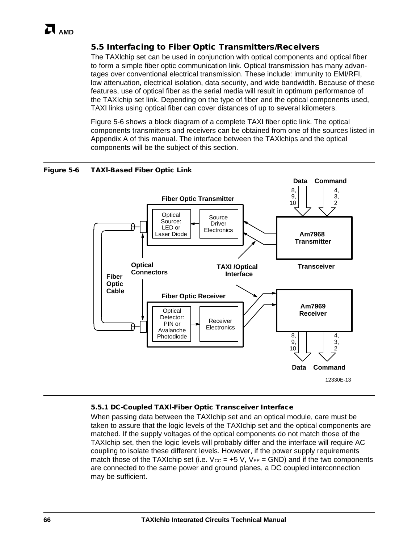#### **5.5 Interfacing to Fiber Optic Transmitters/Receivers**

The TAXlchip set can be used in conjunction with optical components and optical fiber to form a simple fiber optic communication link. Optical transmission has many advantages over conventional electrical transmission. These include: immunity to EMI/RFI, low attenuation, electrical isolation, data security, and wide bandwidth. Because of these features, use of optical fiber as the serial media will result in optimum performance of the TAXIchip set link. Depending on the type of fiber and the optical components used, TAXI links using optical fiber can cover distances of up to several kilometers.

Figure 5-6 shows a block diagram of a complete TAXI fiber optic link. The optical components transmitters and receivers can be obtained from one of the sources listed in Appendix A of this manual. The interface between the TAXlchips and the optical components will be the subject of this section.



#### **Figure 5-6 TAXl-Based Fiber Optic Link**

#### **5.5.1 DC-Coupled TAXl-Fiber Optic Transceiver Interface**

When passing data between the TAXIchip set and an optical module, care must be taken to assure that the logic levels of the TAXIchip set and the optical components are matched. If the supply voltages of the optical components do not match those of the TAXIchip set, then the logic levels will probably differ and the interface will require AC coupling to isolate these different levels. However, if the power supply requirements match those of the TAXIchip set (i.e.  $V_{CC} = +5$  V,  $V_{EE} =$  GND) and if the two components are connected to the same power and ground planes, a DC coupled interconnection may be sufficient.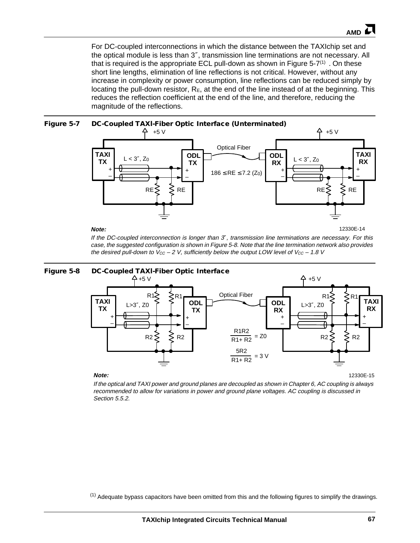For DC-coupled interconnections in which the distance between the TAXIchip set and the optical module is less than 3″, transmission line terminations are not necessary. All that is required is the appropriate ECL pull-down as shown in Figure  $5-7^{(1)}$ . On these short line lengths, elimination of line reflections is not critical. However, without any increase in complexity or power consumption, line reflections can be reduced simply by locating the pull-down resistor,  $R_E$ , at the end of the line instead of at the beginning. This reduces the reflection coefficient at the end of the line, and therefore, reducing the magnitude of the reflections.



#### **Note:**

12330E-14

If the DC-coupled interconnection is longer than 3″, transmission line terminations are necessary. For this case, the suggested configuration is shown in Figure 5-8. Note that the line termination network also provides the desired pull-down to  $V_{CC}$  – 2 V, sufficiently below the output LOW level of  $V_{CC}$  – 1.8 V



#### **Note:**

12330E-15

If the optical and TAXI power and ground planes are decoupled as shown in Chapter 6, AC coupling is always recommended to allow for variations in power and ground plane voltages. AC coupling is discussed in Section 5.5.2.

 $<sup>(1)</sup>$  Adequate bypass capacitors have been omitted from this and the following figures to simplify the drawings.</sup>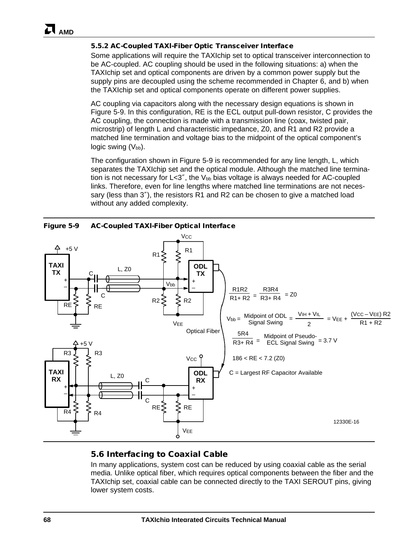#### **5.5.2 AC-Coupled TAXl-Fiber Optic Transceiver Interface**

Some applications will require the TAXIchip set to optical transceiver interconnection to be AC-coupled. AC coupling should be used in the following situations: a) when the TAXIchip set and optical components are driven by a common power supply but the supply pins are decoupled using the scheme recommended in Chapter 6, and b) when the TAXIchip set and optical components operate on different power supplies.

AC coupling via capacitors along with the necessary design equations is shown in Figure 5-9. In this configuration, RE is the ECL output pull-down resistor, C provides the AC coupling, the connection is made with a transmission line (coax, twisted pair, microstrip) of length L and characteristic impedance, Z0, and R1 and R2 provide a matched line termination and voltage bias to the midpoint of the optical component's logic swing  $(V_{bb})$ .

The configuration shown in Figure 5-9 is recommended for any line length, L, which separates the TAXIchip set and the optical module. Although the matched line termination is not necessary for  $L < 3$ ", the  $V_{bb}$  bias voltage is always needed for AC-coupled links. Therefore, even for line lengths where matched line terminations are not necessary (less than 3″), the resistors R1 and R2 can be chosen to give a matched load without any added complexity.



#### **5.6 Interfacing to Coaxial Cable**

In many applications, system cost can be reduced by using coaxial cable as the serial media. Unlike optical fiber, which requires optical components between the fiber and the TAXIchip set, coaxial cable can be connected directly to the TAXI SEROUT pins, giving lower system costs.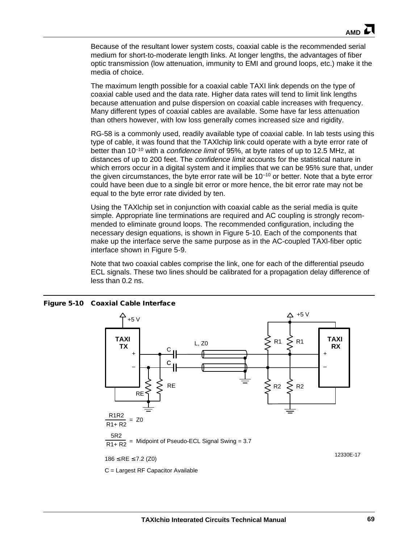Because of the resultant lower system costs, coaxial cable is the recommended serial medium for short-to-moderate length links. At longer lengths, the advantages of fiber optic transmission (low attenuation, immunity to EMI and ground loops, etc.) make it the media of choice.

The maximum length possible for a coaxial cable TAXI link depends on the type of coaxial cable used and the data rate. Higher data rates will tend to limit link lengths because attenuation and pulse dispersion on coaxial cable increases with frequency. Many different types of coaxial cables are available. Some have far less attenuation than others however, with low loss generally comes increased size and rigidity.

RG-58 is a commonly used, readily available type of coaxial cable. In lab tests using this type of cable, it was found that the TAXlchip link could operate with a byte error rate of better than 10<sup>-10</sup> with a *confidence limit* of 95%, at byte rates of up to 12.5 MHz, at distances of up to 200 feet. The *confidence limit* accounts for the statistical nature in which errors occur in a digital system and it implies that we can be 95% sure that, under the given circumstances, the byte error rate will be  $10^{-10}$  or better. Note that a byte error could have been due to a single bit error or more hence, the bit error rate may not be equal to the byte error rate divided by ten.

Using the TAXlchip set in conjunction with coaxial cable as the serial media is quite simple. Appropriate line terminations are required and AC coupling is strongly recommended to eliminate ground loops. The recommended configuration, including the necessary design equations, is shown in Figure 5-10. Each of the components that make up the interface serve the same purpose as in the AC-coupled TAXl-fiber optic interface shown in Figure 5-9.

Note that two coaxial cables comprise the link, one for each of the differential pseudo ECL signals. These two lines should be calibrated for a propagation delay difference of less than 0.2 ns.



#### **Figure 5-10 Coaxial Cable Interface**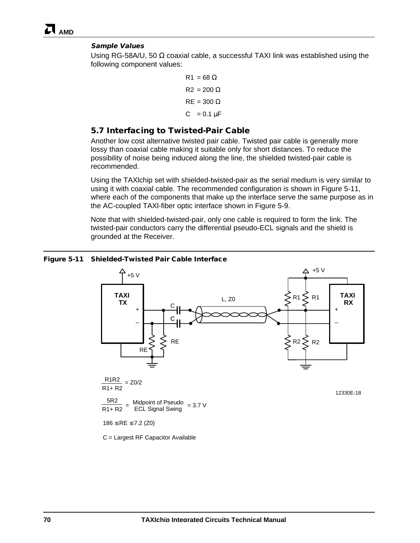#### **Sample Values**

Using RG-58A/U, 50  $\Omega$  coaxial cable, a successful TAXI link was established using the following component values:

$$
R1 = 68 \Omega
$$
  
\n
$$
R2 = 200 \Omega
$$
  
\n
$$
RE = 300 \Omega
$$
  
\n
$$
C = 0.1 \mu F
$$

#### **5.7 Interfacing to Twisted-Pair Cable**

Another low cost alternative twisted pair cable. Twisted pair cable is generally more lossy than coaxial cable making it suitable only for short distances. To reduce the possibility of noise being induced along the line, the shielded twisted-pair cable is recommended.

Using the TAXlchip set with shielded-twisted-pair as the serial medium is very similar to using it with coaxial cable. The recommended configuration is shown in Figure 5-11, where each of the components that make up the interface serve the same purpose as in the AC-coupled TAXl-fiber optic interface shown in Figure 5-9.

Note that with shielded-twisted-pair, only one cable is required to form the link. The twisted-pair conductors carry the differential pseudo-ECL signals and the shield is grounded at the Receiver.

#### **Figure 5-11 Shielded-Twisted Pair Cable Interface**

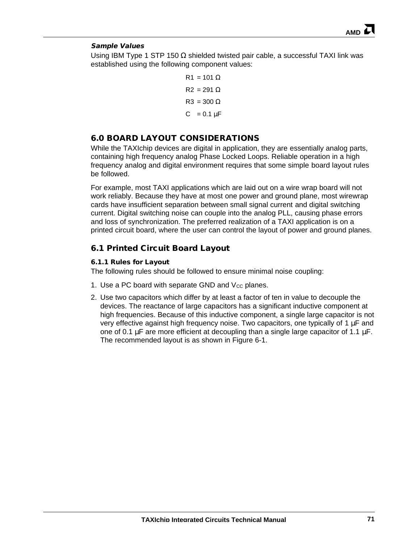#### **Sample Values**

Using IBM Type 1 STP 150  $\Omega$  shielded twisted pair cable, a successful TAXI link was established using the following component values:

> $R1 = 101 \Omega$  $R2 = 291 \Omega$ R3 =  $300 \Omega$  $C = 0.1 \mu F$

## **6.0 BOARD LAYOUT CONSIDERATIONS**

While the TAXIchip devices are digital in application, they are essentially analog parts, containing high frequency analog Phase Locked Loops. Reliable operation in a high frequency analog and digital environment requires that some simple board layout rules be followed.

For example, most TAXI applications which are laid out on a wire wrap board will not work reliably. Because they have at most one power and ground plane, most wirewrap cards have insufficient separation between small signal current and digital switching current. Digital switching noise can couple into the analog PLL, causing phase errors and loss of synchronization. The preferred realization of a TAXI application is on a printed circuit board, where the user can control the layout of power and ground planes.

## **6.1 Printed Circuit Board Layout**

#### **6.1.1 Rules for Layout**

The following rules should be followed to ensure minimal noise coupling:

- 1. Use a PC board with separate GND and  $V_{CC}$  planes.
- 2. Use two capacitors which differ by at least a factor of ten in value to decouple the devices. The reactance of large capacitors has a significant inductive component at high frequencies. Because of this inductive component, a single large capacitor is not very effective against high frequency noise. Two capacitors, one typically of 1  $\mu$ F and one of 0.1  $\mu$ F are more efficient at decoupling than a single large capacitor of 1.1  $\mu$ F. The recommended layout is as shown in Figure 6-1.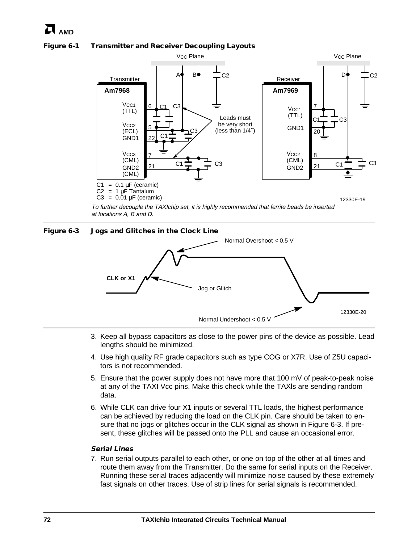#### **Figure 6-1 Transmitter and Receiver Decoupling Layouts**





# **Figure 6-3 Jogs and Glitches in the Clock Line** Normal Overshoot < 0.5 V **CLK or X1** Jog or Glitch Normal Undershoot < 0.5 V 12330E-20

- 3. Keep all bypass capacitors as close to the power pins of the device as possible. Lead lengths should be minimized.
- 4. Use high quality RF grade capacitors such as type COG or X7R. Use of Z5U capacitors is not recommended.
- 5. Ensure that the power supply does not have more that 100 mV of peak-to-peak noise at any of the TAXI Vcc pins. Make this check while the TAXls are sending random data.
- 6. While CLK can drive four X1 inputs or several TTL loads, the highest performance can be achieved by reducing the load on the CLK pin. Care should be taken to ensure that no jogs or glitches occur in the CLK signal as shown in Figure 6-3. If present, these glitches will be passed onto the PLL and cause an occasional error.

#### **Serial Lines**

7. Run serial outputs parallel to each other, or one on top of the other at all times and route them away from the Transmitter. Do the same for serial inputs on the Receiver. Running these serial traces adjacently will minimize noise caused by these extremely fast signals on other traces. Use of strip lines for serial signals is recommended.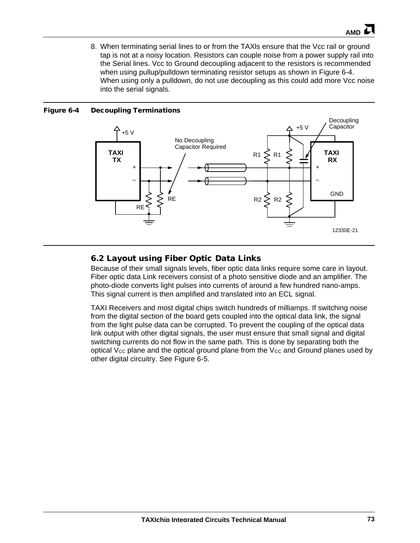8. When terminating serial lines to or from the TAXls ensure that the Vcc rail or ground tap is not at a noisy location. Resistors can couple noise from a power supply rail into the Serial lines. Vcc to Ground decoupling adjacent to the resistors is recommended when using pullup/pulldown terminating resistor setups as shown in Figure 6-4. When using only a pulldown, do not use decoupling as this could add more Vcc noise into the serial signals.

#### **Figure 6-4 Decoupling Terminations**



## **6.2 Layout using Fiber Optic Data Links**

Because of their small signals levels, fiber optic data links require some care in layout. Fiber optic data Link receivers consist of a photo sensitive diode and an amplifier. The photo-diode converts light pulses into currents of around a few hundred nano-amps. This signal current is then amplified and translated into an ECL signal.

TAXI Receivers and most digital chips switch hundreds of milliamps. If switching noise from the digital section of the board gets coupled into the optical data link, the signal from the light pulse data can be corrupted. To prevent the coupling of the optical data link output with other digital signals, the user must ensure that small signal and digital switching currents do not flow in the same path. This is done by separating both the optical  $V_{CC}$  plane and the optical ground plane from the  $V_{CC}$  and Ground planes used by other digital circuitry. See Figure 6-5.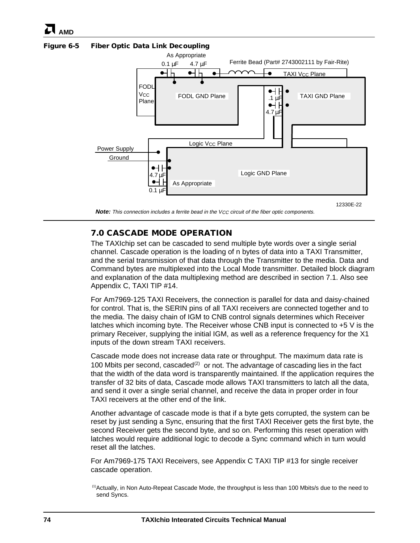#### **Figure 6-5 Fiber Optic Data Link Decoupling**



**Note:** This connection includes a ferrite bead in the VCC circuit of the fiber optic components.

## **7.0 CASCADE MODE OPERATION**

The TAXIchip set can be cascaded to send multiple byte words over a single serial channel. Cascade operation is the loading of n bytes of data into a TAXI Transmitter, and the serial transmission of that data through the Transmitter to the media. Data and Command bytes are multiplexed into the Local Mode transmitter. Detailed block diagram and explanation of the data multiplexing method are described in section 7.1. Also see Appendix C, TAXI TIP #14.

For Am7969-125 TAXI Receivers, the connection is parallel for data and daisy-chained for control. That is, the SERIN pins of all TAXI receivers are connected together and to the media. The daisy chain of IGM to CNB control signals determines which Receiver latches which incoming byte. The Receiver whose CNB input is connected to +5 V is the primary Receiver, supplying the initial IGM, as well as a reference frequency for the X1 inputs of the down stream TAXI receivers.

Cascade mode does not increase data rate or throughput. The maximum data rate is 100 Mbits per second, cascaded $^{(2)}$  or not. The advantage of cascading lies in the fact that the width of the data word is transparently maintained. If the application requires the transfer of 32 bits of data, Cascade mode allows TAXI transmitters to latch all the data, and send it over a single serial channel, and receive the data in proper order in four TAXI receivers at the other end of the link.

Another advantage of cascade mode is that if a byte gets corrupted, the system can be reset by just sending a Sync, ensuring that the first TAXI Receiver gets the first byte, the second Receiver gets the second byte, and so on. Performing this reset operation with latches would require additional logic to decode a Sync command which in turn would reset all the latches.

For Am7969-175 TAXI Receivers, see Appendix C TAXI TIP #13 for single receiver cascade operation.

<sup>(1)</sup>Actually, in Non Auto-Repeat Cascade Mode, the throughput is less than 100 Mbits/s due to the need to send Syncs.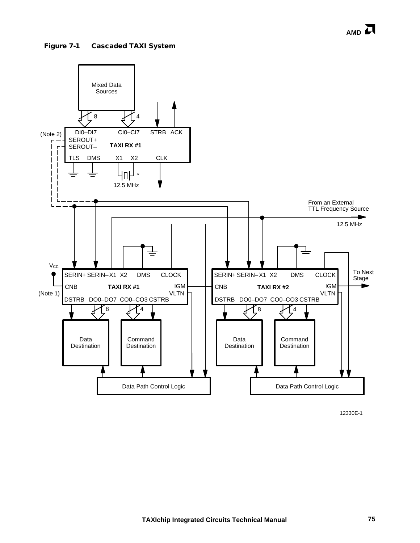**Figure 7-1 Cascaded TAXI System**



12330E-1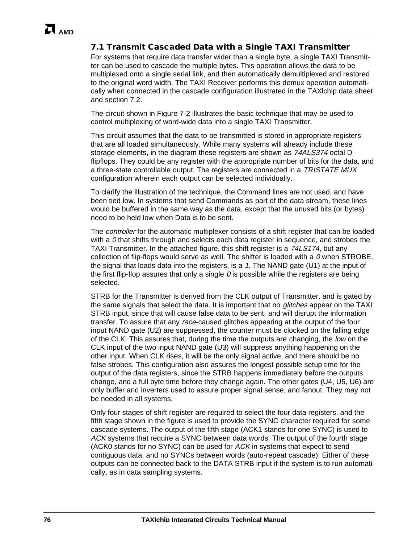## **7.1 Transmit Cascaded Data with a Single TAXI Transmitter**

For systems that require data transfer wider than a single byte, a single TAXI Transmitter can be used to cascade the multiple bytes. This operation allows the data to be multiplexed onto a single serial link, and then automatically demultiplexed and restored to the original word width. The TAXI Receiver performs this demux operation automatically when connected in the cascade configuration illustrated in the TAXlchip data sheet and section 7.2.

The circuit shown in Figure 7-2 illustrates the basic technique that may be used to control multiplexing of word-wide data into a single TAXI Transmitter.

This circuit assumes that the data to be transmitted is stored in appropriate registers that are all loaded simultaneously. While many systems will already include these storage elements, in the diagram these registers are shown as 74ALS374 octal D flipflops. They could be any register with the appropriate number of bits for the data, and a three-state controllable output. The registers are connected in a TRISTATE MUX configuration wherein each output can be selected individually.

To clarify the illustration of the technique, the Command lines are not used, and have been tied low. In systems that send Commands as part of the data stream, these lines would be buffered in the same way as the data, except that the unused bits (or bytes) need to be held low when Data is to be sent.

The *controller* for the automatic multiplexer consists of a shift register that can be loaded with a  $0$  that shifts through and selects each data register in sequence, and strobes the TAXI Transmitter. In the attached figure, this shift register is a 74LS174, but any collection of flip-flops would serve as well. The shifter is loaded with a  $0$  when STROBE, the signal that loads data into the registers, is a 1. The NAND gate (U1) at the input of the first flip-flop assures that only a single  $0$  is possible while the registers are being selected.

STRB for the Transmitter is derived from the CLK output of Transmitter, and is gated by the same signals that select the data. It is important that no *glitches* appear on the TAXI STRB input, since that will cause false data to be sent, and will disrupt the information transfer. To assure that any race-caused glitches appearing at the output of the four input NAND gate (U2) are suppressed, the counter must be clocked on the falling edge of the CLK. This assures that, during the time the outputs are changing, the low on the CLK input of the two input NAND gate (U3) will suppress anything happening on the other input. When CLK rises, it will be the only signal active, and there should be no false strobes. This configuration also assures the longest possible setup time for the output of the data registers, since the STRB happens immediately before the outputs change, and a full byte time before they change again. The other gates (U4, U5, U6) are only buffer and inverters used to assure proper signal sense, and fanout. They may not be needed in all systems.

Only four stages of shift register are required to select the four data registers, and the fifth stage shown in the figure is used to provide the SYNC character required for some cascade systems. The output of the fifth stage (ACK1 stands for one SYNC) is used to ACK systems that require a SYNC between data words. The output of the fourth stage (ACK0 stands for no SYNC) can be used for ACK in systems that expect to send contiguous data, and no SYNCs between words (auto-repeat cascade). Either of these outputs can be connected back to the DATA STRB input if the system is to run automatically, as in data sampling systems.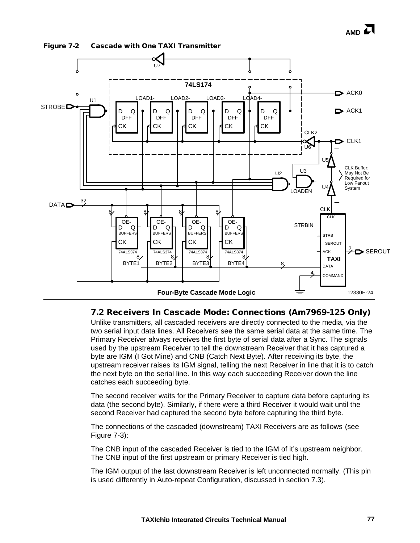

#### **Figure 7-2 Cascade with One TAXI Transmitter**

## **7.2 Receivers In Cascade Mode: Connections (Am7969-125 Only)**

Unlike transmitters, all cascaded receivers are directly connected to the media, via the two serial input data lines. All Receivers see the same serial data at the same time. The Primary Receiver always receives the first byte of serial data after a Sync. The signals used by the upstream Receiver to tell the downstream Receiver that it has captured a byte are IGM (I Got Mine) and CNB (Catch Next Byte). After receiving its byte, the upstream receiver raises its IGM signal, telling the next Receiver in line that it is to catch the next byte on the serial line. In this way each succeeding Receiver down the line catches each succeeding byte.

The second receiver waits for the Primary Receiver to capture data before capturing its data (the second byte). Similarly, if there were a third Receiver it would wait until the second Receiver had captured the second byte before capturing the third byte.

The connections of the cascaded (downstream) TAXI Receivers are as follows (see Figure 7-3):

The CNB input of the cascaded Receiver is tied to the IGM of it's upstream neighbor. The CNB input of the first upstream or primary Receiver is tied high.

The IGM output of the last downstream Receiver is left unconnected normally. (This pin is used differently in Auto-repeat Configuration, discussed in section 7.3).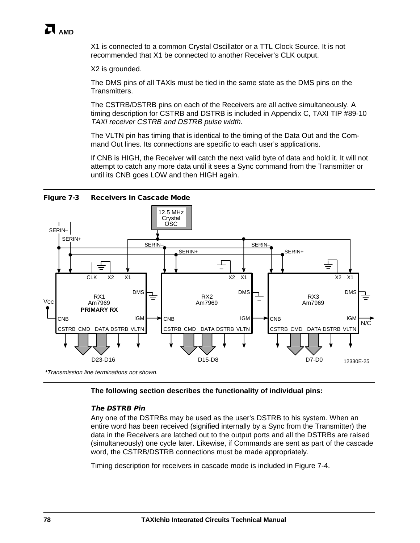X1 is connected to a common Crystal Oscillator or a TTL Clock Source. It is not recommended that X1 be connected to another Receiver's CLK output.

X2 is grounded.

The DMS pins of all TAXls must be tied in the same state as the DMS pins on the Transmitters.

The CSTRB/DSTRB pins on each of the Receivers are all active simultaneously. A timing description for CSTRB and DSTRB is included in Appendix C, TAXI TIP #89-10 TAXI receiver CSTRB and DSTRB pulse width.

The VLTN pin has timing that is identical to the timing of the Data Out and the Command Out lines. Its connections are specific to each user's applications.

If CNB is HIGH, the Receiver will catch the next valid byte of data and hold it. It will not attempt to catch any more data until it sees a Sync command from the Transmitter or until its CNB goes LOW and then HIGH again.



**Figure 7-3 Receivers in Cascade Mode**

**The following section describes the functionality of individual pins:**

## **The DSTRB Pin**

Any one of the DSTRBs may be used as the user's DSTRB to his system. When an entire word has been received (signified internally by a Sync from the Transmitter) the data in the Receivers are latched out to the output ports and all the DSTRBs are raised (simultaneously) one cycle later. Likewise, if Commands are sent as part of the cascade word, the CSTRB/DSTRB connections must be made appropriately.

Timing description for receivers in cascade mode is included in Figure 7-4.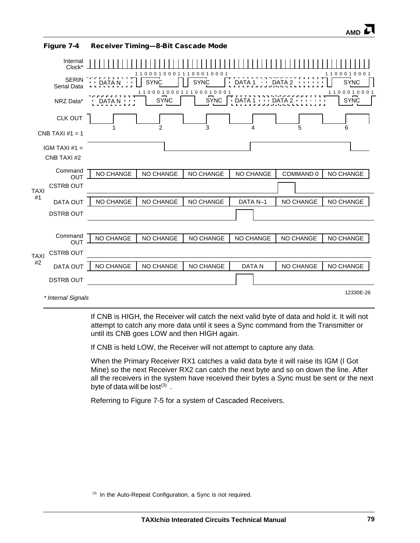|                   | Figure 7-4                         | Receiver Timing-8-Bit Cascade Mode |                                                             |                                                |                                         |           |                                         |
|-------------------|------------------------------------|------------------------------------|-------------------------------------------------------------|------------------------------------------------|-----------------------------------------|-----------|-----------------------------------------|
|                   | Internal<br>Clock*                 |                                    |                                                             |                                                |                                         |           |                                         |
|                   | <b>SERIN</b><br><b>Serial Data</b> | N                                  | 00<br>01<br>$\Omega$<br>$\Omega$<br>$\Omega$<br><b>SYNC</b> | 0001000<br><b>SYNC</b><br>11000100011100010001 | $DATA 1 \cdot \cdot$<br>DA<br>$\bullet$ |           | 1100010001<br><b>SYNC</b><br>1100010001 |
|                   | NRZ Data*                          | DATA N                             | <b>SYNC</b>                                                 | <b>SYNC</b>                                    | DATA 1 DATA 2                           |           | <b>SYNC</b>                             |
|                   | CLK OUT                            |                                    |                                                             |                                                | 4                                       |           |                                         |
|                   | CNB TAXI #1 = 1                    |                                    | 2                                                           | 3                                              |                                         | 5         | 6                                       |
|                   | IGM TAXI #1 $=$<br>CNB TAXI#2      |                                    |                                                             |                                                |                                         |           |                                         |
|                   | Command<br><b>OUT</b>              | NO CHANGE                          | NO CHANGE                                                   | NO CHANGE                                      | NO CHANGE                               | COMMAND 0 | NO CHANGE                               |
| <b>TAXI</b>       | <b>CSTRB OUT</b>                   |                                    |                                                             |                                                |                                         |           |                                         |
| #1                | DATA OUT                           | <b>NO CHANGE</b>                   | NO CHANGE                                                   | NO CHANGE                                      | DATA N-1                                | NO CHANGE | NO CHANGE                               |
|                   | <b>DSTRB OUT</b>                   |                                    |                                                             |                                                |                                         |           |                                         |
|                   |                                    |                                    |                                                             |                                                |                                         |           |                                         |
| <b>TAXI</b><br>#2 | Command<br><b>OUT</b>              | NO CHANGE                          | NO CHANGE                                                   | NO CHANGE                                      | NO CHANGE                               | NO CHANGE | NO CHANGE                               |
|                   | <b>CSTRB OUT</b>                   |                                    |                                                             |                                                |                                         |           |                                         |
|                   | <b>DATA OUT</b>                    | NO CHANGE                          | NO CHANGE                                                   | <b>NO CHANGE</b>                               | DATA N                                  | NO CHANGE | NO CHANGE                               |
|                   | <b>DSTRB OUT</b>                   |                                    |                                                             |                                                |                                         |           |                                         |
|                   | * Internal Signals                 |                                    |                                                             |                                                |                                         |           | 12330E-26                               |

If CNB is HIGH, the Receiver will catch the next valid byte of data and hold it. It will not attempt to catch any more data until it sees a Sync command from the Transmitter or until its CNB goes LOW and then HIGH again.

If CNB is held LOW, the Receiver will not attempt to capture any data.

When the Primary Receiver RX1 catches a valid data byte it will raise its IGM (I Got Mine) so the next Receiver RX2 can catch the next byte and so on down the line. After all the receivers in the system have received their bytes a Sync must be sent or the next byte of data will be lost $(3)$ .

Referring to Figure 7-5 for a system of Cascaded Receivers.

<sup>(3)</sup> In the Auto-Repeat Configuration, a Sync is not required.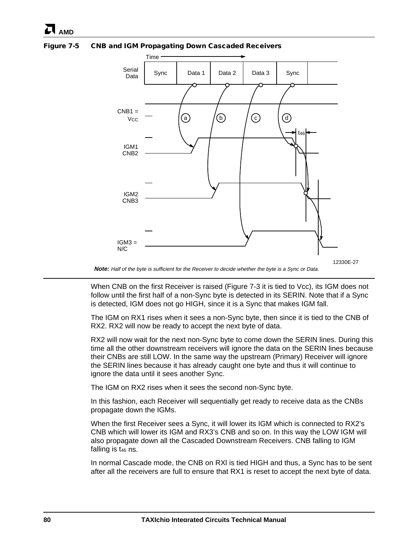

**Figure 7-5 CNB and IGM Propagating Down Cascaded Receivers**

**Note:** Half of the byte is sufficient for the Receiver to decide whether the byte is a Sync or Data.

When CNB on the first Receiver is raised (Figure 7-3 it is tied to Vcc), its IGM does not follow until the first half of a non-Sync byte is detected in its SERIN. Note that if a Sync is detected, IGM does not go HIGH, since it is a Sync that makes IGM fall.

The IGM on RX1 rises when it sees a non-Sync byte, then since it is tied to the CNB of RX2. RX2 will now be ready to accept the next byte of data.

RX2 will now wait for the next non-Sync byte to come down the SERIN lines. During this time all the other downstream receivers will ignore the data on the SERIN lines because their CNBs are still LOW. In the same way the upstream (Primary) Receiver will ignore the SERIN lines because it has already caught one byte and thus it will continue to ignore the data until it sees another Sync.

The IGM on RX2 rises when it sees the second non-Sync byte.

In this fashion, each Receiver will sequentially get ready to receive data as the CNBs propagate down the IGMs.

When the first Receiver sees a Sync, it will lower its IGM which is connected to RX2's CNB which will lower its IGM and RX3's CNB and so on. In this way the LOW IGM will also propagate down all the Cascaded Downstream Receivers. CNB falling to IGM falling is  $t_{46}$  ns.

In normal Cascade mode, the CNB on RXl is tied HIGH and thus, a Sync has to be sent after all the receivers are full to ensure that RX1 is reset to accept the next byte of data.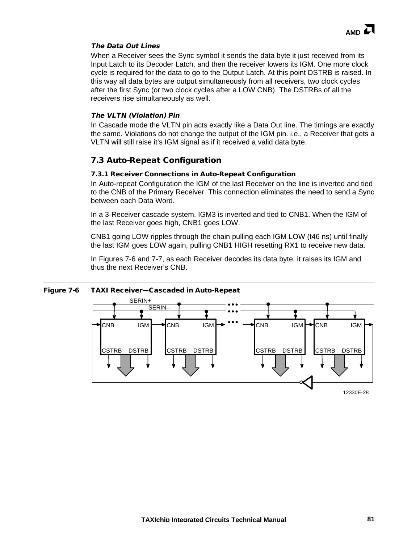#### **The Data Out Lines**

When a Receiver sees the Sync symbol it sends the data byte it just received from its Input Latch to its Decoder Latch, and then the receiver lowers its IGM. One more clock cycle is required for the data to go to the Output Latch. At this point DSTRB is raised. In this way all data bytes are output simultaneously from all receivers, two clock cycles after the first Sync (or two clock cycles after a LOW CNB). The DSTRBs of all the receivers rise simultaneously as well.

#### **The VLTN (Violation) Pin**

In Cascade mode the VLTN pin acts exactly like a Data Out line. The timings are exactly the same. Violations do not change the output of the IGM pin. i.e., a Receiver that gets a VLTN will still raise it's IGM signal as if it received a valid data byte.

## **7.3 Auto-Repeat Configuration**

#### **7.3.1 Receiver Connections in Auto-Repeat Configuration**

In Auto-repeat Configuration the IGM of the last Receiver on the line is inverted and tied to the CNB of the Primary Receiver. This connection eliminates the need to send a Sync between each Data Word.

In a 3-Receiver cascade system, IGM3 is inverted and tied to CNB1. When the IGM of the last Receiver goes high, CNB1 goes LOW.

CNB1 going LOW ripples through the chain pulling each IGM LOW (t46 ns) until finally the last IGM goes LOW again, pulling CNB1 HIGH resetting RX1 to receive new data.

In Figures 7-6 and 7-7, as each Receiver decodes its data byte, it raises its IGM and thus the next Receiver's CNB.

#### **Figure 7-6 TAXI Receiver—Cascaded in Auto-Repeat**

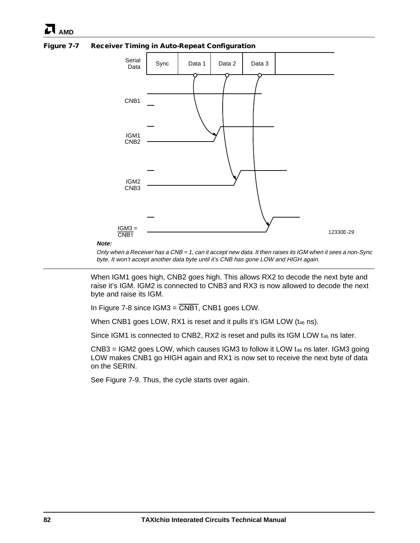

**Figure 7-7 Receiver Timing in Auto-Repeat Configuration**

Only when a Receiver has a CNB = 1, can it accept new data. It then raises its IGM when it sees a non-Sync byte. It won't accept another data byte until it's CNB has gone LOW and HIGH again.

When IGM1 goes high, CNB2 goes high. This allows RX2 to decode the next byte and raise it's IGM. IGM2 is connected to CNB3 and RX3 is now allowed to decode the next byte and raise its IGM.

In Figure 7-8 since  $IGM3 = \overline{CNB1}$ , CNB1 goes LOW.

When CNB1 goes LOW, RX1 is reset and it pulls it's IGM LOW (t<sub>46</sub> ns).

Since IGM1 is connected to CNB2, RX2 is reset and pulls its IGM LOW t<sub>46</sub> ns later.

 $CNB3 = IGM2$  goes LOW, which causes IGM3 to follow it LOW  $t_{46}$  ns later. IGM3 going LOW makes CNB1 go HIGH again and RX1 is now set to receive the next byte of data on the SERIN.

See Figure 7-9. Thus, the cycle starts over again.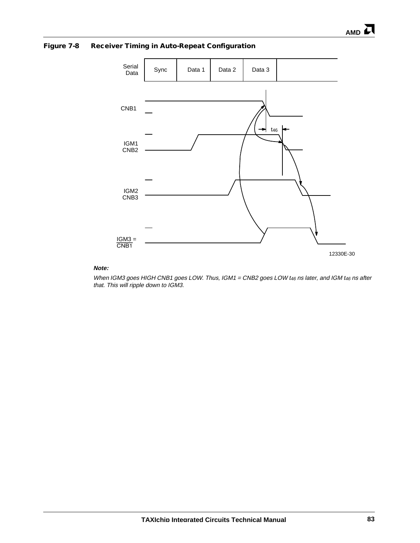**Figure 7-8 Receiver Timing in Auto-Repeat Configuration**



#### **Note:**

When IGM3 goes HIGH CNB1 goes LOW. Thus, IGM1 = CNB2 goes LOW t46 ns later, and IGM t46 ns after that. This will ripple down to IGM3.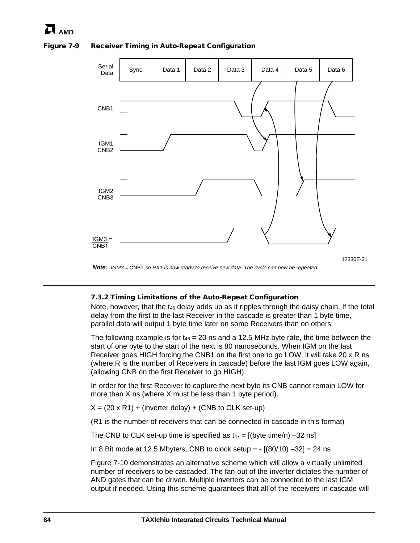**Figure 7-9 Receiver Timing in Auto-Repeat Configuration**



#### **7.3.2 Timing Limitations of the Auto-Repeat Configuration**

Note, however, that the  $t_{46}$  delay adds up as it ripples through the daisy chain. If the total delay from the first to the last Receiver in the cascade is greater than 1 byte time, parallel data will output 1 byte time later on some Receivers than on others.

The following example is for  $t_{46}$  = 20 ns and a 12.5 MHz byte rate, the time between the start of one byte to the start of the next is 80 nanoseconds. When IGM on the last Receiver goes HIGH forcing the CNB1 on the first one to go LOW, it will take 20 x R ns (where R is the number of Receivers in cascade) before the last IGM goes LOW again, (allowing CNB on the first Receiver to go HIGH).

In order for the first Receiver to capture the next byte its CNB cannot remain LOW for more than X ns (where X must be less than 1 byte period).

 $X = (20 \times R1) + (inverter$  delay) + (CNB to CLK set-up)

(R1 is the number of receivers that can be connected in cascade in this format)

The CNB to CLK set-up time is specified as  $t_{47} = [(byte time/n) -32 ns]$ 

In 8 Bit mode at 12.5 Mbyte/s, CNB to clock setup =  $-[ (80/10) -32] = 24$  ns

Figure 7-10 demonstrates an alternative scheme which will allow a virtually unlimited number of receivers to be cascaded. The fan-out of the inverter dictates the number of AND gates that can be driven. Multiple inverters can be connected to the last IGM output if needed. Using this scheme guarantees that all of the receivers in cascade will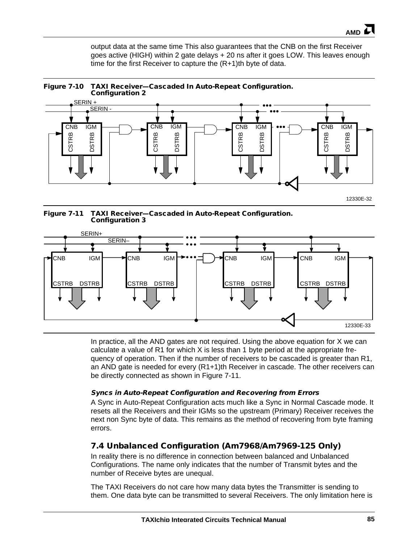output data at the same time This also guarantees that the CNB on the first Receiver goes active (HIGH) within 2 gate delays + 20 ns after it goes LOW. This leaves enough time for the first Receiver to capture the (R+1)th byte of data.



## **Figure 7-10 TAXI Receiver—Cascaded In Auto-Repeat Configuration.**





In practice, all the AND gates are not required. Using the above equation for X we can calculate a value of R1 for which  $X$  is less than 1 byte period at the appropriate frequency of operation. Then if the number of receivers to be cascaded is greater than R1, an AND gate is needed for every (R1+1)th Receiver in cascade. The other receivers can be directly connected as shown in Figure 7-11.

#### **Syncs in Auto-Repeat Configuration and Recovering from Errors**

A Sync in Auto-Repeat Configuration acts much like a Sync in Normal Cascade mode. It resets all the Receivers and their IGMs so the upstream (Primary) Receiver receives the next non Sync byte of data. This remains as the method of recovering from byte framing errors.

## **7.4 Unbalanced Configuration (Am7968/Am7969-125 Only)**

In reality there is no difference in connection between balanced and Unbalanced Configurations. The name only indicates that the number of Transmit bytes and the number of Receive bytes are unequal.

The TAXI Receivers do not care how many data bytes the Transmitter is sending to them. One data byte can be transmitted to several Receivers. The only limitation here is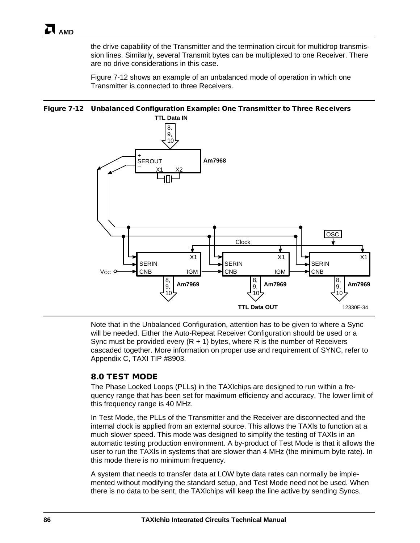the drive capability of the Transmitter and the termination circuit for multidrop transmission lines. Similarly, several Transmit bytes can be multiplexed to one Receiver. There are no drive considerations in this case.

Figure 7-12 shows an example of an unbalanced mode of operation in which one Transmitter is connected to three Receivers.



Note that in the Unbalanced Configuration, attention has to be given to where a Sync will be needed. Either the Auto-Repeat Receiver Configuration should be used or a Sync must be provided every  $(R + 1)$  bytes, where R is the number of Receivers cascaded together. More information on proper use and requirement of SYNC, refer to Appendix C, TAXI TIP #8903.

#### **8.0 TEST MODE**

The Phase Locked Loops (PLLs) in the TAXlchips are designed to run within a frequency range that has been set for maximum efficiency and accuracy. The lower limit of this frequency range is 40 MHz.

In Test Mode, the PLLs of the Transmitter and the Receiver are disconnected and the internal clock is applied from an external source. This allows the TAXls to function at a much slower speed. This mode was designed to simplify the testing of TAXls in an automatic testing production environment. A by-product of Test Mode is that it allows the user to run the TAXls in systems that are slower than 4 MHz (the minimum byte rate). In this mode there is no minimum frequency.

A system that needs to transfer data at LOW byte data rates can normally be implemented without modifying the standard setup, and Test Mode need not be used. When there is no data to be sent, the TAXlchips will keep the line active by sending Syncs.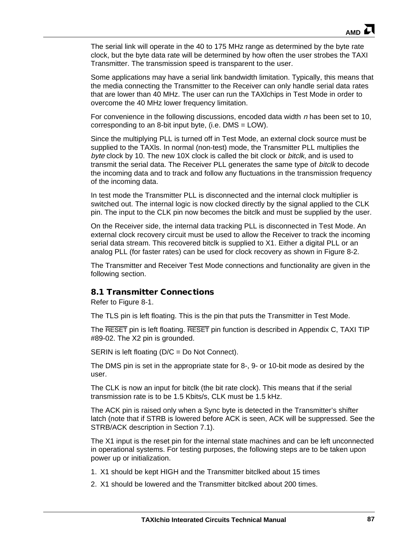The serial link will operate in the 40 to 175 MHz range as determined by the byte rate clock, but the byte data rate will be determined by how often the user strobes the TAXI Transmitter. The transmission speed is transparent to the user.

Some applications may have a serial link bandwidth limitation. Typically, this means that the media connecting the Transmitter to the Receiver can only handle serial data rates that are lower than 40 MHz. The user can run the TAXlchips in Test Mode in order to overcome the 40 MHz lower frequency limitation.

For convenience in the following discussions, encoded data width  $n$  has been set to 10, corresponding to an 8-bit input byte, (i.e. DMS = LOW).

Since the multiplying PLL is turned off in Test Mode, an external clock source must be supplied to the TAXls. In normal (non-test) mode, the Transmitter PLL multiplies the byte clock by 10. The new 10X clock is called the bit clock or bitclk, and is used to transmit the serial data. The Receiver PLL generates the same type of bitclk to decode the incoming data and to track and follow any fluctuations in the transmission frequency of the incoming data.

In test mode the Transmitter PLL is disconnected and the internal clock multiplier is switched out. The internal logic is now clocked directly by the signal applied to the CLK pin. The input to the CLK pin now becomes the bitclk and must be supplied by the user.

On the Receiver side, the internal data tracking PLL is disconnected in Test Mode. An external clock recovery circuit must be used to allow the Receiver to track the incoming serial data stream. This recovered bitclk is supplied to X1. Either a digital PLL or an analog PLL (for faster rates) can be used for clock recovery as shown in Figure 8-2.

The Transmitter and Receiver Test Mode connections and functionality are given in the following section.

## **8.1 Transmitter Connections**

Refer to Figure 8-1.

The TLS pin is left floating. This is the pin that puts the Transmitter in Test Mode.

The RESET pin is left floating. RESET pin function is described in Appendix C, TAXI TIP #89-02. The X2 pin is grounded.

SERIN is left floating (D/C = Do Not Connect).

The DMS pin is set in the appropriate state for 8-, 9- or 10-bit mode as desired by the user.

The CLK is now an input for bitclk (the bit rate clock). This means that if the serial transmission rate is to be 1.5 Kbits/s, CLK must be 1.5 kHz.

The ACK pin is raised only when a Sync byte is detected in the Transmitter's shifter latch (note that if STRB is lowered before ACK is seen, ACK will be suppressed. See the STRB/ACK description in Section 7.1).

The X1 input is the reset pin for the internal state machines and can be left unconnected in operational systems. For testing purposes, the following steps are to be taken upon power up or initialization.

- 1. X1 should be kept HIGH and the Transmitter bitclked about 15 times
- 2. X1 should be lowered and the Transmitter bitclked about 200 times.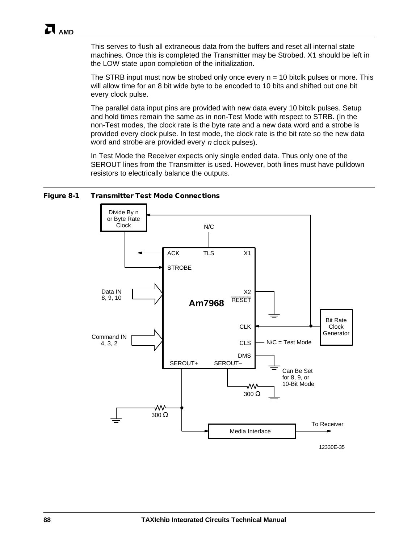This serves to flush all extraneous data from the buffers and reset all internal state machines. Once this is completed the Transmitter may be Strobed. X1 should be left in the LOW state upon completion of the initialization.

The STRB input must now be strobed only once every  $n = 10$  bitclk pulses or more. This will allow time for an 8 bit wide byte to be encoded to 10 bits and shifted out one bit every clock pulse.

The parallel data input pins are provided with new data every 10 bitclk pulses. Setup and hold times remain the same as in non-Test Mode with respect to STRB. (In the non-Test modes, the clock rate is the byte rate and a new data word and a strobe is provided every clock pulse. In test mode, the clock rate is the bit rate so the new data word and strobe are provided every n clock pulses).

In Test Mode the Receiver expects only single ended data. Thus only one of the SEROUT lines from the Transmitter is used. However, both lines must have pulldown resistors to electrically balance the outputs.



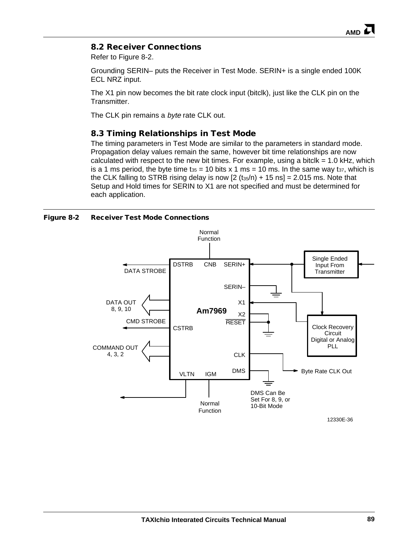## **8.2 Receiver Connections**

Refer to Figure 8-2.

Grounding SERIN– puts the Receiver in Test Mode. SERIN+ is a single ended 100K ECL NRZ input.

The X1 pin now becomes the bit rate clock input (bitclk), just like the CLK pin on the Transmitter.

The CLK pin remains a byte rate CLK out.

## **8.3 Timing Relationships in Test Mode**

The timing parameters in Test Mode are similar to the parameters in standard mode. Propagation delay values remain the same, however bit time relationships are now calculated with respect to the new bit times. For example, using a bitclk  $= 1.0$  kHz, which is a 1 ms period, the byte time  $t_{35}$  = 10 bits x 1 ms = 10 ms. In the same way  $t_{37}$ , which is the CLK falling to STRB rising delay is now  $[2 (t_{35}/n) + 15$  ns $] = 2.015$  ms. Note that Setup and Hold times for SERIN to X1 are not specified and must be determined for each application.

#### **Figure 8-2 Receiver Test Mode Connections**

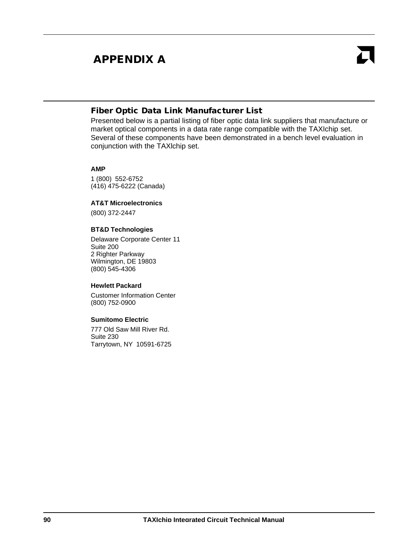## **APPENDIX A**

## **Fiber Optic Data Link Manufacturer List**

Presented below is a partial listing of fiber optic data link suppliers that manufacture or market optical components in a data rate range compatible with the TAXIchip set. Several of these components have been demonstrated in a bench level evaluation in conjunction with the TAXlchip set.

#### **AMP**

1 (800) 552-6752 (416) 475-6222 (Canada)

#### **AT&T Microelectronics**

(800) 372-2447

#### **BT&D Technologies**

Delaware Corporate Center 11 Suite 200 2 Righter Parkway Wilmington, DE 19803 (800) 545-4306

#### **Hewlett Packard**

Customer Information Center (800) 752-0900

#### **Sumitomo Electric**

777 Old Saw Mill River Rd. Suite 230 Tarrytown, NY 10591-6725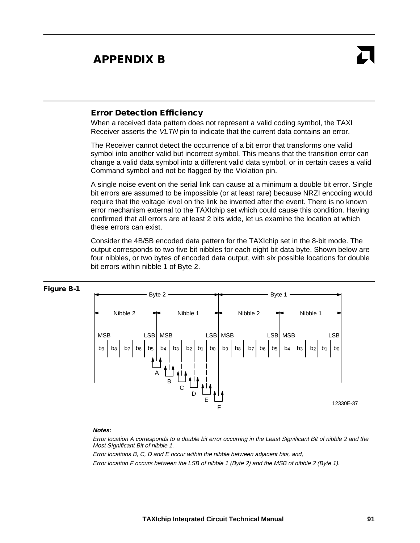## **APPENDIX B**

#### **Error Detection Efficiency**

When a received data pattern does not represent a valid coding symbol, the TAXI Receiver asserts the VLTN pin to indicate that the current data contains an error.

The Receiver cannot detect the occurrence of a bit error that transforms one valid symbol into another valid but incorrect symbol. This means that the transition error can change a valid data symbol into a different valid data symbol, or in certain cases a valid Command symbol and not be flagged by the Violation pin.

A single noise event on the serial link can cause at a minimum a double bit error. Single bit errors are assumed to be impossible (or at least rare) because NRZI encoding would require that the voltage level on the link be inverted after the event. There is no known error mechanism external to the TAXIchip set which could cause this condition. Having confirmed that all errors are at least 2 bits wide, let us examine the location at which these errors can exist.

Consider the 4B/5B encoded data pattern for the TAXIchip set in the 8-bit mode. The output corresponds to two five bit nibbles for each eight bit data byte. Shown below are four nibbles, or two bytes of encoded data output, with six possible locations for double bit errors within nibble 1 of Byte 2.



#### **Figure B-1**

#### **Notes:**

Error location A corresponds to a double bit error occurring in the Least Significant Bit of nibble 2 and the Most Significant Bit of nibble 1.

Error locations B, C, D and E occur within the nibble between adjacent bits, and,

Error location F occurs between the LSB of nibble 1 (Byte 2) and the MSB of nibble 2 (Byte 1).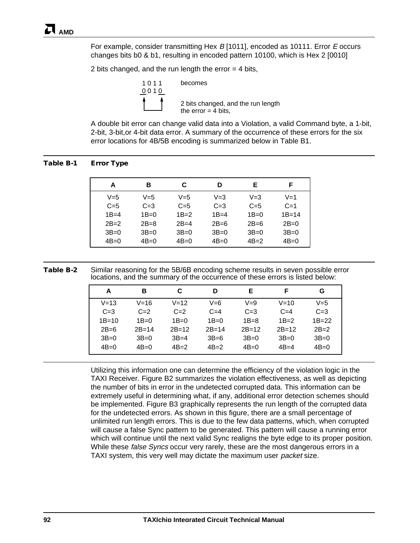For example, consider transmitting Hex B [1011], encoded as 10111. Error E occurs changes bits b0 & b1, resulting in encoded pattern 10100, which is Hex 2 [0010]

2 bits changed, and the run length the error  $=$  4 bits,



A double bit error can change valid data into a Violation, a valid Command byte, a 1-bit, 2-bit, 3-bit, or 4-bit data error. A summary of the occurrence of these errors for the six error locations for 4B/5B encoding is summarized below in Table B1.

#### **Table B-1 Error Type**

| А       | в       | C       | D       | Е       | F         |
|---------|---------|---------|---------|---------|-----------|
| $V = 5$ | $V = 5$ | $V = 5$ | $V = 3$ | $V = 3$ | $V = 1$   |
| $C=5$   | $C=3$   | $C=5$   | $C=3$   | $C=5$   | $C=1$     |
| $1B=4$  | $1B=0$  | $1B=2$  | $1B=4$  | $1B=0$  | $1B = 14$ |
| $2B=2$  | $2B=8$  | $2B=4$  | $2B=6$  | $2B=6$  | $2B=0$    |
| $3B=0$  | $3B=0$  | $3B=0$  | $3B=0$  | $3B=0$  | $3B=0$    |
| $4B=0$  | $4B=0$  | $4B=0$  | $4B=0$  | $4B=2$  | $4B=0$    |

**Table B-2** Similar reasoning for the 5B/6B encoding scheme results in seven possible error locations, and the summary of the occurrence of these errors is listed below:

| A         | в         | C        | D         | Е       | F        | G       |
|-----------|-----------|----------|-----------|---------|----------|---------|
| $V = 13$  | V=16      | $V = 12$ | $V = 6$   | V=9     | $V = 10$ | $V = 5$ |
| $C=3$     | $C=2$     | $C=2$    | $C = 4$   | $C=3$   | $C = 4$  | $C=3$   |
| $1B = 10$ | $1B=0$    | $1B=0$   | $1B=0$    | $1B=8$  | $1B=2$   | $1B=22$ |
| $2B=6$    | $2B = 14$ | $2B=12$  | $2B = 14$ | $2B=12$ | $2B=12$  | $2B=2$  |
| $3B=0$    | $3B=0$    | $3B=4$   | $3B=6$    | $3B=0$  | $3B=0$   | $3B=0$  |
| $4B=0$    | $4B=0$    | $4B=2$   | $4B=2$    | $4B=0$  | $4B=4$   | $4B=0$  |

Utilizing this information one can determine the efficiency of the violation logic in the TAXI Receiver. Figure B2 summarizes the violation effectiveness, as well as depicting the number of bits in error in the undetected corrupted data. This information can be extremely useful in determining what, if any, additional error detection schemes should be implemented. Figure B3 graphically represents the run length of the corrupted data for the undetected errors. As shown in this figure, there are a small percentage of unlimited run length errors. This is due to the few data patterns, which, when corrupted will cause a false Sync pattern to be generated. This pattern will cause a running error which will continue until the next valid Sync realigns the byte edge to its proper position. While these *false Syncs* occur very rarely, these are the most dangerous errors in a TAXI system, this very well may dictate the maximum user packet size.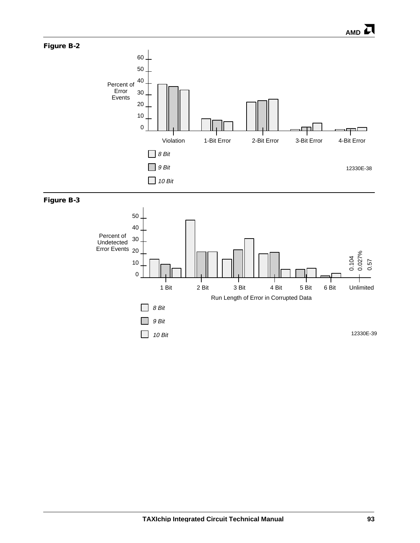





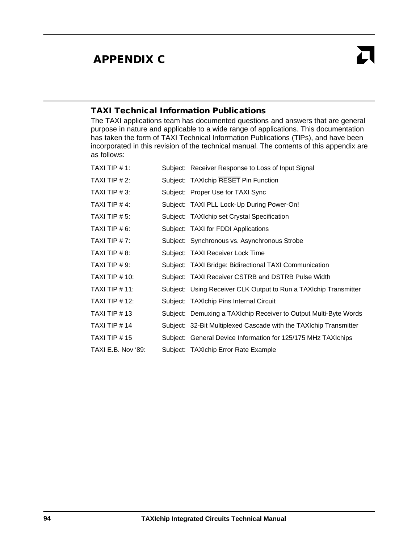## **APPENDIX C**

## **TAXI Technical Information Publications**

The TAXI applications team has documented questions and answers that are general purpose in nature and applicable to a wide range of applications. This documentation has taken the form of TAXI Technical Information Publications (TlPs), and have been incorporated in this revision of the technical manual. The contents of this appendix are as follows:

| TAXI TIP $# 1$ :      | Subject: Receiver Response to Loss of Input Signal                |
|-----------------------|-------------------------------------------------------------------|
| TAXI TIP $#2$ :       | Subject: TAXIchip RESET Pin Function                              |
| TAXI TIP #3:          | Subject: Proper Use for TAXI Sync                                 |
| TAXI TIP # 4:         | Subject: TAXI PLL Lock-Up During Power-On!                        |
| TAXI TIP # 5:         | Subject: TAXIchip set Crystal Specification                       |
| TAXI TIP # 6:         | Subject: TAXI for FDDI Applications                               |
| TAXI TIP $# 7$ :      | Subject: Synchronous vs. Asynchronous Strobe                      |
| TAXI TIP $# 8$ :      | Subject: TAXI Receiver Lock Time                                  |
| TAXI TIP $# 9:$       | Subject: TAXI Bridge: Bidirectional TAXI Communication            |
| TAXI TIP # 10:        | Subject: TAXI Receiver CSTRB and DSTRB Pulse Width                |
| TAXI TIP # 11:        | Subject: Using Receiver CLK Output to Run a TAXIchip Transmitter  |
| <b>TAXI TIP # 12:</b> | Subject: TAXIchip Pins Internal Circuit                           |
| TAXI TIP # 13         | Subject: Demuxing a TAXIchip Receiver to Output Multi-Byte Words  |
| TAXI TIP #14          | Subject: 32-Bit Multiplexed Cascade with the TAXIchip Transmitter |
| TAXI TIP #15          | Subject: General Device Information for 125/175 MHz TAXIchips     |
| TAXI E.B. Nov '89:    | Subject: TAXIchip Error Rate Example                              |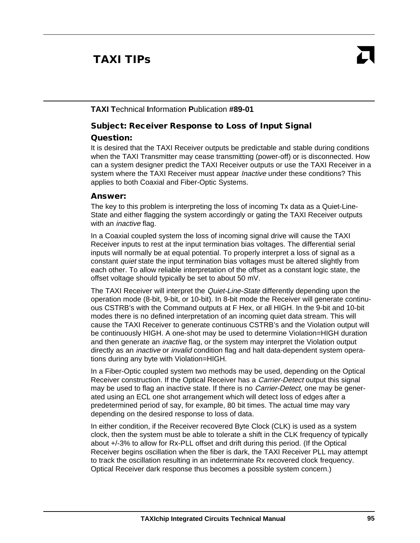## **TAXI TIPs**

## **TAXI T**echnical **I**nformation **P**ublication **#89-01**

## **Subject: Receiver Response to Loss of Input Signal**

#### **Question:**

It is desired that the TAXI Receiver outputs be predictable and stable during conditions when the TAXI Transmitter may cease transmitting (power-off) or is disconnected. How can a system designer predict the TAXI Receiver outputs or use the TAXI Receiver in a system where the TAXI Receiver must appear *Inactive* under these conditions? This applies to both Coaxial and Fiber-Optic Systems.

#### **Answer:**

The key to this problem is interpreting the loss of incoming Tx data as a Quiet-Line-State and either flagging the system accordingly or gating the TAXI Receiver outputs with an *inactive* flag.

In a Coaxial coupled system the loss of incoming signal drive will cause the TAXI Receiver inputs to rest at the input termination bias voltages. The differential serial inputs will normally be at equal potential. To properly interpret a loss of signal as a constant quiet state the input termination bias voltages must be altered slightly from each other. To allow reliable interpretation of the offset as a constant logic state, the offset voltage should typically be set to about 50 mV.

The TAXI Receiver will interpret the Quiet-Line-State differently depending upon the operation mode (8-bit, 9-bit, or 10-bit). In 8-bit mode the Receiver will generate continuous CSTRB's with the Command outputs at F Hex, or all HIGH. In the 9-bit and 10-bit modes there is no defined interpretation of an incoming quiet data stream. This will cause the TAXI Receiver to generate continuous CSTRB's and the Violation output will be continuously HIGH. A one-shot may be used to determine Violation=HIGH duration and then generate an *inactive* flag, or the system may interpret the Violation output directly as an *inactive* or *invalid* condition flag and halt data-dependent system operations during any byte with Violation=HIGH.

In a Fiber-Optic coupled system two methods may be used, depending on the Optical Receiver construction. If the Optical Receiver has a *Carrier-Detect* output this signal may be used to flag an inactive state. If there is no Carrier-Detect, one may be generated using an ECL one shot arrangement which will detect loss of edges after a predetermined period of say, for example, 80 bit times. The actual time may vary depending on the desired response to loss of data.

In either condition, if the Receiver recovered Byte Clock (CLK) is used as a system clock, then the system must be able to tolerate a shift in the CLK frequency of typically about +/-3% to allow for Rx-PLL offset and drift during this period. (If the Optical Receiver begins oscillation when the fiber is dark, the TAXI Receiver PLL may attempt to track the oscillation resulting in an indeterminate Rx recovered clock frequency. Optical Receiver dark response thus becomes a possible system concern.)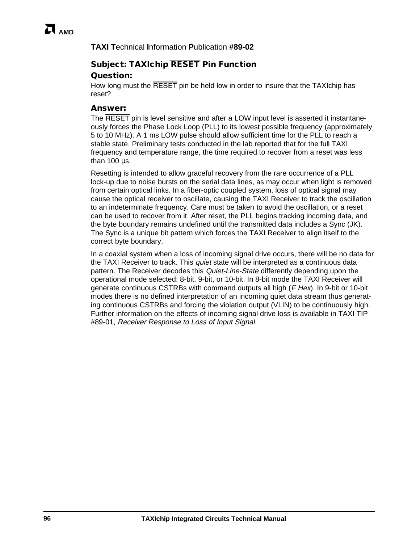## **Subject: TAXlchip RESET Pin Function**

#### **Question:**

How long must the **RESET** pin be held low in order to insure that the TAXIchip has reset?

#### **Answer:**

The RESET pin is level sensitive and after a LOW input level is asserted it instantaneously forces the Phase Lock Loop (PLL) to its lowest possible frequency (approximately 5 to 10 MHz). A 1 ms LOW pulse should allow sufficient time for the PLL to reach a stable state. Preliminary tests conducted in the lab reported that for the full TAXI frequency and temperature range, the time required to recover from a reset was less than  $100 \mu s$ .

Resetting is intended to allow graceful recovery from the rare occurrence of a PLL lock-up due to noise bursts on the serial data lines, as may occur when light is removed from certain optical links. In a fiber-optic coupled system, loss of optical signal may cause the optical receiver to oscillate, causing the TAXI Receiver to track the oscillation to an indeterminate frequency. Care must be taken to avoid the oscillation, or a reset can be used to recover from it. After reset, the PLL begins tracking incoming data, and the byte boundary remains undefined until the transmitted data includes a Sync (JK). The Sync is a unique bit pattern which forces the TAXI Receiver to align itself to the correct byte boundary.

In a coaxial system when a loss of incoming signal drive occurs, there will be no data for the TAXI Receiver to track. This *quiet* state will be interpreted as a continuous data pattern. The Receiver decodes this *Quiet-Line-State* differently depending upon the operational mode selected: 8-bit, 9-bit, or 10-bit. In 8-bit mode the TAXI Receiver will generate continuous CSTRBs with command outputs all high (F Hex). In 9-bit or 10-bit modes there is no defined interpretation of an incoming quiet data stream thus generating continuous CSTRBs and forcing the violation output (VLIN) to be continuously high. Further information on the effects of incoming signal drive loss is available in TAXI TIP #89-01, Receiver Response to Loss of Input Signal.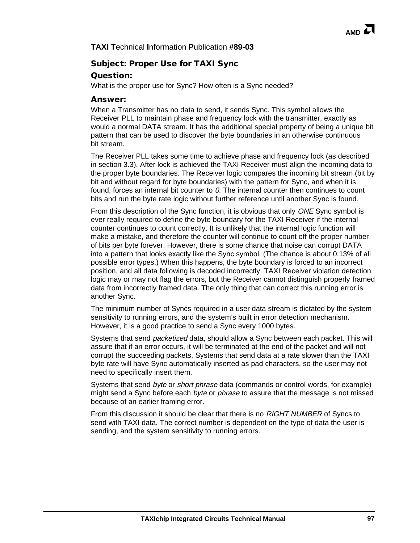## **Subject: Proper Use for TAXI Sync**

#### **Question:**

What is the proper use for Sync? How often is a Sync needed?

#### **Answer:**

When a Transmitter has no data to send, it sends Sync. This symbol allows the Receiver PLL to maintain phase and frequency lock with the transmitter, exactly as would a normal DATA stream. It has the additional special property of being a unique bit pattern that can be used to discover the byte boundaries in an otherwise continuous bit stream.

The Receiver PLL takes some time to achieve phase and frequency lock (as described in section 3.3). After lock is achieved the TAXI Receiver must align the incoming data to the proper byte boundaries. The Receiver logic compares the incoming bit stream (bit by bit and without regard for byte boundaries) with the pattern for Sync, and when it is found, forces an internal bit counter to  $\theta$ . The internal counter then continues to count bits and run the byte rate logic without further reference until another Sync is found.

From this description of the Sync function, it is obvious that only ONE Sync symbol is ever really required to define the byte boundary for the TAXI Receiver if the internal counter continues to count correctly. It is unlikely that the internal logic function will make a mistake, and therefore the counter will continue to count off the proper number of bits per byte forever. However, there is some chance that noise can corrupt DATA into a pattern that looks exactly like the Sync symbol. (The chance is about 0.13% of all possible error types.) When this happens, the byte boundary is forced to an incorrect position, and all data following is decoded incorrectly. TAXI Receiver violation detection logic may or may not flag the errors, but the Receiver cannot distinguish properly framed data from incorrectly framed data. The only thing that can correct this running error is another Sync.

The minimum number of Syncs required in a user data stream is dictated by the system sensitivity to running errors, and the system's built in error detection mechanism. However, it is a good practice to send a Sync every 1000 bytes.

Systems that send *packetized* data, should allow a Sync between each packet. This will assure that if an error occurs, it will be terminated at the end of the packet and will not corrupt the succeeding packets. Systems that send data at a rate slower than the TAXI byte rate will have Sync automatically inserted as pad characters, so the user may not need to specifically insert them.

Systems that send byte or short phrase data (commands or control words, for example) might send a Sync before each *byte* or *phrase* to assure that the message is not missed because of an earlier framing error.

From this discussion it should be clear that there is no RIGHT NUMBER of Syncs to send with TAXI data. The correct number is dependent on the type of data the user is sending, and the system sensitivity to running errors.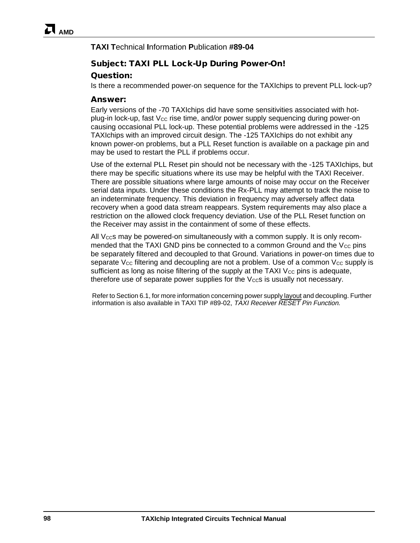## **Subject: TAXI PLL Lock-Up During Power-On!**

#### **Question:**

Is there a recommended power-on sequence for the TAXIchips to prevent PLL lock-up?

#### **Answer:**

Early versions of the -70 TAXIchips did have some sensitivities associated with hotplug-in lock-up, fast V<sub>cc</sub> rise time, and/or power supply sequencing during power-on causing occasional PLL lock-up. These potential problems were addressed in the -125 TAXIchips with an improved circuit design. The -125 TAXIchips do not exhibit any known power-on problems, but a PLL Reset function is available on a package pin and may be used to restart the PLL if problems occur.

Use of the external PLL Reset pin should not be necessary with the -125 TAXIchips, but there may be specific situations where its use may be helpful with the TAXI Receiver. There are possible situations where large amounts of noise may occur on the Receiver serial data inputs. Under these conditions the Rx-PLL may attempt to track the noise to an indeterminate frequency. This deviation in frequency may adversely affect data recovery when a good data stream reappears. System requirements may also place a restriction on the allowed clock frequency deviation. Use of the PLL Reset function on the Receiver may assist in the containment of some of these effects.

All  $V_{\text{cc}}$  may be powered-on simultaneously with a common supply. It is only recommended that the TAXI GND pins be connected to a common Ground and the  $V_{CC}$  pins be separately filtered and decoupled to that Ground. Variations in power-on times due to separate  $V_{CC}$  filtering and decoupling are not a problem. Use of a common  $V_{CC}$  supply is sufficient as long as noise filtering of the supply at the TAXI  $V_{CC}$  pins is adequate, therefore use of separate power supplies for the  $V_{CC}$ s is usually not necessary.

Refer to Section 6.1, for more information concerning power supply layout and decoupling. Further information is also available in TAXI TIP #89-02, TAXI Receiver RESET Pin Function.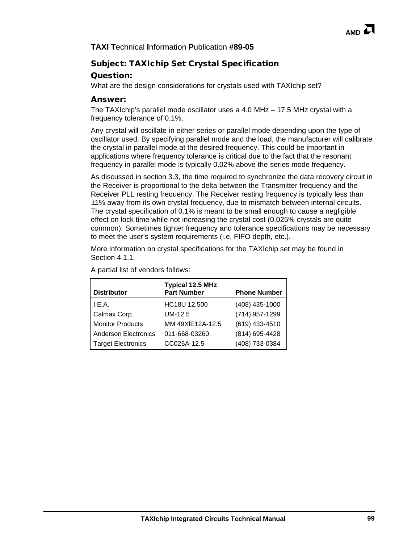## **Subject: TAXIchip Set Crystal Specification**

## **Question:**

What are the design considerations for crystals used with TAXIchip set?

## **Answer:**

The TAXIchip's parallel mode oscillator uses a 4.0 MHz – 17.5 MHz crystal with a frequency tolerance of 0.1%.

Any crystal will oscillate in either series or parallel mode depending upon the type of oscillator used. By specifying parallel mode and the load, the manufacturer will calibrate the crystal in parallel mode at the desired frequency. This could be important in applications where frequency tolerance is critical due to the fact that the resonant frequency in parallel mode is typically 0.02% above the series mode frequency.

As discussed in section 3.3, the time required to synchronize the data recovery circuit in the Receiver is proportional to the delta between the Transmitter frequency and the Receiver PLL resting frequency. The Receiver resting frequency is typically less than  $\pm$ 1% away from its own crystal frequency, due to mismatch between internal circuits. The crystal specification of 0.1% is meant to be small enough to cause a negligible effect on lock time while not increasing the crystal cost (0.025% crystals are quite common). Sometimes tighter frequency and tolerance specifications may be necessary to meet the user's system requirements (i.e. FIFO depth, etc.).

More information on crystal specifications for the TAXIchip set may be found in Section 4.1.1.

| <b>Distributor</b>          | <b>Typical 12.5 MHz</b><br>Part Number | <b>Phone Number</b> |  |
|-----------------------------|----------------------------------------|---------------------|--|
| I.E.A.                      | HC18U 12.500                           | (408) 435-1000      |  |
| Calmax Corp.                | $UM-12.5$                              | (714) 957-1299      |  |
| <b>Monitor Products</b>     | MM 49XIE12A-12.5                       | (619) 433-4510      |  |
| <b>Anderson Electronics</b> | 011-668-03260                          | (814) 695-4428      |  |
| <b>Target Electronics</b>   | CC025A-12.5                            | (408) 733-0384      |  |

A partial list of vendors follows: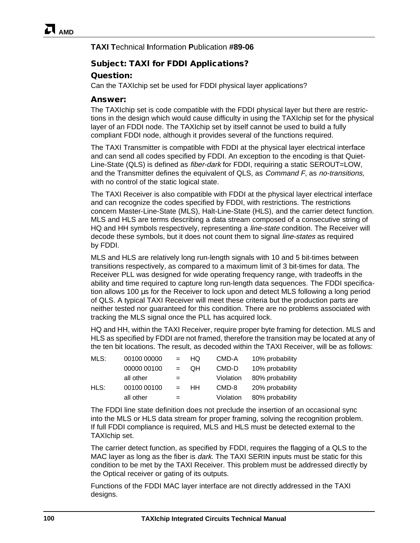## **Subject: TAXl for FDDI Applications?**

#### **Question:**

Can the TAXIchip set be used for FDDI physical layer applications?

#### **Answer:**

The TAXIchip set is code compatible with the FDDI physical layer but there are restrictions in the design which would cause difficulty in using the TAXIchip set for the physical layer of an FDDI node. The TAXIchip set by itself cannot be used to build a fully compliant FDDI node, although it provides several of the functions required.

The TAXI Transmitter is compatible with FDDI at the physical layer electrical interface and can send all codes specified by FDDI. An exception to the encoding is that Quiet-Line-State (QLS) is defined as fiber-dark for FDDI, requiring a static SEROUT=LOW, and the Transmitter defines the equivalent of QLS, as *Command F*, as no-transitions, with no control of the static logical state.

The TAXI Receiver is also compatible with FDDI at the physical layer electrical interface and can recognize the codes specified by FDDI, with restrictions. The restrictions concern Master-Line-State (MLS), Halt-Line-State (HLS), and the carrier detect function. MLS and HLS are terms describing a data stream composed of a consecutive string of HQ and HH symbols respectively, representing a *line-state* condition. The Receiver will decode these symbols, but it does not count them to signal *line-states* as required by FDDI.

MLS and HLS are relatively long run-length signals with 10 and 5 bit-times between transitions respectively, as compared to a maximum limit of 3 bit-times for data. The Receiver PLL was designed for wide operating frequency range, with tradeoffs in the ability and time required to capture long run-length data sequences. The FDDI specification allows 100 µs for the Receiver to lock upon and detect MLS following a long period of QLS. A typical TAXI Receiver will meet these criteria but the production parts are neither tested nor guaranteed for this condition. There are no problems associated with tracking the MLS signal once the PLL has acquired lock.

HQ and HH, within the TAXI Receiver, require proper byte framing for detection. MLS and HLS as specified by FDDI are not framed, therefore the transition may be located at any of the ten bit locations. The result, as decoded within the TAXI Receiver, will be as follows:

| MLS: | 00100 00000 | $=$     | HQ  | CMD-A     | 10% probability |
|------|-------------|---------|-----|-----------|-----------------|
|      | 00000 00100 | $=$     | ЮH  | CMD-D     | 10% probability |
|      | all other   | $=$ $-$ |     | Violation | 80% probability |
| HLS: | 00100 00100 | $=$ $-$ | HH. | CMD-8     | 20% probability |
|      | all other   | $=$     |     | Violation | 80% probability |

The FDDI line state definition does not preclude the insertion of an occasional sync into the MLS or HLS data stream for proper framing, solving the recognition problem. If full FDDI compliance is required, MLS and HLS must be detected external to the TAXIchip set.

The carrier detect function, as specified by FDDI, requires the flagging of a QLS to the MAC layer as long as the fiber is *dark*. The TAXI SERIN inputs must be static for this condition to be met by the TAXI Receiver. This problem must be addressed directly by the Optical receiver or gating of its outputs.

Functions of the FDDI MAC layer interface are not directly addressed in the TAXI designs.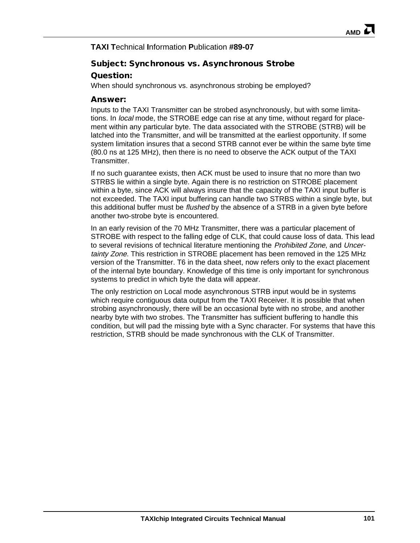# **Subject: Synchronous vs. Asynchronous Strobe**

### **Question:**

When should synchronous vs. asynchronous strobing be employed?

## **Answer:**

Inputs to the TAXI Transmitter can be strobed asynchronously, but with some limitations. In *local* mode, the STROBE edge can rise at any time, without regard for placement within any particular byte. The data associated with the STROBE (STRB) will be latched into the Transmitter, and will be transmitted at the earliest opportunity. If some system limitation insures that a second STRB cannot ever be within the same byte time (80.0 ns at 125 MHz), then there is no need to observe the ACK output of the TAXI Transmitter.

If no such guarantee exists, then ACK must be used to insure that no more than two STRBS lie within a single byte. Again there is no restriction on STROBE placement within a byte, since ACK will always insure that the capacity of the TAXI input buffer is not exceeded. The TAXI input buffering can handle two STRBS within a single byte, but this additional buffer must be flushed by the absence of a STRB in a given byte before another two-strobe byte is encountered.

In an early revision of the 70 MHz Transmitter, there was a particular placement of STROBE with respect to the falling edge of CLK, that could cause loss of data. This lead to several revisions of technical literature mentioning the Prohibited Zone, and Uncertainty Zone. This restriction in STROBE placement has been removed in the 125 MHz version of the Transmitter. T6 in the data sheet, now refers only to the exact placement of the internal byte boundary. Knowledge of this time is only important for synchronous systems to predict in which byte the data will appear.

The only restriction on Local mode asynchronous STRB input would be in systems which require contiguous data output from the TAXI Receiver. It is possible that when strobing asynchronously, there will be an occasional byte with no strobe, and another nearby byte with two strobes. The Transmitter has sufficient buffering to handle this condition, but will pad the missing byte with a Sync character. For systems that have this restriction, STRB should be made synchronous with the CLK of Transmitter.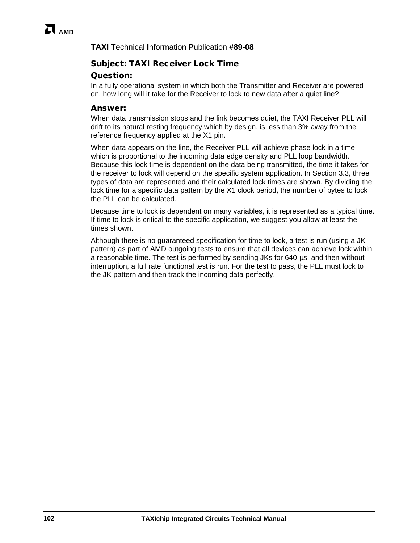## **Subject: TAXI Receiver Lock Time**

#### **Question:**

In a fully operational system in which both the Transmitter and Receiver are powered on, how long will it take for the Receiver to lock to new data after a quiet line?

#### **Answer:**

When data transmission stops and the link becomes quiet, the TAXI Receiver PLL will drift to its natural resting frequency which by design, is less than 3% away from the reference frequency applied at the X1 pin.

When data appears on the line, the Receiver PLL will achieve phase lock in a time which is proportional to the incoming data edge density and PLL loop bandwidth. Because this lock time is dependent on the data being transmitted, the time it takes for the receiver to lock will depend on the specific system application. In Section 3.3, three types of data are represented and their calculated lock times are shown. By dividing the lock time for a specific data pattern by the X1 clock period, the number of bytes to lock the PLL can be calculated.

Because time to lock is dependent on many variables, it is represented as a typical time. If time to lock is critical to the specific application, we suggest you allow at least the times shown.

Although there is no guaranteed specification for time to lock, a test is run (using a JK pattern) as part of AMD outgoing tests to ensure that all devices can achieve lock within a reasonable time. The test is performed by sending JKs for 640 µs, and then without interruption, a full rate functional test is run. For the test to pass, the PLL must lock to the JK pattern and then track the incoming data perfectly.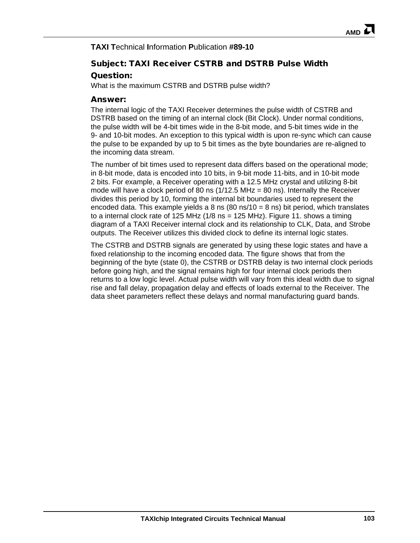# **Subject: TAXI Receiver CSTRB and DSTRB Pulse Width**

### **Question:**

What is the maximum CSTRB and DSTRB pulse width?

### **Answer:**

The internal logic of the TAXI Receiver determines the pulse width of CSTRB and DSTRB based on the timing of an internal clock (Bit Clock). Under normal conditions, the pulse width will be 4-bit times wide in the 8-bit mode, and 5-bit times wide in the 9- and 10-bit modes. An exception to this typical width is upon re-sync which can cause the pulse to be expanded by up to 5 bit times as the byte boundaries are re-aligned to the incoming data stream.

The number of bit times used to represent data differs based on the operational mode; in 8-bit mode, data is encoded into 10 bits, in 9-bit mode 11-bits, and in 10-bit mode 2 bits. For example, a Receiver operating with a 12.5 MHz crystal and utilizing 8-bit mode will have a clock period of 80 ns  $(1/12.5 \text{ MHz} = 80 \text{ ns})$ . Internally the Receiver divides this period by 10, forming the internal bit boundaries used to represent the encoded data. This example yields a 8 ns  $(80 \text{ ns}/10 = 8 \text{ ns})$  bit period, which translates to a internal clock rate of 125 MHz (1/8 ns = 125 MHz). Figure 11. shows a timing diagram of a TAXI Receiver internal clock and its relationship to CLK, Data, and Strobe outputs. The Receiver utilizes this divided clock to define its internal logic states.

The CSTRB and DSTRB signals are generated by using these logic states and have a fixed relationship to the incoming encoded data. The figure shows that from the beginning of the byte (state 0), the CSTRB or DSTRB delay is two internal clock periods before going high, and the signal remains high for four internal clock periods then returns to a low logic level. Actual pulse width will vary from this ideal width due to signal rise and fall delay, propagation delay and effects of loads external to the Receiver. The data sheet parameters reflect these delays and normal manufacturing guard bands.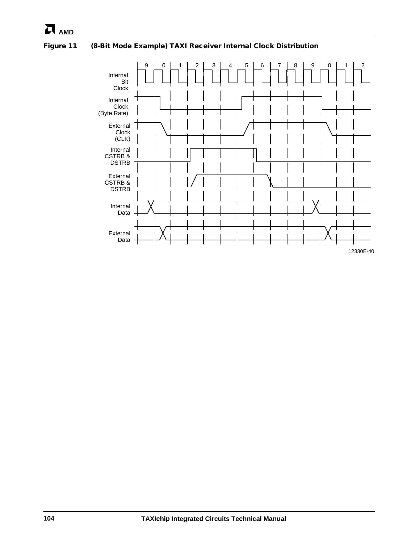

**Figure 11 (8-Bit Mode Example) TAXI Receiver Internal Clock Distribution**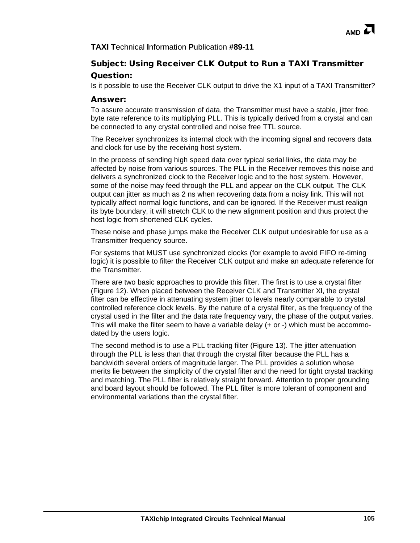## **Subject: Using Receiver CLK Output to Run a TAXI Transmitter Question:**

Is it possible to use the Receiver CLK output to drive the X1 input of a TAXI Transmitter?

#### **Answer:**

To assure accurate transmission of data, the Transmitter must have a stable, jitter free, byte rate reference to its multiplying PLL. This is typically derived from a crystal and can be connected to any crystal controlled and noise free TTL source.

The Receiver synchronizes its internal clock with the incoming signal and recovers data and clock for use by the receiving host system.

In the process of sending high speed data over typical serial links, the data may be affected by noise from various sources. The PLL in the Receiver removes this noise and delivers a synchronized clock to the Receiver logic and to the host system. However, some of the noise may feed through the PLL and appear on the CLK output. The CLK output can jitter as much as 2 ns when recovering data from a noisy link. This will not typically affect normal logic functions, and can be ignored. If the Receiver must realign its byte boundary, it will stretch CLK to the new alignment position and thus protect the host logic from shortened CLK cycles.

These noise and phase jumps make the Receiver CLK output undesirable for use as a Transmitter frequency source.

For systems that MUST use synchronized clocks (for example to avoid FIFO re-timing logic) it is possible to filter the Receiver CLK output and make an adequate reference for the Transmitter.

There are two basic approaches to provide this filter. The first is to use a crystal filter (Figure 12). When placed between the Receiver CLK and Transmitter Xl, the crystal filter can be effective in attenuating system jitter to levels nearly comparable to crystal controlled reference clock levels. By the nature of a crystal filter, as the frequency of the crystal used in the filter and the data rate frequency vary, the phase of the output varies. This will make the filter seem to have a variable delay (+ or -) which must be accommodated by the users logic.

The second method is to use a PLL tracking filter (Figure 13). The jitter attenuation through the PLL is less than that through the crystal filter because the PLL has a bandwidth several orders of magnitude larger. The PLL provides a solution whose merits lie between the simplicity of the crystal filter and the need for tight crystal tracking and matching. The PLL filter is relatively straight forward. Attention to proper grounding and board layout should be followed. The PLL filter is more tolerant of component and environmental variations than the crystal filter.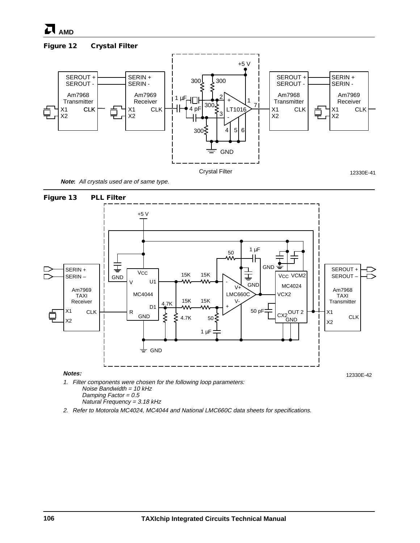



**Note:** All crystals used are of same type.



Noise Bandwidth = 10 kHz Damping Factor = 0.5 Natural Frequency = 3.18 kHz

2. Refer to Motorola MC4024, MC4044 and National LMC660C data sheets for specifications.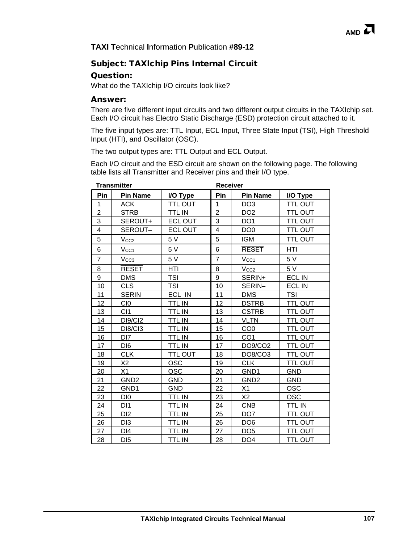## **Subject: TAXlchip Pins Internal Circuit**

#### **Question:**

What do the TAXIchip I/O circuits look like?

#### **Answer:**

There are five different input circuits and two different output circuits in the TAXIchip set. Each I/O circuit has Electro Static Discharge (ESD) protection circuit attached to it.

The five input types are: TTL Input, ECL Input, Three State Input (TSI), High Threshold Input (HTI), and Oscillator (OSC).

The two output types are: TTL Output and ECL Output.

Each I/O circuit and the ESD circuit are shown on the following page. The following table lists all Transmitter and Receiver pins and their I/O type.

| <b>Transmitter</b>      |                  |                |                | <b>Receiver</b>  |                |
|-------------------------|------------------|----------------|----------------|------------------|----------------|
| Pin                     | <b>Pin Name</b>  | I/O Type       | Pin            | <b>Pin Name</b>  | I/O Type       |
| 1                       | <b>ACK</b>       | <b>TTL OUT</b> | 1              | DO <sub>3</sub>  | <b>TTL OUT</b> |
| $\overline{c}$          | <b>STRB</b>      | <b>TTL IN</b>  | $\overline{2}$ | DO <sub>2</sub>  | <b>TTL OUT</b> |
| 3                       | SEROUT+          | ECL OUT        | 3              | DO <sub>1</sub>  | <b>TTL OUT</b> |
| $\overline{\mathbf{4}}$ | SEROUT-          | <b>ECLOUT</b>  | 4              | DO <sub>0</sub>  | <b>TTL OUT</b> |
| 5                       | $V_{CC2}$        | 5V             | 5              | <b>IGM</b>       | <b>TTL OUT</b> |
| 6                       | Vcc <sub>1</sub> | 5V             | 6              | <b>RESET</b>     | <b>HTI</b>     |
| $\overline{7}$          | V <sub>CC3</sub> | 5 V            | $\overline{7}$ | $V_{CC1}$        | 5 V            |
| 8                       | <b>RESET</b>     | <b>HTI</b>     | 8              | $V_{CC2}$        | 5 V            |
| 9                       | <b>DMS</b>       | <b>TSI</b>     | 9              | SERIN+           | <b>ECLIN</b>   |
| 10                      | <b>CLS</b>       | <b>TSI</b>     | 10             | SERIN-           | <b>ECLIN</b>   |
| 11                      | <b>SERIN</b>     | ECL IN         | 11             | <b>DMS</b>       | <b>TSI</b>     |
| 12                      | CI <sub>0</sub>  | <b>TTL IN</b>  | 12             | <b>DSTRB</b>     | <b>TTL OUT</b> |
| 13                      | C <sub>11</sub>  | <b>TTL IN</b>  | 13             | <b>CSTRB</b>     | <b>TTL OUT</b> |
| 14                      | DI9/CI2          | <b>TTL IN</b>  | 14             | <b>VLTN</b>      | <b>TTL OUT</b> |
| 15                      | DI8/CI3          | <b>TTL IN</b>  | 15             | CO <sub>0</sub>  | <b>TTL OUT</b> |
| 16                      | DI <sub>7</sub>  | <b>TTL IN</b>  | 16             | CO <sub>1</sub>  | <b>TTL OUT</b> |
| 17                      | DI <sub>6</sub>  | <b>TTL IN</b>  | 17             | DO9/CO2          | <b>TTL OUT</b> |
| 18                      | <b>CLK</b>       | <b>TTL OUT</b> | 18             | DO8/CO3          | <b>TTL OUT</b> |
| 19                      | X <sub>2</sub>   | <b>OSC</b>     | 19             | <b>CLK</b>       | <b>TTL OUT</b> |
| 20                      | X1               | <b>OSC</b>     | 20             | GND1             | <b>GND</b>     |
| 21                      | GND <sub>2</sub> | <b>GND</b>     | 21             | GND <sub>2</sub> | <b>GND</b>     |
| 22                      | GND1             | <b>GND</b>     | 22             | X1               | <b>OSC</b>     |
| 23                      | DI <sub>0</sub>  | <b>TTL IN</b>  | 23             | X <sub>2</sub>   | <b>OSC</b>     |
| 24                      | DI <sub>1</sub>  | <b>TTL IN</b>  | 24             | <b>CNB</b>       | <b>TTL IN</b>  |
| 25                      | D <sub>12</sub>  | <b>TTL IN</b>  | 25             | DO <sub>7</sub>  | <b>TTL OUT</b> |
| 26                      | DI <sub>3</sub>  | <b>TTL IN</b>  | 26             | DO <sub>6</sub>  | <b>TTL OUT</b> |
| 27                      | DI <sub>4</sub>  | <b>TTL IN</b>  | 27             | DO <sub>5</sub>  | <b>TTL OUT</b> |
| 28                      | D <sub>15</sub>  | <b>TTL IN</b>  | 28             | DO <sub>4</sub>  | <b>TTL OUT</b> |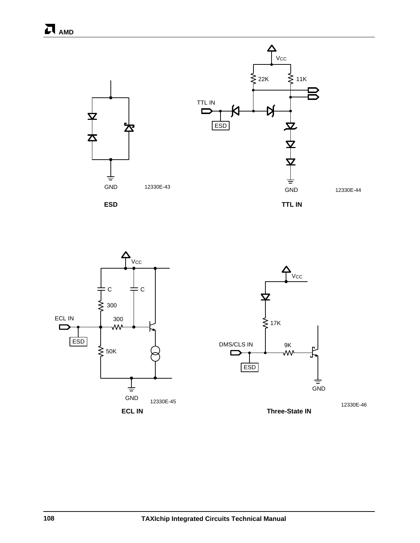





**Three-State IN**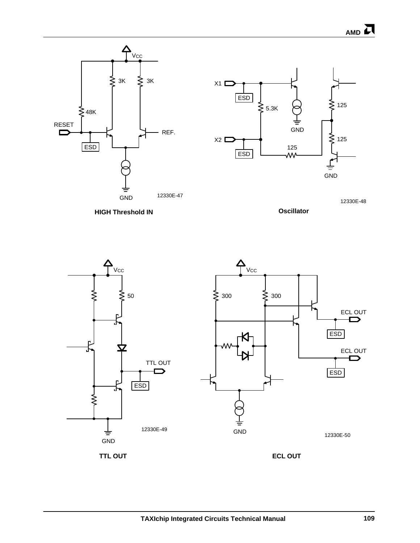

**HIGH Threshold IN Oscillator**

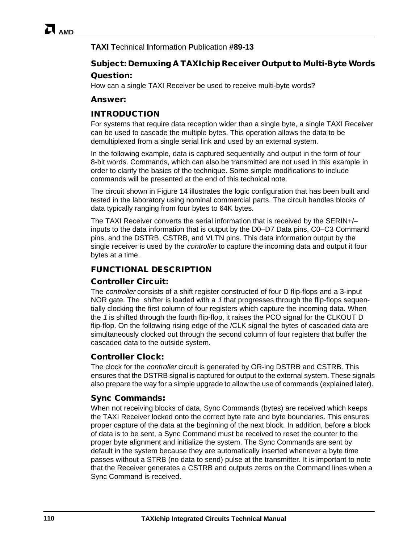## **Subject: Demuxing A TAXIchip Receiver Output to Multi-Byte Words Question:**

How can a single TAXI Receiver be used to receive multi-byte words?

#### **Answer:**

#### **INTRODUCTION**

For systems that require data reception wider than a single byte, a single TAXI Receiver can be used to cascade the multiple bytes. This operation allows the data to be demultiplexed from a single serial link and used by an external system.

In the following example, data is captured sequentially and output in the form of four 8-bit words. Commands, which can also be transmitted are not used in this example in order to clarify the basics of the technique. Some simple modifications to include commands will be presented at the end of this technical note.

The circuit shown in Figure 14 illustrates the logic configuration that has been built and tested in the laboratory using nominal commercial parts. The circuit handles blocks of data typically ranging from four bytes to 64K bytes.

The TAXI Receiver converts the serial information that is received by the SERIN+/– inputs to the data information that is output by the D0–D7 Data pins, C0–C3 Command pins, and the DSTRB, CSTRB, and VLTN pins. This data information output by the single receiver is used by the *controller* to capture the incoming data and output it four bytes at a time.

## **FUNCTIONAL DESCRIPTION**

#### **Controller Circuit:**

The *controller* consists of a shift register constructed of four D flip-flops and a 3-input NOR gate. The shifter is loaded with a 1 that progresses through the flip-flops sequentially clocking the first column of four registers which capture the incoming data. When the  $1$  is shifted through the fourth flip-flop, it raises the PCO signal for the CLKOUT D flip-flop. On the following rising edge of the /CLK signal the bytes of cascaded data are simultaneously clocked out through the second column of four registers that buffer the cascaded data to the outside system.

#### **Controller Clock:**

The clock for the controller circuit is generated by OR-ing DSTRB and CSTRB. This ensures that the DSTRB signal is captured for output to the external system. These signals also prepare the way for a simple upgrade to allow the use of commands (explained later).

#### **Sync Commands:**

When not receiving blocks of data, Sync Commands (bytes) are received which keeps the TAXI Receiver locked onto the correct byte rate and byte boundaries. This ensures proper capture of the data at the beginning of the next block. In addition, before a block of data is to be sent, a Sync Command must be received to reset the counter to the proper byte alignment and initialize the system. The Sync Commands are sent by default in the system because they are automatically inserted whenever a byte time passes without a STRB (no data to send) pulse at the transmitter. It is important to note that the Receiver generates a CSTRB and outputs zeros on the Command lines when a Sync Command is received.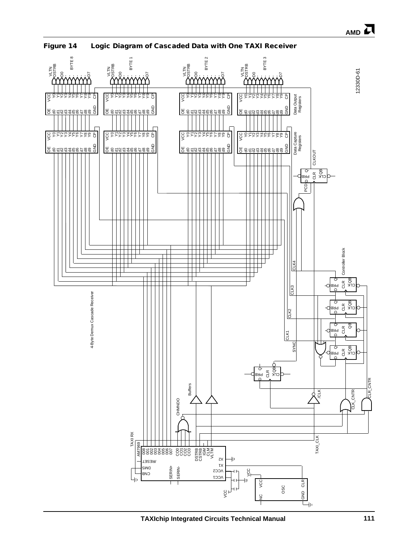

**Figure 14 Logic Diagram of Cascaded Data with One TAXI Receiver**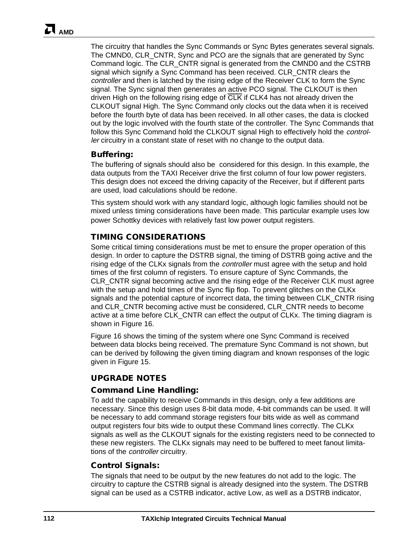The circuitry that handles the Sync Commands or Sync Bytes generates several signals. The CMND0, CLR\_CNTR, Sync and PCO are the signals that are generated by Sync Command logic. The CLR\_CNTR signal is generated from the CMND0 and the CSTRB signal which signify a Sync Command has been received. CLR\_CNTR clears the controller and then is latched by the rising edge of the Receiver CLK to form the Sync signal. The Sync signal then generates an active PCO signal. The CLKOUT is then driven High on the following rising edge of CLK if CLK4 has not already driven the CLKOUT signal High. The Sync Command only clocks out the data when it is received before the fourth byte of data has been received. In all other cases, the data is clocked out by the logic involved with the fourth state of the controller. The Sync Commands that follow this Sync Command hold the CLKOUT signal High to effectively hold the *control*ler circuitry in a constant state of reset with no change to the output data.

#### **Buffering:**

The buffering of signals should also be considered for this design. In this example, the data outputs from the TAXI Receiver drive the first column of four low power registers. This design does not exceed the driving capacity of the Receiver, but if different parts are used, load calculations should be redone.

This system should work with any standard logic, although logic families should not be mixed unless timing considerations have been made. This particular example uses low power Schottky devices with relatively fast low power output registers.

## **TIMING CONSIDERATIONS**

Some critical timing considerations must be met to ensure the proper operation of this design. In order to capture the DSTRB signal, the timing of DSTRB going active and the rising edge of the CLKx signals from the *controller* must agree with the setup and hold times of the first column of registers. To ensure capture of Sync Commands, the CLR\_CNTR signal becoming active and the rising edge of the Receiver CLK must agree with the setup and hold times of the Sync flip flop. To prevent glitches on the CLKx signals and the potential capture of incorrect data, the timing between CLK\_CNTR rising and CLR\_CNTR becoming active must be considered, CLR\_CNTR needs to become active at a time before CLK\_CNTR can effect the output of CLKx. The timing diagram is shown in Figure 16.

Figure 16 shows the timing of the system where one Sync Command is received between data blocks being received. The premature Sync Command is not shown, but can be derived by following the given timing diagram and known responses of the logic given in Figure 15.

## **UPGRADE NOTES**

## **Command Line Handling:**

To add the capability to receive Commands in this design, only a few additions are necessary. Since this design uses 8-bit data mode, 4-bit commands can be used. It will be necessary to add command storage registers four bits wide as well as command output registers four bits wide to output these Command lines correctly. The CLKx signals as well as the CLKOUT signals for the existing registers need to be connected to these new registers. The CLKx signals may need to be buffered to meet fanout limitations of the controller circuitry.

#### **Control Signals:**

The signals that need to be output by the new features do not add to the logic. The circuitry to capture the CSTRB signal is already designed into the system. The DSTRB signal can be used as a CSTRB indicator, active Low, as well as a DSTRB indicator,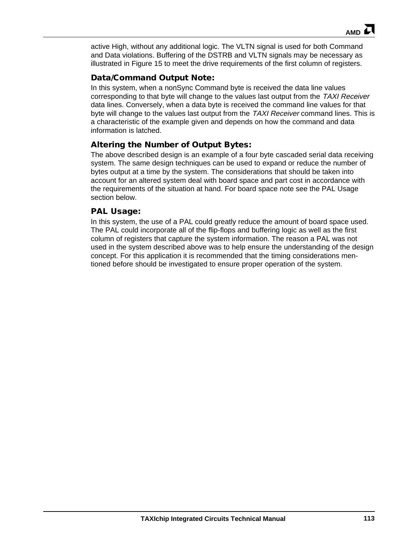active High, without any additional logic. The VLTN signal is used for both Command and Data violations. Buffering of the DSTRB and VLTN signals may be necessary as illustrated in Figure 15 to meet the drive requirements of the first column of registers.

## **Data/Command Output Note:**

In this system, when a nonSync Command byte is received the data line values corresponding to that byte will change to the values last output from the TAXI Receiver data lines. Conversely, when a data byte is received the command line values for that byte will change to the values last output from the TAXI Receiver command lines. This is a characteristic of the example given and depends on how the command and data information is latched.

## **Altering the Number of Output Bytes:**

The above described design is an example of a four byte cascaded serial data receiving system. The same design techniques can be used to expand or reduce the number of bytes output at a time by the system. The considerations that should be taken into account for an altered system deal with board space and part cost in accordance with the requirements of the situation at hand. For board space note see the PAL Usage section below.

## **PAL Usage:**

In this system, the use of a PAL could greatly reduce the amount of board space used. The PAL could incorporate all of the flip-flops and buffering logic as well as the first column of registers that capture the system information. The reason a PAL was not used in the system described above was to help ensure the understanding of the design concept. For this application it is recommended that the timing considerations mentioned before should be investigated to ensure proper operation of the system.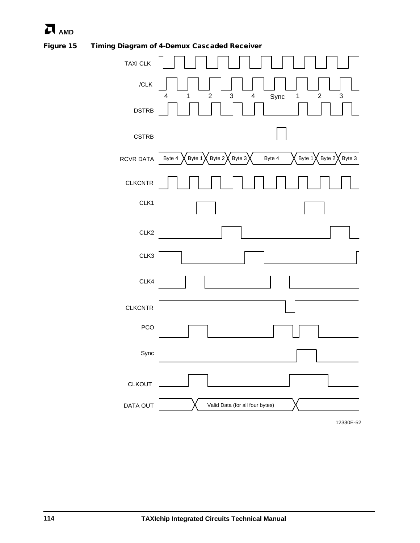**Figure 15 Timing Diagram of 4-Demux Cascaded Receiver**



12330E-52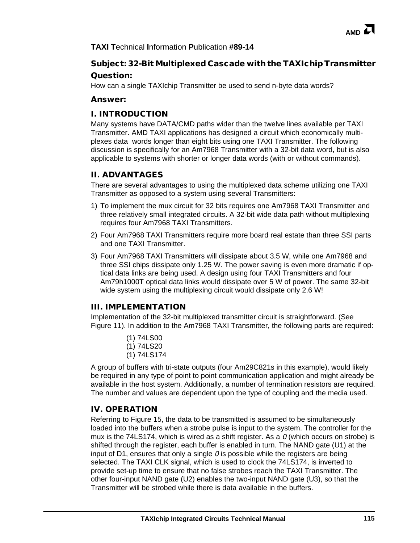## **Subject: 32-Bit Multiplexed Cascade with the TAXIchip Transmitter Question:**

How can a single TAXIchip Transmitter be used to send n-byte data words?

#### **Answer:**

## **I. INTRODUCTION**

Many systems have DATA/CMD paths wider than the twelve lines available per TAXI Transmitter. AMD TAXI applications has designed a circuit which economically multiplexes data words longer than eight bits using one TAXI Transmitter. The following discussion is specifically for an Am7968 Transmitter with a 32-bit data word, but is also applicable to systems with shorter or longer data words (with or without commands).

## **II. ADVANTAGES**

There are several advantages to using the multiplexed data scheme utilizing one TAXI Transmitter as opposed to a system using several Transmitters:

- 1) To implement the mux circuit for 32 bits requires one Am7968 TAXI Transmitter and three relatively small integrated circuits. A 32-bit wide data path without multiplexing requires four Am7968 TAXI Transmitters.
- 2) Four Am7968 TAXI Transmitters require more board real estate than three SSI parts and one TAXI Transmitter.
- 3) Four Am7968 TAXI Transmitters will dissipate about 3.5 W, while one Am7968 and three SSI chips dissipate only 1.25 W. The power saving is even more dramatic if optical data links are being used. A design using four TAXI Transmitters and four Am79h1000T optical data links would dissipate over 5 W of power. The same 32-bit wide system using the multiplexing circuit would dissipate only 2.6 W!

## **III. IMPLEMENTATION**

Implementation of the 32-bit multiplexed transmitter circuit is straightforward. (See Figure 11). In addition to the Am7968 TAXI Transmitter, the following parts are required:

- (1) 74LS00
- (1) 74LS20
- (1) 74LS174

A group of buffers with tri-state outputs (four Am29C821s in this example), would likely be required in any type of point to point communication application and might already be available in the host system. Additionally, a number of termination resistors are required. The number and values are dependent upon the type of coupling and the media used.

## **IV. OPERATION**

Referring to Figure 15, the data to be transmitted is assumed to be simultaneously loaded into the buffers when a strobe pulse is input to the system. The controller for the mux is the 74LS174, which is wired as a shift register. As a  $0$  (which occurs on strobe) is shifted through the register, each buffer is enabled in turn. The NAND gate (U1) at the input of D1, ensures that only a single  $\theta$  is possible while the registers are being selected. The TAXI CLK signal, which is used to clock the 74LS174, is inverted to provide set-up time to ensure that no false strobes reach the TAXI Transmitter. The other four-input NAND gate (U2) enables the two-input NAND gate (U3), so that the Transmitter will be strobed while there is data available in the buffers.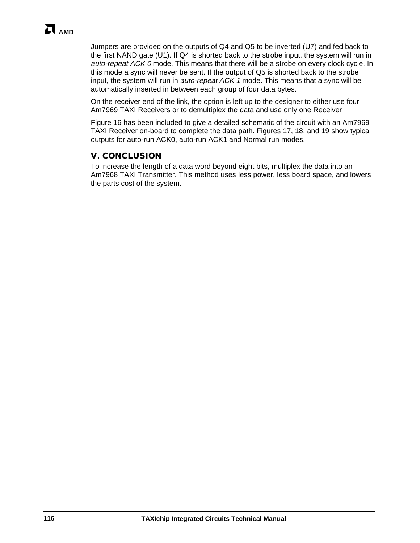Jumpers are provided on the outputs of Q4 and Q5 to be inverted (U7) and fed back to the first NAND gate (U1). If Q4 is shorted back to the strobe input, the system will run in auto-repeat ACK 0 mode. This means that there will be a strobe on every clock cycle. In this mode a sync will never be sent. If the output of Q5 is shorted back to the strobe input, the system will run in *auto-repeat ACK 1* mode. This means that a sync will be automatically inserted in between each group of four data bytes.

On the receiver end of the link, the option is left up to the designer to either use four Am7969 TAXI Receivers or to demultiplex the data and use only one Receiver.

Figure 16 has been included to give a detailed schematic of the circuit with an Am7969 TAXI Receiver on-board to complete the data path. Figures 17, 18, and 19 show typical outputs for auto-run ACK0, auto-run ACK1 and Normal run modes.

## **V. CONCLUSION**

To increase the length of a data word beyond eight bits, multiplex the data into an Am7968 TAXI Transmitter. This method uses less power, less board space, and lowers the parts cost of the system.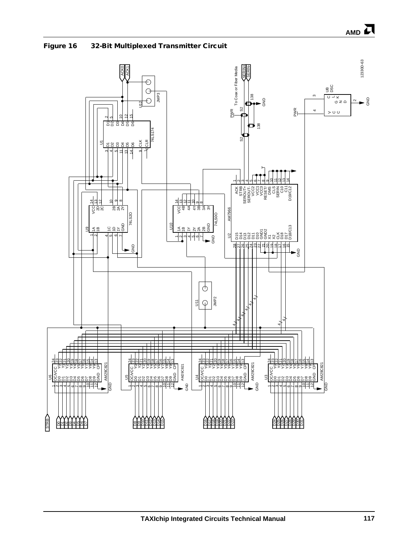**Figure 16 32-Bit Multiplexed Transmitter Circuit**

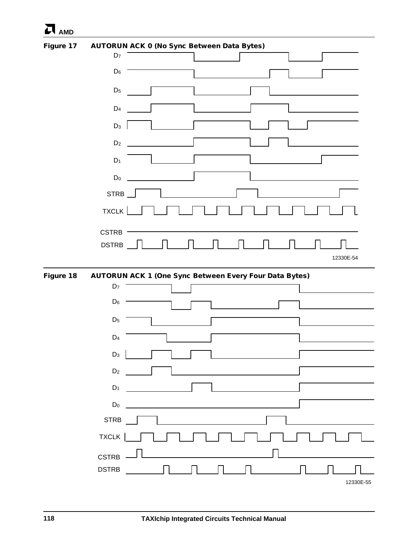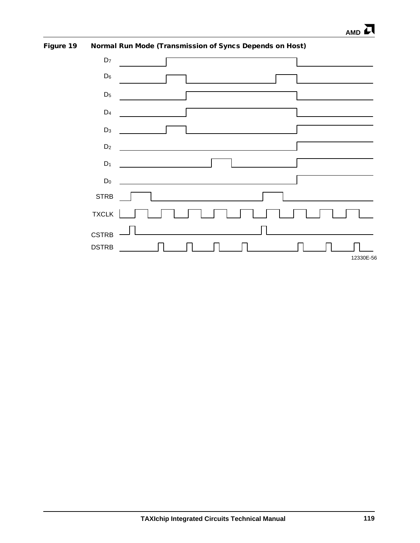

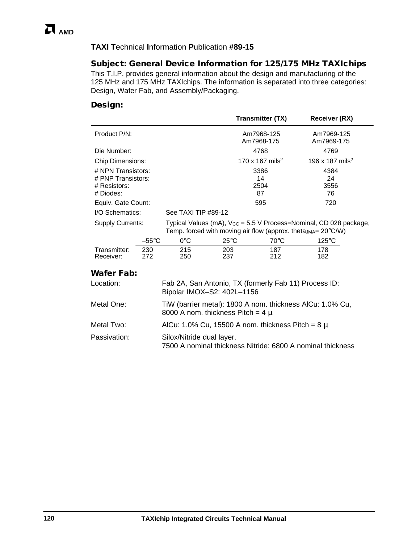#### **Subject: General Device Information for 125/175 MHz TAXIchips**

This T.I.P. provides general information about the design and manufacturing of the 125 MHz and 175 MHz TAXIchips. The information is separated into three categories: Design, Wafer Fab, and Assembly/Packaging.

#### **Design:**

|                                                                                                                                                                                  |            |                            |                | Transmitter (TX)                                      | Receiver (RX)               |  |
|----------------------------------------------------------------------------------------------------------------------------------------------------------------------------------|------------|----------------------------|----------------|-------------------------------------------------------|-----------------------------|--|
| Product P/N:                                                                                                                                                                     |            |                            |                | Am7968-125<br>Am7968-175                              | Am7969-125<br>Am7969-175    |  |
| Die Number:                                                                                                                                                                      |            |                            |                | 4768                                                  | 4769                        |  |
| Chip Dimensions:                                                                                                                                                                 |            |                            |                | 170 x 167 mils <sup>2</sup>                           | 196 x 187 mils <sup>2</sup> |  |
| # NPN Transistors:<br># PNP Transistors:<br># Resistors:<br># Diodes:                                                                                                            |            |                            |                | 3386<br>14<br>2504<br>87                              | 4384<br>24<br>3556<br>76    |  |
| Equiv. Gate Count:                                                                                                                                                               |            |                            |                | 595                                                   | 720                         |  |
| I/O Schematics:                                                                                                                                                                  |            | See TAXI TIP #89-12        |                |                                                       |                             |  |
| Typical Values (mA), $V_{CC}$ = 5.5 V Process=Nominal, CD 028 package,<br>Supply Currents:<br>Temp. forced with moving air flow (approx. theta $_{\text{MAA}} = 20^{\circ}$ C/W) |            |                            |                |                                                       |                             |  |
|                                                                                                                                                                                  | –55°C      | $0^{\circ}$ C              | $25^{\circ}$ C | $70^{\circ}$ C                                        | $125^{\circ}$ C             |  |
| Transmitter:<br>Receiver:                                                                                                                                                        | 230<br>272 | 215<br>250                 | 203<br>237     | 187<br>212                                            | 178<br>182                  |  |
| Wafer Fab:                                                                                                                                                                       |            |                            |                |                                                       |                             |  |
| Location:                                                                                                                                                                        |            | Bipolar IMOX-S2: 402L-1156 |                | Fab 2A, San Antonio, TX (formerly Fab 11) Process ID: |                             |  |

| Metal One:   | TiW (barrier metal): 1800 A nom. thickness AICu: 1.0% Cu,<br>8000 A nom. thickness Pitch = $4 \mu$ |
|--------------|----------------------------------------------------------------------------------------------------|
| Metal Two:   | AlCu: 1.0% Cu, 15500 A nom. thickness Pitch = $8 \mu$                                              |
| Passivation: | Silox/Nitride dual layer.<br>7500 A nominal thickness Nitride: 6800 A nominal thickness            |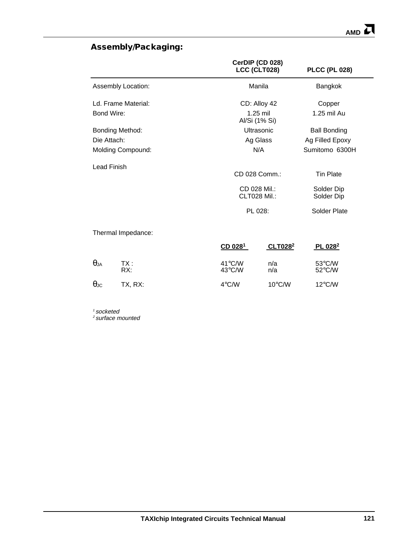# **Assembly/Packaging:**

|                                       | CerDIP (CD 028)<br>LCC (CLT028)         | <b>PLCC (PL 028)</b>                   |
|---------------------------------------|-----------------------------------------|----------------------------------------|
| Assembly Location:                    | Manila                                  | Bangkok                                |
| Ld. Frame Material:<br>Bond Wire:     | CD: Alloy 42<br>1.25 mil                | Copper<br>1.25 mil Au                  |
| <b>Bonding Method:</b><br>Die Attach: | Al/Si (1% Si)<br>Ultrasonic<br>Ag Glass | <b>Ball Bonding</b><br>Ag Filled Epoxy |
| <b>Molding Compound:</b>              | N/A                                     | Sumitomo 6300H                         |
| Lead Finish                           | CD 028 Comm.:                           | <b>Tin Plate</b>                       |
|                                       | CD 028 Mil.:<br><b>CLT028 Mil.:</b>     | Solder Dip<br>Solder Dip               |
|                                       | PL 028:                                 | Solder Plate                           |
| Thermal Impedance:                    |                                         |                                        |

|             |             | CD 028 <sup>1</sup>                  | CLT028 <sup>2</sup> | PL 028 <sup>2</sup>                  |
|-------------|-------------|--------------------------------------|---------------------|--------------------------------------|
| $\theta$ JA | TX :<br>RX: | $41^{\circ}$ C/W<br>$43^{\circ}$ C/W | n/a<br>n/a          | $53^{\circ}$ C/W<br>$52^{\circ}$ C/W |
| $\theta$ JC | TX, RX:     | $4^{\circ}$ C/W                      | $10^{\circ}$ C/W    | $12^{\circ}$ C/W                     |

1 socketed 2 surface mounted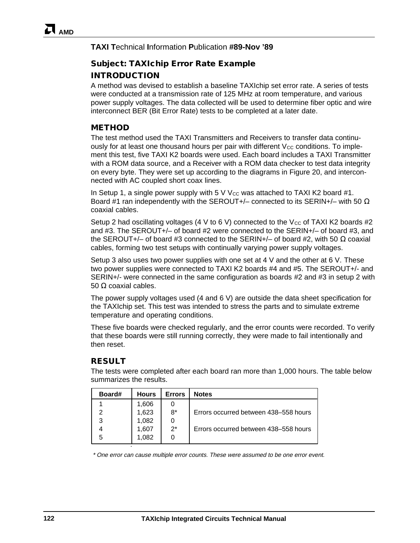### **Subject: TAXIchip Error Rate Example INTRODUCTION**

A method was devised to establish a baseline TAXIchip set error rate. A series of tests were conducted at a transmission rate of 125 MHz at room temperature, and various power supply voltages. The data collected will be used to determine fiber optic and wire interconnect BER (Bit Error Rate) tests to be completed at a later date.

#### **METHOD**

The test method used the TAXI Transmitters and Receivers to transfer data continuously for at least one thousand hours per pair with different  $V_{CC}$  conditions. To implement this test, five TAXI K2 boards were used. Each board includes a TAXI Transmitter with a ROM data source, and a Receiver with a ROM data checker to test data integrity on every byte. They were set up according to the diagrams in Figure 20, and interconnected with AC coupled short coax lines.

In Setup 1, a single power supply with  $5 \vee \vee c$  was attached to TAXI K2 board #1. Board #1 ran independently with the SEROUT+/– connected to its SERIN+/– with 50  $\Omega$ coaxial cables.

Setup 2 had oscillating voltages (4 V to 6 V) connected to the V<sub>cc</sub> of TAXI K2 boards  $#2$ and #3. The SEROUT+/– of board #2 were connected to the SERIN+/– of board #3, and the SEROUT+/– of board #3 connected to the SERIN+/– of board #2, with 50  $\Omega$  coaxial cables, forming two test setups with continually varying power supply voltages.

Setup 3 also uses two power supplies with one set at 4 V and the other at 6 V. These two power supplies were connected to TAXI K2 boards #4 and #5. The SEROUT+/- and SERIN+/- were connected in the same configuration as boards #2 and #3 in setup 2 with 50  $\Omega$  coaxial cables.

The power supply voltages used (4 and 6 V) are outside the data sheet specification for the TAXIchip set. This test was intended to stress the parts and to simulate extreme temperature and operating conditions.

These five boards were checked regularly, and the error counts were recorded. To verify that these boards were still running correctly, they were made to fail intentionally and then reset.

#### **RESULT**

The tests were completed after each board ran more than 1,000 hours. The table below summarizes the results.

| Board# | <b>Hours</b> | <b>Errors</b> | <b>Notes</b>                          |
|--------|--------------|---------------|---------------------------------------|
|        | 1,606        | 0             |                                       |
|        | 1,623        | $8*$          | Errors occurred between 438–558 hours |
| 3      | 1,082        | 0             |                                       |
|        | 1.607        | $2^*$         | Errors occurred between 438–558 hours |
| 5      | 1,082        | 0             |                                       |
|        |              |               |                                       |

\* One error can cause multiple error counts. These were assumed to be one error event.